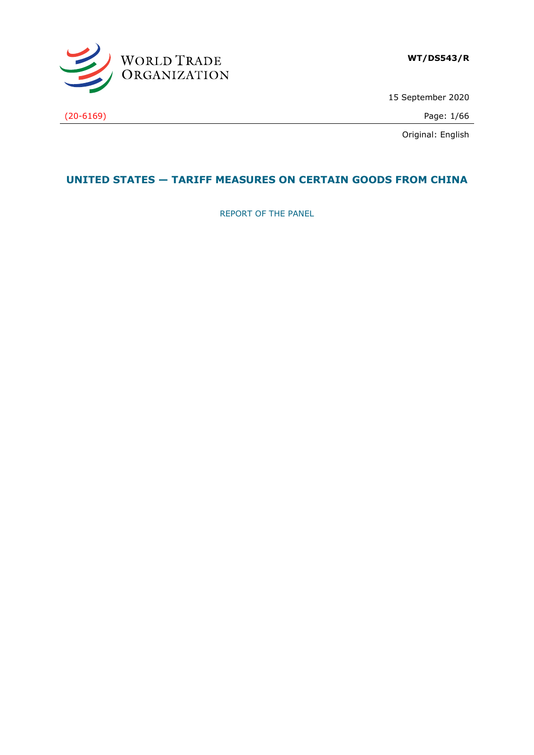

15 September 2020

(20-6169) Page: 1/66

Original: English

## **UNITED STATES — TARIFF MEASURES ON CERTAIN GOODS FROM CHINA**

REPORT OF THE PANEL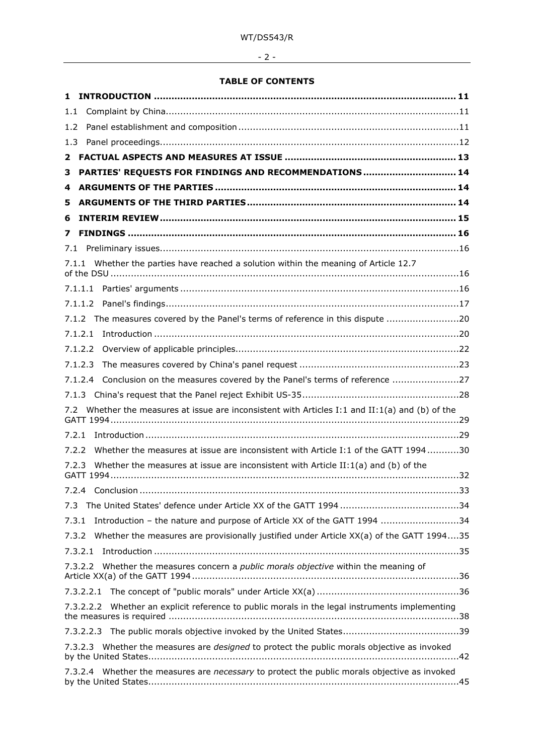# - 2 -

## **TABLE OF CONTENTS**

| 1.    |                                                                                                    |    |
|-------|----------------------------------------------------------------------------------------------------|----|
| 1.1   |                                                                                                    |    |
| 1.2   |                                                                                                    |    |
| 1.3   |                                                                                                    |    |
| 2     |                                                                                                    |    |
| з     | PARTIES' REQUESTS FOR FINDINGS AND RECOMMENDATIONS  14                                             |    |
| 4     |                                                                                                    |    |
| 5     |                                                                                                    |    |
| 6     |                                                                                                    |    |
| 7     |                                                                                                    |    |
| 7.1   |                                                                                                    |    |
|       | 7.1.1 Whether the parties have reached a solution within the meaning of Article 12.7               |    |
|       |                                                                                                    |    |
|       |                                                                                                    |    |
|       | The measures covered by the Panel's terms of reference in this dispute 20<br>7.1.2                 |    |
|       | 7.1.2.1                                                                                            |    |
|       | 7.1.2.2                                                                                            |    |
|       | 7.1.2.3                                                                                            |    |
|       | 7.1.2.4 Conclusion on the measures covered by the Panel's terms of reference 27                    |    |
|       |                                                                                                    |    |
| 7.2   | Whether the measures at issue are inconsistent with Articles I:1 and II:1(a) and (b) of the        |    |
| 7.2.1 |                                                                                                    |    |
| 7.2.2 | Whether the measures at issue are inconsistent with Article I:1 of the GATT 199430                 |    |
| 7.2.3 | Whether the measures at issue are inconsistent with Article II:1(a) and (b) of the                 |    |
|       | 7.2.4 Conclusion                                                                                   | 33 |
| 7.3   |                                                                                                    |    |
| 7.3.1 | Introduction - the nature and purpose of Article XX of the GATT 1994 34                            |    |
| 7.3.2 | Whether the measures are provisionally justified under Article XX(a) of the GATT 199435            |    |
|       | 7.3.2.1                                                                                            |    |
|       | Whether the measures concern a <i>public morals objective</i> within the meaning of<br>7.3.2.2     |    |
|       |                                                                                                    |    |
|       | Whether an explicit reference to public morals in the legal instruments implementing<br>7.3.2.2.2  |    |
|       |                                                                                                    |    |
|       | 7.3.2.3 Whether the measures are <i>designed</i> to protect the public morals objective as invoked |    |
|       | 7.3.2.4 Whether the measures are necessary to protect the public morals objective as invoked       |    |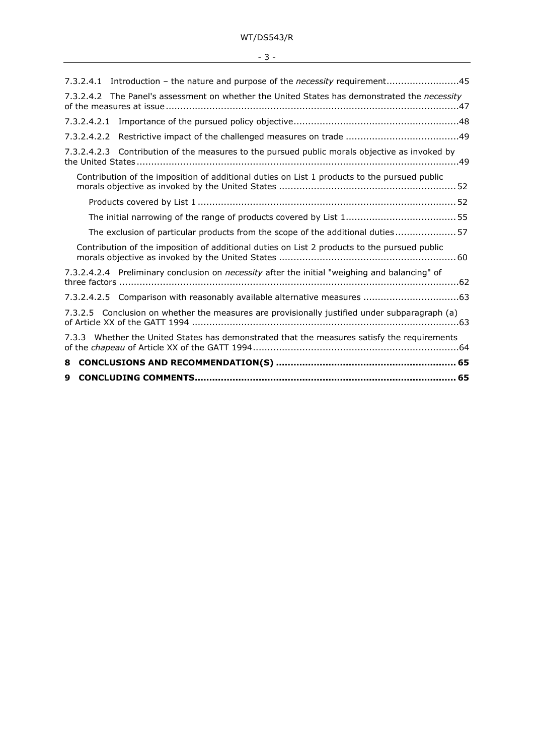| I<br>۰.<br>$\sim$ |  |
|-------------------|--|
|                   |  |

| 9                                                                                                    |  |
|------------------------------------------------------------------------------------------------------|--|
| 8                                                                                                    |  |
| 7.3.3 Whether the United States has demonstrated that the measures satisfy the requirements          |  |
| 7.3.2.5 Conclusion on whether the measures are provisionally justified under subparagraph (a)        |  |
|                                                                                                      |  |
| 7.3.2.4.2.4 Preliminary conclusion on <i>necessity</i> after the initial "weighing and balancing" of |  |
| Contribution of the imposition of additional duties on List 2 products to the pursued public         |  |
| The exclusion of particular products from the scope of the additional duties57                       |  |
|                                                                                                      |  |
|                                                                                                      |  |
| Contribution of the imposition of additional duties on List 1 products to the pursued public         |  |
| 7.3.2.4.2.3 Contribution of the measures to the pursued public morals objective as invoked by        |  |
|                                                                                                      |  |
|                                                                                                      |  |
| 7.3.2.4.2 The Panel's assessment on whether the United States has demonstrated the <i>necessity</i>  |  |
| 7.3.2.4.1 Introduction - the nature and purpose of the necessity requirement45                       |  |
|                                                                                                      |  |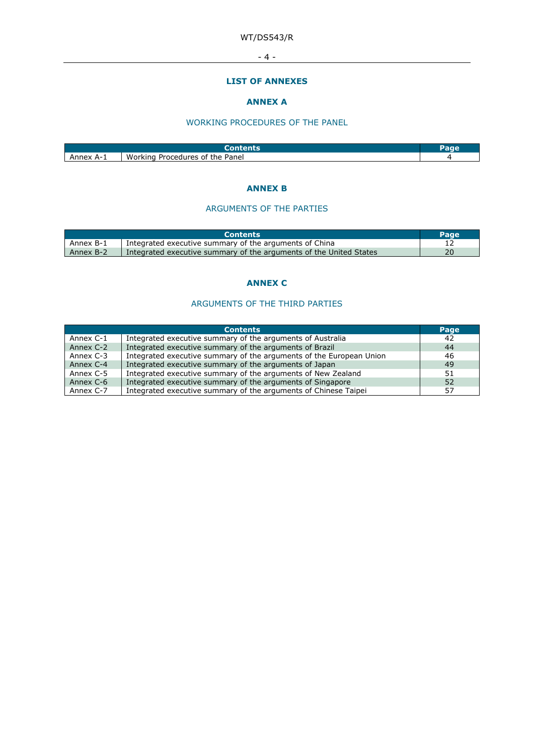- 4 -

#### **LIST OF ANNEXES**

## **ANNEX A**

### WORKING PROCEDURES OF THE PANEL

| Anney<br>A-1 | Working<br>Panel<br>Procedures of the |  |
|--------------|---------------------------------------|--|

#### **ANNEX B**

#### ARGUMENTS OF THE PARTIES

|           | <b>Contents</b>                                                    | Page |
|-----------|--------------------------------------------------------------------|------|
| Annex B-1 | Integrated executive summary of the arguments of China             |      |
| Annex B-2 | Integrated executive summary of the arguments of the United States |      |

#### **ANNEX C**

## ARGUMENTS OF THE THIRD PARTIES

|           | <b>Contents</b>                                                     | Page |
|-----------|---------------------------------------------------------------------|------|
| Annex C-1 | Integrated executive summary of the arguments of Australia          | 42   |
| Annex C-2 | Integrated executive summary of the arguments of Brazil             | 44   |
| Annex C-3 | Integrated executive summary of the arguments of the European Union | 46   |
| Annex C-4 | Integrated executive summary of the arguments of Japan              | 49   |
| Annex C-5 | Integrated executive summary of the arguments of New Zealand        | 51   |
| Annex C-6 | Integrated executive summary of the arguments of Singapore          | 52   |
| Annex C-7 | Integrated executive summary of the arguments of Chinese Taipei     | 57   |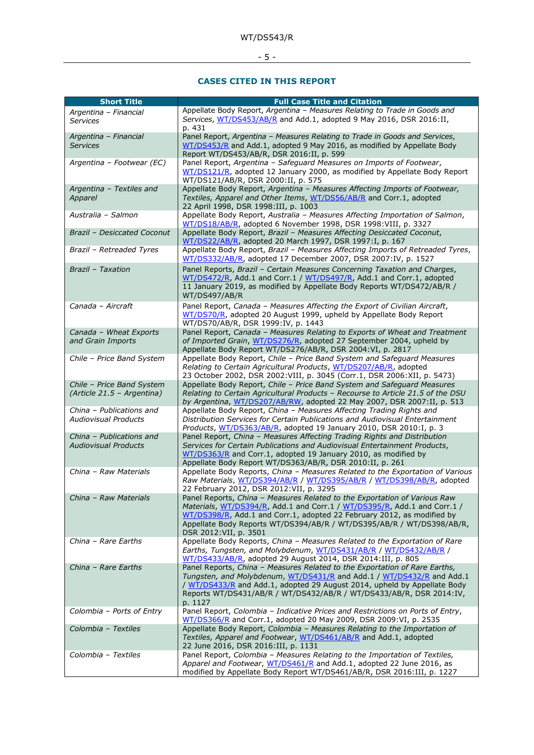## - 5 -

#### **CASES CITED IN THIS REPORT**

| <b>Short Title</b>                                      | <b>Full Case Title and Citation</b>                                                                                                                                                                                                                                                                                               |
|---------------------------------------------------------|-----------------------------------------------------------------------------------------------------------------------------------------------------------------------------------------------------------------------------------------------------------------------------------------------------------------------------------|
| Argentina - Financial<br><b>Services</b>                | Appellate Body Report, Argentina - Measures Relating to Trade in Goods and<br>Services, WT/DS453/AB/R and Add.1, adopted 9 May 2016, DSR 2016:II,<br>p. 431                                                                                                                                                                       |
| Argentina - Financial<br><b>Services</b>                | Panel Report, Argentina - Measures Relating to Trade in Goods and Services,<br>WT/DS453/R and Add.1, adopted 9 May 2016, as modified by Appellate Body<br>Report WT/DS453/AB/R, DSR 2016:II, p. 599                                                                                                                               |
| Argentina - Footwear (EC)                               | Panel Report, Argentina - Safeguard Measures on Imports of Footwear,<br>WT/DS121/R, adopted 12 January 2000, as modified by Appellate Body Report<br>WT/DS121/AB/R, DSR 2000:II, p. 575                                                                                                                                           |
| Argentina - Textiles and<br>Apparel                     | Appellate Body Report, Argentina - Measures Affecting Imports of Footwear,<br>Textiles, Apparel and Other Items, WT/DS56/AB/R and Corr.1, adopted<br>22 April 1998, DSR 1998:III, p. 1003                                                                                                                                         |
| Australia - Salmon                                      | Appellate Body Report, Australia - Measures Affecting Importation of Salmon,<br>WT/DS18/AB/R, adopted 6 November 1998, DSR 1998: VIII, p. 3327                                                                                                                                                                                    |
| Brazil - Desiccated Coconut                             | Appellate Body Report, Brazil - Measures Affecting Desiccated Coconut,<br>WT/DS22/AB/R, adopted 20 March 1997, DSR 1997:I, p. 167                                                                                                                                                                                                 |
| Brazil - Retreaded Tyres                                | Appellate Body Report, Brazil - Measures Affecting Imports of Retreaded Tyres,<br>WT/DS332/AB/R, adopted 17 December 2007, DSR 2007:IV, p. 1527                                                                                                                                                                                   |
| Brazil - Taxation                                       | Panel Reports, Brazil - Certain Measures Concerning Taxation and Charges,<br>WT/DS472/R, Add.1 and Corr.1 / WT/DS497/R, Add.1 and Corr.1, adopted<br>11 January 2019, as modified by Appellate Body Reports WT/DS472/AB/R /<br>WT/DS497/AB/R                                                                                      |
| Canada - Aircraft                                       | Panel Report, Canada - Measures Affecting the Export of Civilian Aircraft,<br>WT/DS70/R, adopted 20 August 1999, upheld by Appellate Body Report<br>WT/DS70/AB/R, DSR 1999:IV, p. 1443                                                                                                                                            |
| Canada - Wheat Exports<br>and Grain Imports             | Panel Report, Canada - Measures Relating to Exports of Wheat and Treatment<br>of Imported Grain, WT/DS276/R, adopted 27 September 2004, upheld by<br>Appellate Body Report WT/DS276/AB/R, DSR 2004:VI, p. 2817                                                                                                                    |
| Chile - Price Band System                               | Appellate Body Report, Chile - Price Band System and Safeguard Measures<br>Relating to Certain Agricultural Products, WT/DS207/AB/R, adopted<br>23 October 2002, DSR 2002: VIII, p. 3045 (Corr.1, DSR 2006: XII, p. 5473)                                                                                                         |
| Chile - Price Band System<br>(Article 21.5 - Argentina) | Appellate Body Report, Chile - Price Band System and Safeguard Measures<br>Relating to Certain Agricultural Products - Recourse to Article 21.5 of the DSU<br>by Argentina, WT/DS207/AB/RW, adopted 22 May 2007, DSR 2007:II, p. 513                                                                                              |
| China - Publications and<br><b>Audiovisual Products</b> | Appellate Body Report, China - Measures Affecting Trading Rights and<br>Distribution Services for Certain Publications and Audiovisual Entertainment<br>Products, WT/DS363/AB/R, adopted 19 January 2010, DSR 2010:I, p. 3                                                                                                        |
| China - Publications and<br><b>Audiovisual Products</b> | Panel Report, China - Measures Affecting Trading Rights and Distribution<br>Services for Certain Publications and Audiovisual Entertainment Products,<br>WT/DS363/R and Corr.1, adopted 19 January 2010, as modified by<br>Appellate Body Report WT/DS363/AB/R, DSR 2010:II, p. 261                                               |
| China - Raw Materials                                   | Appellate Body Reports, China - Measures Related to the Exportation of Various<br>Raw Materials, WT/DS394/AB/R / WT/DS395/AB/R / WT/DS398/AB/R, adopted<br>22 February 2012, DSR 2012:VII, p. 3295                                                                                                                                |
| China - Raw Materials                                   | Panel Reports, China - Measures Related to the Exportation of Various Raw<br>Materials, WT/DS394/R, Add.1 and Corr.1 / WT/DS395/R, Add.1 and Corr.1 /<br>WT/DS398/R, Add.1 and Corr.1, adopted 22 February 2012, as modified by<br>Appellate Body Reports WT/DS394/AB/R / WT/DS395/AB/R / WT/DS398/AB/R,<br>DSR 2012:VII, p. 3501 |
| China - Rare Earths                                     | Appellate Body Reports, China - Measures Related to the Exportation of Rare<br>Earths, Tungsten, and Molybdenum, WT/DS431/AB/R / WT/DS432/AB/R /<br>WT/DS433/AB/R, adopted 29 August 2014, DSR 2014:III, p. 805                                                                                                                   |
| China - Rare Earths                                     | Panel Reports, China - Measures Related to the Exportation of Rare Earths,<br>Tungsten, and Molybdenum, WT/DS431/R and Add.1 / WT/DS432/R and Add.1<br>/ WT/DS433/R and Add.1, adopted 29 August 2014, upheld by Appellate Body<br>Reports WT/DS431/AB/R / WT/DS432/AB/R / WT/DS433/AB/R, DSR 2014:IV,<br>p. 1127                 |
| Colombia - Ports of Entry                               | Panel Report, Colombia - Indicative Prices and Restrictions on Ports of Entry,<br>WT/DS366/R and Corr.1, adopted 20 May 2009, DSR 2009:VI, p. 2535                                                                                                                                                                                |
| Colombia - Textiles                                     | Appellate Body Report, Colombia - Measures Relating to the Importation of<br>Textiles, Apparel and Footwear, WT/DS461/AB/R and Add.1, adopted<br>22 June 2016, DSR 2016:III, p. 1131                                                                                                                                              |
| Colombia - Textiles                                     | Panel Report, Colombia - Measures Relating to the Importation of Textiles,<br>Apparel and Footwear, WT/DS461/R and Add.1, adopted 22 June 2016, as<br>modified by Appellate Body Report WT/DS461/AB/R, DSR 2016:III, p. 1227                                                                                                      |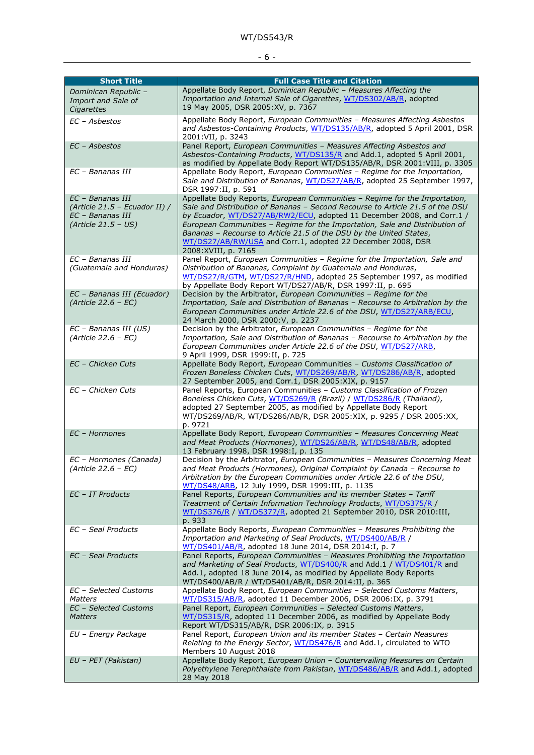## - 6 -

| <b>Short Title</b>                                  | <b>Full Case Title and Citation</b><br>Appellate Body Report, Dominican Republic - Measures Affecting the                                                   |
|-----------------------------------------------------|-------------------------------------------------------------------------------------------------------------------------------------------------------------|
| Dominican Republic -<br>Import and Sale of          | Importation and Internal Sale of Cigarettes, WT/DS302/AB/R, adopted                                                                                         |
| Cigarettes                                          | 19 May 2005, DSR 2005:XV, p. 7367                                                                                                                           |
| EC - Asbestos                                       | Appellate Body Report, European Communities - Measures Affecting Asbestos                                                                                   |
|                                                     | and Asbestos-Containing Products, WT/DS135/AB/R, adopted 5 April 2001, DSR                                                                                  |
|                                                     | 2001:VII, p. 3243                                                                                                                                           |
| EC - Asbestos                                       | Panel Report, European Communities - Measures Affecting Asbestos and                                                                                        |
|                                                     | Asbestos-Containing Products, WT/DS135/R and Add.1, adopted 5 April 2001,<br>as modified by Appellate Body Report WT/DS135/AB/R, DSR 2001:VIII, p. 3305     |
| EC - Bananas III                                    | Appellate Body Report, European Communities - Regime for the Importation,                                                                                   |
|                                                     | Sale and Distribution of Bananas, WT/DS27/AB/R, adopted 25 September 1997,                                                                                  |
|                                                     | DSR 1997:II, p. 591                                                                                                                                         |
| EC - Bananas III<br>(Article 21.5 – Ecuador II) /   | Appellate Body Reports, European Communities - Regime for the Importation,<br>Sale and Distribution of Bananas - Second Recourse to Article 21.5 of the DSU |
| EC - Bananas III                                    | by Ecuador, WT/DS27/AB/RW2/ECU, adopted 11 December 2008, and Corr.1 /                                                                                      |
| $(Article 21.5 - US)$                               | European Communities - Regime for the Importation, Sale and Distribution of                                                                                 |
|                                                     | Bananas - Recourse to Article 21.5 of the DSU by the United States,                                                                                         |
|                                                     | WT/DS27/AB/RW/USA and Corr.1, adopted 22 December 2008, DSR                                                                                                 |
| EC - Bananas III                                    | 2008: XVIII, p. 7165<br>Panel Report, European Communities - Regime for the Importation, Sale and                                                           |
| (Guatemala and Honduras)                            | Distribution of Bananas, Complaint by Guatemala and Honduras,                                                                                               |
|                                                     | WT/DS27/R/GTM, WT/DS27/R/HND, adopted 25 September 1997, as modified                                                                                        |
|                                                     | by Appellate Body Report WT/DS27/AB/R, DSR 1997:II, p. 695                                                                                                  |
| EC - Bananas III (Ecuador)<br>$(Article 22.6 - EC)$ | Decision by the Arbitrator, European Communities - Regime for the<br>Importation, Sale and Distribution of Bananas - Recourse to Arbitration by the         |
|                                                     | European Communities under Article 22.6 of the DSU, WT/DS27/ARB/ECU,                                                                                        |
|                                                     | 24 March 2000, DSR 2000: V, p. 2237                                                                                                                         |
| EC - Bananas III (US)                               | Decision by the Arbitrator, European Communities - Regime for the                                                                                           |
| $(Article 22.6 - EC)$                               | Importation, Sale and Distribution of Bananas - Recourse to Arbitration by the                                                                              |
|                                                     | European Communities under Article 22.6 of the DSU, WT/DS27/ARB,<br>9 April 1999, DSR 1999:II, p. 725                                                       |
| EC - Chicken Cuts                                   | Appellate Body Report, European Communities - Customs Classification of                                                                                     |
|                                                     | Frozen Boneless Chicken Cuts, WT/DS269/AB/R, WT/DS286/AB/R, adopted                                                                                         |
| EC - Chicken Cuts                                   | 27 September 2005, and Corr.1, DSR 2005:XIX, p. 9157<br>Panel Reports, European Communities - Customs Classification of Frozen                              |
|                                                     | Boneless Chicken Cuts, WT/DS269/R (Brazil) / WT/DS286/R (Thailand),                                                                                         |
|                                                     | adopted 27 September 2005, as modified by Appellate Body Report                                                                                             |
|                                                     | WT/DS269/AB/R, WT/DS286/AB/R, DSR 2005:XIX, p. 9295 / DSR 2005:XX,                                                                                          |
| EC - Hormones                                       | p. 9721                                                                                                                                                     |
|                                                     | Appellate Body Report, European Communities - Measures Concerning Meat<br>and Meat Products (Hormones), WT/DS26/AB/R, WT/DS48/AB/R, adopted                 |
|                                                     | 13 February 1998, DSR 1998: I, p. 135                                                                                                                       |
| EC - Hormones (Canada)                              | Decision by the Arbitrator, European Communities - Measures Concerning Meat                                                                                 |
| (Article 22.6 - EC)                                 | and Meat Products (Hormones), Original Complaint by Canada - Recourse to                                                                                    |
|                                                     | Arbitration by the European Communities under Article 22.6 of the DSU,<br>WT/DS48/ARB, 12 July 1999, DSR 1999:III, p. 1135                                  |
| EC - IT Products                                    | Panel Reports, European Communities and its member States - Tariff                                                                                          |
|                                                     | Treatment of Certain Information Technology Products, WT/DS375/R /                                                                                          |
|                                                     | WT/DS376/R / WT/DS377/R, adopted 21 September 2010, DSR 2010:III,                                                                                           |
| EC - Seal Products                                  | p. 933<br>Appellate Body Reports, European Communities - Measures Prohibiting the                                                                           |
|                                                     | Importation and Marketing of Seal Products, WT/DS400/AB/R /                                                                                                 |
|                                                     | WT/DS401/AB/R, adopted 18 June 2014, DSR 2014:I, p. 7                                                                                                       |
| EC - Seal Products                                  | Panel Reports, European Communities - Measures Prohibiting the Importation                                                                                  |
|                                                     | and Marketing of Seal Products, WT/DS400/R and Add.1 / WT/DS401/R and<br>Add.1, adopted 18 June 2014, as modified by Appellate Body Reports                 |
|                                                     | WT/DS400/AB/R / WT/DS401/AB/R, DSR 2014:II, p. 365                                                                                                          |
| EC - Selected Customs                               | Appellate Body Report, European Communities - Selected Customs Matters,                                                                                     |
| <b>Matters</b>                                      | WT/DS315/AB/R, adopted 11 December 2006, DSR 2006:IX, p. 3791                                                                                               |
| EC - Selected Customs<br><b>Matters</b>             | Panel Report, European Communities - Selected Customs Matters,<br>WT/DS315/R, adopted 11 December 2006, as modified by Appellate Body                       |
|                                                     | Report WT/DS315/AB/R, DSR 2006:IX, p. 3915                                                                                                                  |
| EU - Energy Package                                 | Panel Report, European Union and its member States - Certain Measures                                                                                       |
|                                                     | Relating to the Energy Sector, WT/DS476/R and Add.1, circulated to WTO                                                                                      |
| EU - PET (Pakistan)                                 | Members 10 August 2018<br>Appellate Body Report, European Union - Countervailing Measures on Certain                                                        |
|                                                     | Polyethylene Terephthalate from Pakistan, WT/DS486/AB/R and Add.1, adopted                                                                                  |
|                                                     | 28 May 2018                                                                                                                                                 |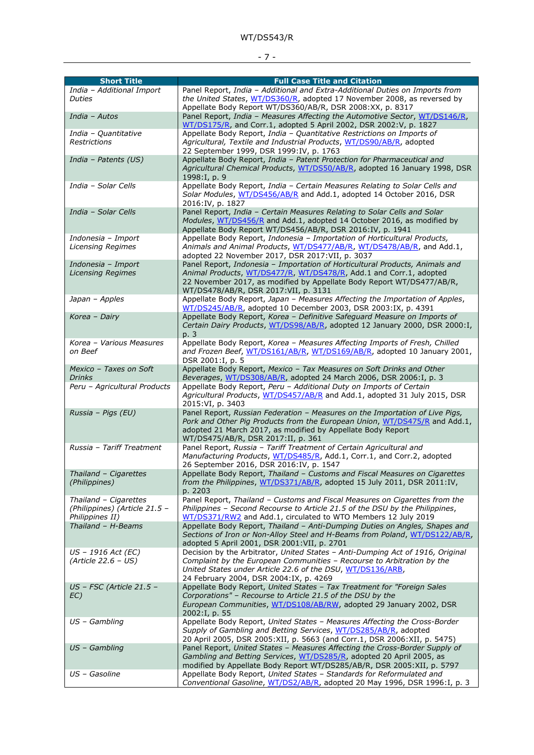## - 7 -

| <b>Short Title</b>                               | <b>Full Case Title and Citation</b>                                                                                                                     |
|--------------------------------------------------|---------------------------------------------------------------------------------------------------------------------------------------------------------|
| India - Additional Import                        | Panel Report, India - Additional and Extra-Additional Duties on Imports from<br>the United States, WT/DS360/R, adopted 17 November 2008, as reversed by |
| <b>Duties</b>                                    | Appellate Body Report WT/DS360/AB/R, DSR 2008:XX, p. 8317                                                                                               |
| India - Autos                                    | Panel Report, India - Measures Affecting the Automotive Sector, WT/DS146/R,                                                                             |
|                                                  | WT/DS175/R, and Corr.1, adopted 5 April 2002, DSR 2002: V, p. 1827                                                                                      |
| India - Quantitative                             | Appellate Body Report, India - Quantitative Restrictions on Imports of                                                                                  |
| <b>Restrictions</b>                              | Agricultural, Textile and Industrial Products, WT/DS90/AB/R, adopted                                                                                    |
|                                                  | 22 September 1999, DSR 1999:IV, p. 1763                                                                                                                 |
| India - Patents (US)                             | Appellate Body Report, India - Patent Protection for Pharmaceutical and                                                                                 |
|                                                  | Agricultural Chemical Products, WT/DS50/AB/R, adopted 16 January 1998, DSR                                                                              |
|                                                  | 1998:I, p. 9                                                                                                                                            |
| India - Solar Cells                              | Appellate Body Report, India - Certain Measures Relating to Solar Cells and                                                                             |
|                                                  | Solar Modules, WT/DS456/AB/R and Add.1, adopted 14 October 2016, DSR                                                                                    |
|                                                  | 2016:IV, p. 1827                                                                                                                                        |
| India - Solar Cells                              | Panel Report, India - Certain Measures Relating to Solar Cells and Solar                                                                                |
|                                                  | Modules, WT/DS456/R and Add.1, adopted 14 October 2016, as modified by                                                                                  |
|                                                  | Appellate Body Report WT/DS456/AB/R, DSR 2016:IV, p. 1941                                                                                               |
| Indonesia - Import                               | Appellate Body Report, Indonesia - Importation of Horticultural Products,                                                                               |
| <b>Licensing Regimes</b>                         | Animals and Animal Products, WT/DS477/AB/R, WT/DS478/AB/R, and Add.1,                                                                                   |
| Indonesia - Import                               | adopted 22 November 2017, DSR 2017:VII, p. 3037<br>Panel Report, Indonesia - Importation of Horticultural Products, Animals and                         |
| <b>Licensing Regimes</b>                         | Animal Products, WT/DS477/R, WT/DS478/R, Add.1 and Corr.1, adopted                                                                                      |
|                                                  | 22 November 2017, as modified by Appellate Body Report WT/DS477/AB/R,                                                                                   |
|                                                  | WT/DS478/AB/R, DSR 2017:VII, p. 3131                                                                                                                    |
| Japan - Apples                                   | Appellate Body Report, Japan - Measures Affecting the Importation of Apples,                                                                            |
|                                                  | WT/DS245/AB/R, adopted 10 December 2003, DSR 2003:IX, p. 4391                                                                                           |
| Korea - Dairy                                    | Appellate Body Report, Korea - Definitive Safeguard Measure on Imports of                                                                               |
|                                                  | Certain Dairy Products, WT/DS98/AB/R, adopted 12 January 2000, DSR 2000:I,                                                                              |
|                                                  | p. 3                                                                                                                                                    |
| Korea - Various Measures                         | Appellate Body Report, Korea - Measures Affecting Imports of Fresh, Chilled                                                                             |
| on Beef                                          | and Frozen Beef, WT/DS161/AB/R, WT/DS169/AB/R, adopted 10 January 2001,                                                                                 |
|                                                  | DSR 2001:I, p. 5                                                                                                                                        |
| Mexico - Taxes on Soft                           | Appellate Body Report, Mexico - Tax Measures on Soft Drinks and Other                                                                                   |
| <b>Drinks</b>                                    | Beverages, WT/DS308/AB/R, adopted 24 March 2006, DSR 2006:I, p. 3                                                                                       |
| Peru - Agricultural Products                     | Appellate Body Report, Peru - Additional Duty on Imports of Certain                                                                                     |
|                                                  | Agricultural Products, WT/DS457/AB/R and Add.1, adopted 31 July 2015, DSR<br>2015:VI, p. 3403                                                           |
| Russia - Pigs (EU)                               | Panel Report, Russian Federation - Measures on the Importation of Live Pigs,                                                                            |
|                                                  | Pork and Other Pig Products from the European Union, WT/DS475/R and Add.1,                                                                              |
|                                                  | adopted 21 March 2017, as modified by Appellate Body Report                                                                                             |
|                                                  | WT/DS475/AB/R, DSR 2017:II, p. 361                                                                                                                      |
| Russia - Tariff Treatment                        | Panel Report, Russia - Tariff Treatment of Certain Agricultural and                                                                                     |
|                                                  | Manufacturing Products, WT/DS485/R, Add.1, Corr.1, and Corr.2, adopted                                                                                  |
|                                                  | 26 September 2016, DSR 2016:IV, p. 1547                                                                                                                 |
| Thailand - Cigarettes                            | Appellate Body Report, Thailand - Customs and Fiscal Measures on Cigarettes                                                                             |
| (Philippines)                                    | from the Philippines, WT/DS371/AB/R, adopted 15 July 2011, DSR 2011:IV,                                                                                 |
|                                                  | p. 2203                                                                                                                                                 |
| Thailand - Cigarettes                            | Panel Report, Thailand - Customs and Fiscal Measures on Cigarettes from the                                                                             |
| (Philippines) (Article 21.5 -<br>Philippines II) | Philippines - Second Recourse to Article 21.5 of the DSU by the Philippines,<br>WT/DS371/RW2 and Add.1, circulated to WTO Members 12 July 2019          |
| Thailand - H-Beams                               | Appellate Body Report, Thailand - Anti-Dumping Duties on Angles, Shapes and                                                                             |
|                                                  | Sections of Iron or Non-Alloy Steel and H-Beams from Poland, WT/DS122/AB/R,                                                                             |
|                                                  | adopted 5 April 2001, DSR 2001:VII, p. 2701                                                                                                             |
| US - 1916 Act (EC)                               | Decision by the Arbitrator, United States - Anti-Dumping Act of 1916, Original                                                                          |
| $(Article 22.6 - US)$                            | Complaint by the European Communities - Recourse to Arbitration by the                                                                                  |
|                                                  | United States under Article 22.6 of the DSU, WT/DS136/ARB,                                                                                              |
|                                                  | 24 February 2004, DSR 2004:IX, p. 4269                                                                                                                  |
| US - FSC (Article 21.5 -                         | Appellate Body Report, United States - Tax Treatment for "Foreign Sales                                                                                 |
| EC)                                              | Corporations" - Recourse to Article 21.5 of the DSU by the                                                                                              |
|                                                  | European Communities, WT/DS108/AB/RW, adopted 29 January 2002, DSR                                                                                      |
|                                                  | 2002:I, p. 55                                                                                                                                           |
| $US - Gambling$                                  | Appellate Body Report, United States - Measures Affecting the Cross-Border                                                                              |
|                                                  | Supply of Gambling and Betting Services, WT/DS285/AB/R, adopted<br>20 April 2005, DSR 2005:XII, p. 5663 (and Corr.1, DSR 2006:XII, p. 5475)             |
| $US - Gambling$                                  | Panel Report, United States - Measures Affecting the Cross-Border Supply of                                                                             |
|                                                  | Gambling and Betting Services, WT/DS285/R, adopted 20 April 2005, as                                                                                    |
|                                                  | modified by Appellate Body Report WT/DS285/AB/R, DSR 2005:XII, p. 5797                                                                                  |
| US - Gasoline                                    | Appellate Body Report, United States - Standards for Reformulated and                                                                                   |
|                                                  | Conventional Gasoline, WT/DS2/AB/R, adopted 20 May 1996, DSR 1996:I, p. 3                                                                               |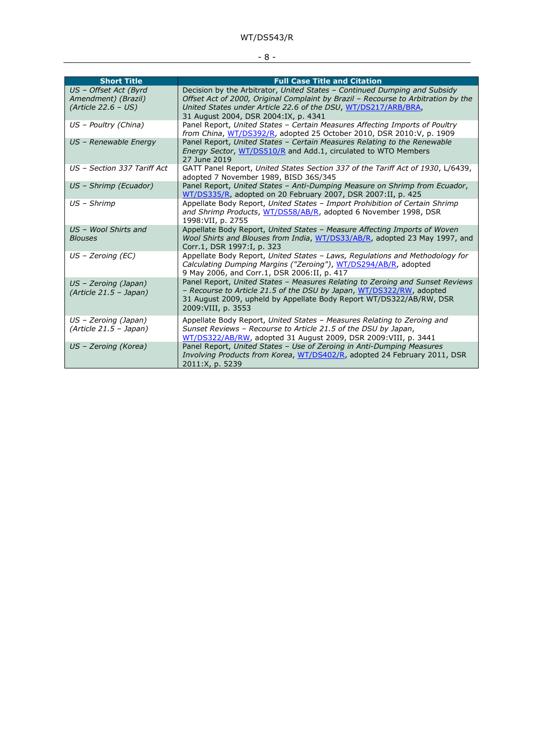## - 8 -

| <b>Short Title</b>                                                    | <b>Full Case Title and Citation</b>                                                                                                                                                                                                                                      |
|-----------------------------------------------------------------------|--------------------------------------------------------------------------------------------------------------------------------------------------------------------------------------------------------------------------------------------------------------------------|
| US - Offset Act (Byrd<br>Amendment) (Brazil)<br>$(Article 22.6 - US)$ | Decision by the Arbitrator, United States - Continued Dumping and Subsidy<br>Offset Act of 2000, Original Complaint by Brazil - Recourse to Arbitration by the<br>United States under Article 22.6 of the DSU, WT/DS217/ARB/BRA,<br>31 August 2004, DSR 2004:IX, p. 4341 |
| US - Poultry (China)                                                  | Panel Report, United States - Certain Measures Affecting Imports of Poultry<br>from China, WT/DS392/R, adopted 25 October 2010, DSR 2010: V, p. 1909                                                                                                                     |
| US - Renewable Energy                                                 | Panel Report, United States - Certain Measures Relating to the Renewable<br><i>Energy Sector, WT/DS510/R and Add.1, circulated to WTO Members</i><br>27 June 2019                                                                                                        |
| US - Section 337 Tariff Act                                           | GATT Panel Report, United States Section 337 of the Tariff Act of 1930, L/6439,<br>adopted 7 November 1989, BISD 36S/345                                                                                                                                                 |
| US - Shrimp (Ecuador)                                                 | Panel Report, United States - Anti-Dumping Measure on Shrimp from Ecuador,<br>WT/DS335/R, adopted on 20 February 2007, DSR 2007:II, p. 425                                                                                                                               |
| US - Shrimp                                                           | Appellate Body Report, United States - Import Prohibition of Certain Shrimp<br>and Shrimp Products, WT/DS58/AB/R, adopted 6 November 1998, DSR<br>1998: VII, p. 2755                                                                                                     |
| US - Wool Shirts and<br><b>Blouses</b>                                | Appellate Body Report, United States - Measure Affecting Imports of Woven<br>Wool Shirts and Blouses from India, WT/DS33/AB/R, adopted 23 May 1997, and<br>Corr.1, DSR 1997:I, p. 323                                                                                    |
| $US$ – Zeroing (EC)                                                   | Appellate Body Report, United States - Laws, Regulations and Methodology for<br>Calculating Dumping Margins ("Zeroing"), WT/DS294/AB/R, adopted<br>9 May 2006, and Corr.1, DSR 2006:II, p. 417                                                                           |
| $US$ – Zeroing (Japan)<br>$(Article 21.5 - Japan)$                    | Panel Report, United States - Measures Relating to Zeroing and Sunset Reviews<br>- Recourse to Article 21.5 of the DSU by Japan, WT/DS322/RW, adopted<br>31 August 2009, upheld by Appellate Body Report WT/DS322/AB/RW, DSR<br>2009: VIII, p. 3553                      |
| US - Zeroing (Japan)<br>(Article 21.5 - Japan)                        | Appellate Body Report, United States - Measures Relating to Zeroing and<br>Sunset Reviews - Recourse to Article 21.5 of the DSU by Japan,<br>WT/DS322/AB/RW, adopted 31 August 2009, DSR 2009: VIII, p. 3441                                                             |
| US - Zeroing (Korea)                                                  | Panel Report, United States - Use of Zeroing in Anti-Dumping Measures<br>Involving Products from Korea, WT/DS402/R, adopted 24 February 2011, DSR<br>2011:X, p. 5239                                                                                                     |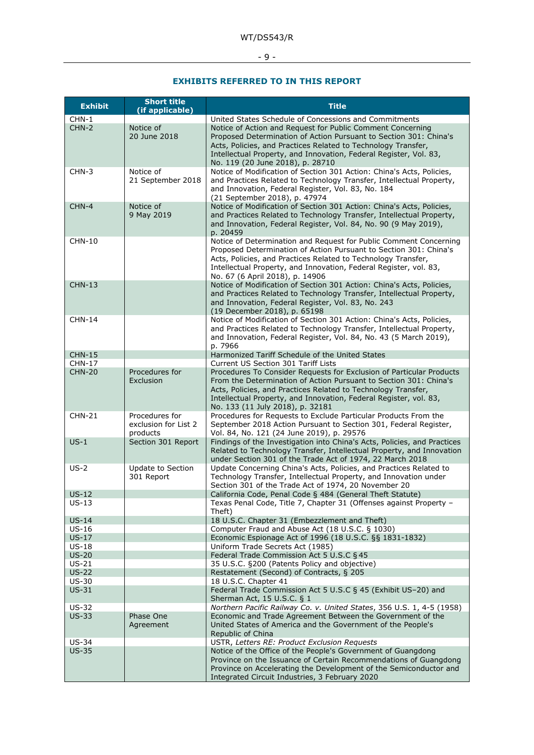- 9 -

## **EXHIBITS REFERRED TO IN THIS REPORT**

| <b>Exhibit</b>     | <b>Short title</b><br>(if applicable)              | <b>Title</b>                                                                                                                                                                                                                                                                                                        |  |  |
|--------------------|----------------------------------------------------|---------------------------------------------------------------------------------------------------------------------------------------------------------------------------------------------------------------------------------------------------------------------------------------------------------------------|--|--|
| $CHN-1$            |                                                    | United States Schedule of Concessions and Commitments                                                                                                                                                                                                                                                               |  |  |
| CHN-2              | Notice of<br>20 June 2018                          | Notice of Action and Request for Public Comment Concerning<br>Proposed Determination of Action Pursuant to Section 301: China's<br>Acts, Policies, and Practices Related to Technology Transfer,<br>Intellectual Property, and Innovation, Federal Register, Vol. 83,<br>No. 119 (20 June 2018), p. 28710           |  |  |
| CHN-3              | Notice of<br>21 September 2018                     | Notice of Modification of Section 301 Action: China's Acts, Policies,<br>and Practices Related to Technology Transfer, Intellectual Property,<br>and Innovation, Federal Register, Vol. 83, No. 184<br>(21 September 2018), p. 47974                                                                                |  |  |
| $CHN-4$            | Notice of<br>9 May 2019                            | Notice of Modification of Section 301 Action: China's Acts, Policies,<br>and Practices Related to Technology Transfer, Intellectual Property,<br>and Innovation, Federal Register, Vol. 84, No. 90 (9 May 2019),<br>p. 20459                                                                                        |  |  |
| <b>CHN-10</b>      |                                                    | Notice of Determination and Request for Public Comment Concerning<br>Proposed Determination of Action Pursuant to Section 301: China's<br>Acts, Policies, and Practices Related to Technology Transfer,<br>Intellectual Property, and Innovation, Federal Register, vol. 83,<br>No. 67 (6 April 2018), p. 14906     |  |  |
| <b>CHN-13</b>      |                                                    | Notice of Modification of Section 301 Action: China's Acts, Policies,<br>and Practices Related to Technology Transfer, Intellectual Property,<br>and Innovation, Federal Register, Vol. 83, No. 243<br>(19 December 2018), p. 65198                                                                                 |  |  |
| <b>CHN-14</b>      |                                                    | Notice of Modification of Section 301 Action: China's Acts, Policies,<br>and Practices Related to Technology Transfer, Intellectual Property,<br>and Innovation, Federal Register, Vol. 84, No. 43 (5 March 2019),<br>p. 7966                                                                                       |  |  |
| <b>CHN-15</b>      |                                                    | Harmonized Tariff Schedule of the United States                                                                                                                                                                                                                                                                     |  |  |
| <b>CHN-17</b>      |                                                    | Current US Section 301 Tariff Lists                                                                                                                                                                                                                                                                                 |  |  |
| <b>CHN-20</b>      | Procedures for<br>Exclusion                        | Procedures To Consider Requests for Exclusion of Particular Products<br>From the Determination of Action Pursuant to Section 301: China's<br>Acts, Policies, and Practices Related to Technology Transfer,<br>Intellectual Property, and Innovation, Federal Register, vol. 83,<br>No. 133 (11 July 2018), p. 32181 |  |  |
| <b>CHN-21</b>      | Procedures for<br>exclusion for List 2<br>products | Procedures for Requests to Exclude Particular Products From the<br>September 2018 Action Pursuant to Section 301, Federal Register,<br>Vol. 84, No. 121 (24 June 2019), p. 29576                                                                                                                                    |  |  |
| $US-1$             | Section 301 Report                                 | Findings of the Investigation into China's Acts, Policies, and Practices<br>Related to Technology Transfer, Intellectual Property, and Innovation<br>under Section 301 of the Trade Act of 1974, 22 March 2018                                                                                                      |  |  |
| $US-2$             | Update to Section<br>301 Report                    | Update Concerning China's Acts, Policies, and Practices Related to<br>Technology Transfer, Intellectual Property, and Innovation under<br>Section 301 of the Trade Act of 1974, 20 November 20                                                                                                                      |  |  |
| $US-12$<br>$US-13$ |                                                    | California Code, Penal Code § 484 (General Theft Statute)<br>Texas Penal Code, Title 7, Chapter 31 (Offenses against Property -<br>Theft)                                                                                                                                                                           |  |  |
| $US-14$            |                                                    | 18 U.S.C. Chapter 31 (Embezzlement and Theft)                                                                                                                                                                                                                                                                       |  |  |
| $US-16$            |                                                    | Computer Fraud and Abuse Act (18 U.S.C. § 1030)                                                                                                                                                                                                                                                                     |  |  |
| $US-17$            |                                                    | Economic Espionage Act of 1996 (18 U.S.C. §§ 1831-1832)                                                                                                                                                                                                                                                             |  |  |
| $US-18$<br>$US-20$ |                                                    | Uniform Trade Secrets Act (1985)<br>Federal Trade Commission Act 5 U.S.C § 45                                                                                                                                                                                                                                       |  |  |
| $US-21$            |                                                    | 35 U.S.C. §200 (Patents Policy and objective)                                                                                                                                                                                                                                                                       |  |  |
| $US-22$            |                                                    | Restatement (Second) of Contracts, § 205                                                                                                                                                                                                                                                                            |  |  |
| $US-30$            |                                                    | 18 U.S.C. Chapter 41                                                                                                                                                                                                                                                                                                |  |  |
| $US-31$            |                                                    | Federal Trade Commission Act 5 U.S.C § 45 (Exhibit US-20) and                                                                                                                                                                                                                                                       |  |  |
|                    |                                                    | Sherman Act, 15 U.S.C. § 1                                                                                                                                                                                                                                                                                          |  |  |
| $US-32$            |                                                    | Northern Pacific Railway Co. v. United States, 356 U.S. 1, 4-5 (1958)                                                                                                                                                                                                                                               |  |  |
| $US-33$            | Phase One<br>Agreement                             | Economic and Trade Agreement Between the Government of the<br>United States of America and the Government of the People's<br>Republic of China                                                                                                                                                                      |  |  |
| <b>US-34</b>       |                                                    | USTR, Letters RE: Product Exclusion Requests                                                                                                                                                                                                                                                                        |  |  |
| $US-35$            |                                                    | Notice of the Office of the People's Government of Guangdong<br>Province on the Issuance of Certain Recommendations of Guangdong<br>Province on Accelerating the Development of the Semiconductor and                                                                                                               |  |  |
|                    |                                                    | Integrated Circuit Industries, 3 February 2020                                                                                                                                                                                                                                                                      |  |  |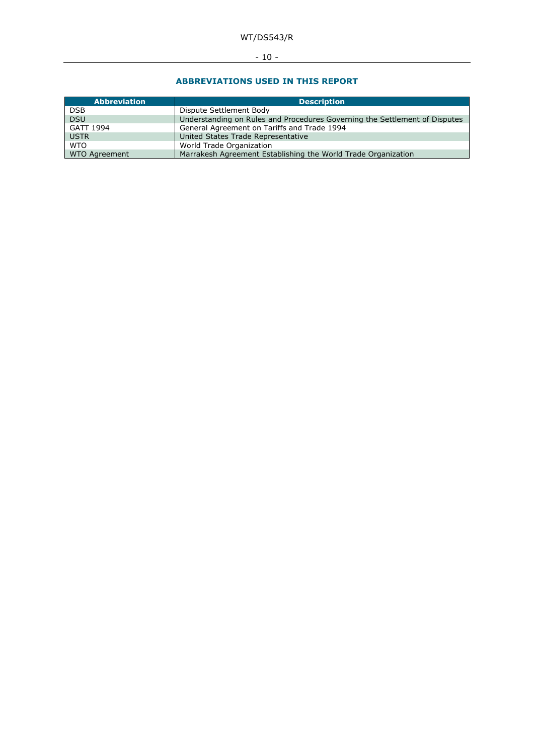- 10 -

#### **ABBREVIATIONS USED IN THIS REPORT**

| <b>Abbreviation</b> | <b>Description</b>                                                         |
|---------------------|----------------------------------------------------------------------------|
| <b>DSB</b>          | Dispute Settlement Body                                                    |
| <b>DSU</b>          | Understanding on Rules and Procedures Governing the Settlement of Disputes |
| GATT 1994           | General Agreement on Tariffs and Trade 1994                                |
| <b>USTR</b>         | United States Trade Representative                                         |
| <b>WTO</b>          | World Trade Organization                                                   |
| WTO Agreement       | Marrakesh Agreement Establishing the World Trade Organization              |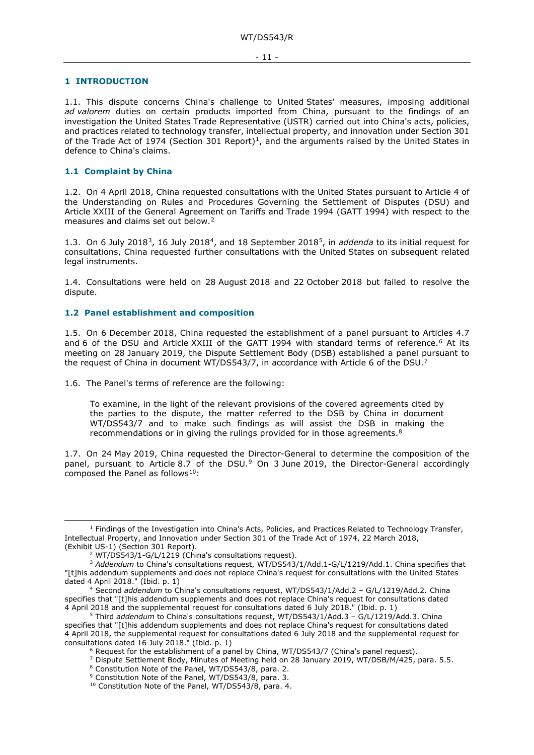#### <span id="page-10-0"></span>**1 INTRODUCTION**

1.1. This dispute concerns China's challenge to United States' measures, imposing additional *ad valorem* duties on certain products imported from China, pursuant to the findings of an investigation the United States Trade Representative (USTR) carried out into China's acts, policies, and practices related to technology transfer, intellectual property, and innovation under Section 301 of the Trade Act of [1](#page-10-3)974 (Section 301 Report)<sup>1</sup>, and the arguments raised by the United States in defence to China's claims.

#### <span id="page-10-1"></span>**1.1 Complaint by China**

1.2. On 4 April 2018, China requested consultations with the United States pursuant to Article 4 of the Understanding on Rules and Procedures Governing the Settlement of Disputes (DSU) and Article XXIII of the General Agreement on Tariffs and Trade 1994 (GATT 1994) with respect to the measures and claims set out below.<sup>[2](#page-10-4)</sup>

1.3. On 6 July 2018[3](#page-10-5), 16 July 2018[4](#page-10-6), and 18 September 2018[5,](#page-10-7) in *addenda* to its initial request for consultations, China requested further consultations with the United States on subsequent related legal instruments.

1.4. Consultations were held on 28 August 2018 and 22 October 2018 but failed to resolve the dispute.

#### <span id="page-10-2"></span>**1.2 Panel establishment and composition**

1.5. On 6 December 2018, China requested the establishment of a panel pursuant to Articles 4.7 and 6 of the DSU and Article XXIII of the GATT 1994 with standard terms of reference.<sup>6</sup> At its meeting on 28 January 2019, the Dispute Settlement Body (DSB) established a panel pursuant to the request of China in document WT/DS543/[7](#page-10-9), in accordance with Article 6 of the DSU.<sup>7</sup>

1.6. The Panel's terms of reference are the following:

To examine, in the light of the relevant provisions of the covered agreements cited by the parties to the dispute, the matter referred to the DSB by China in document WT/DS543/7 and to make such findings as will assist the DSB in making the recommendations or in giving the rulings provided for in those agreements.<sup>[8](#page-10-10)</sup>

1.7. On 24 May 2019, China requested the Director-General to determine the composition of the panel, pursuant to Article 8.7 of the DSU.<sup>[9](#page-10-11)</sup> On 3 June 2019, the Director-General accordingly composed the Panel as follows<sup>10</sup>:

<span id="page-10-3"></span> $<sup>1</sup>$  Findings of the Investigation into China's Acts, Policies, and Practices Related to Technology Transfer,</sup> Intellectual Property, and Innovation under Section 301 of the Trade Act of 1974, 22 March 2018, (Exhibit US-1) (Section 301 Report).

<sup>&</sup>lt;sup>2</sup> WT/DS543/1-G/L/1219 (China's consultations request).

<span id="page-10-5"></span><span id="page-10-4"></span><sup>3</sup> *Addendum* to China's consultations request, WT/DS543/1/Add.1-G/L/1219/Add.1. China specifies that "[t]his addendum supplements and does not replace China's request for consultations with the United States dated 4 April 2018." (Ibid. p. 1)

<span id="page-10-6"></span><sup>4</sup> Second *addendum* to China's consultations request, WT/DS543/1/Add.2 – G/L/1219/Add.2. China specifies that "[t]his addendum supplements and does not replace China's request for consultations dated 4 April 2018 and the supplemental request for consultations dated 6 July 2018." (Ibid. p. 1)

<span id="page-10-10"></span><span id="page-10-9"></span><span id="page-10-8"></span><span id="page-10-7"></span><sup>&</sup>lt;sup>5</sup> Third *addendum* to China's consultations request, WT/DS543/1/Add.3 - G/L/1219/Add.3. China specifies that "[t]his addendum supplements and does not replace China's request for consultations dated 4 April 2018, the supplemental request for consultations dated 6 July 2018 and the supplemental request for consultations dated 16 July 2018." (Ibid. p. 1)

<sup>6</sup> Request for the establishment of a panel by China, WT/DS543/7 (China's panel request).

<span id="page-10-12"></span><span id="page-10-11"></span><sup>7</sup> Dispute Settlement Body, Minutes of Meeting held on 28 January 2019, WT/DSB/M/425, para. 5.5.

<sup>&</sup>lt;sup>8</sup> Constitution Note of the Panel, WT/DS543/8, para. 2.<br><sup>9</sup> Constitution Note of the Panel, WT/DS543/8, para. 3.<br><sup>10</sup> Constitution Note of the Panel, WT/DS543/8, para. 4.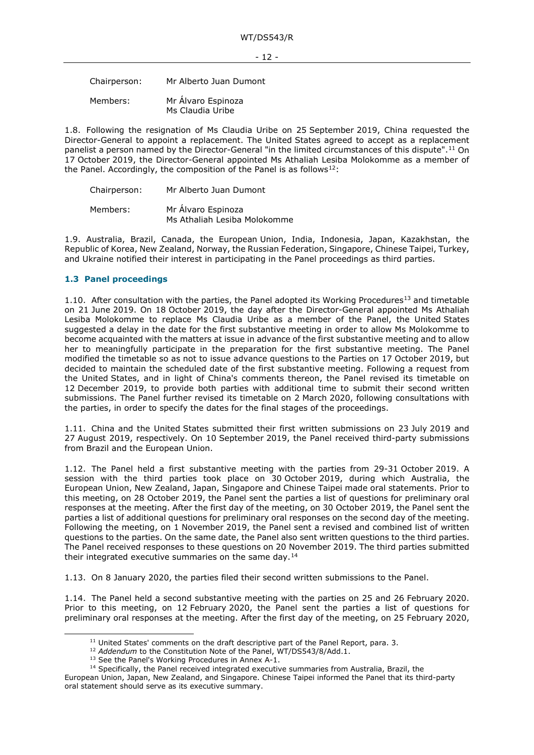Chairperson: Mr Alberto Juan Dumont

Members: Mr Álvaro Espinoza Ms Claudia Uribe

1.8. Following the resignation of Ms Claudia Uribe on 25 September 2019, China requested the Director-General to appoint a replacement. The United States agreed to accept as a replacement panelist a person named by the Director-General "in the limited circumstances of this dispute".[11](#page-11-1) On 17 October 2019, the Director-General appointed Ms Athaliah Lesiba Molokomme as a member of the Panel. Accordingly, the composition of the Panel is as follows $12$ :

| Chairperson: | Mr Alberto Juan Dumont                             |
|--------------|----------------------------------------------------|
| Members:     | Mr Álvaro Espinoza<br>Ms Athaliah Lesiba Molokomme |

1.9. Australia, Brazil, Canada, the European Union, India, Indonesia, Japan, Kazakhstan, the Republic of Korea, New Zealand, Norway, the Russian Federation, Singapore, Chinese Taipei, Turkey, and Ukraine notified their interest in participating in the Panel proceedings as third parties.

### <span id="page-11-0"></span>**1.3 Panel proceedings**

1.10. After consultation with the parties, the Panel adopted its Working Procedures<sup>13</sup> and timetable on 21 June 2019. On 18 October 2019, the day after the Director-General appointed Ms Athaliah Lesiba Molokomme to replace Ms Claudia Uribe as a member of the Panel, the United States suggested a delay in the date for the first substantive meeting in order to allow Ms Molokomme to become acquainted with the matters at issue in advance of the first substantive meeting and to allow her to meaningfully participate in the preparation for the first substantive meeting. The Panel modified the timetable so as not to issue advance questions to the Parties on 17 October 2019, but decided to maintain the scheduled date of the first substantive meeting. Following a request from the United States, and in light of China's comments thereon, the Panel revised its timetable on 12 December 2019, to provide both parties with additional time to submit their second written submissions. The Panel further revised its timetable on 2 March 2020, following consultations with the parties, in order to specify the dates for the final stages of the proceedings.

1.11. China and the United States submitted their first written submissions on 23 July 2019 and 27 August 2019, respectively. On 10 September 2019, the Panel received third-party submissions from Brazil and the European Union.

1.12. The Panel held a first substantive meeting with the parties from 29-31 October 2019. A session with the third parties took place on 30 October 2019, during which Australia, the European Union, New Zealand, Japan, Singapore and Chinese Taipei made oral statements. Prior to this meeting, on 28 October 2019, the Panel sent the parties a list of questions for preliminary oral responses at the meeting. After the first day of the meeting, on 30 October 2019, the Panel sent the parties a list of additional questions for preliminary oral responses on the second day of the meeting. Following the meeting, on 1 November 2019, the Panel sent a revised and combined list of written questions to the parties. On the same date, the Panel also sent written questions to the third parties. The Panel received responses to these questions on 20 November 2019. The third parties submitted their integrated executive summaries on the same day.<sup>[14](#page-11-4)</sup>

1.13. On 8 January 2020, the parties filed their second written submissions to the Panel.

1.14. The Panel held a second substantive meeting with the parties on 25 and 26 February 2020. Prior to this meeting, on 12 February 2020, the Panel sent the parties a list of questions for preliminary oral responses at the meeting. After the first day of the meeting, on 25 February 2020,

<sup>&</sup>lt;sup>11</sup> United States' comments on the draft descriptive part of the Panel Report, para. 3.<br><sup>12</sup> *Addendum* to the Constitution Note of the Panel, WT/DS543/8/Add.1. <sup>13</sup> See the Panel's Working Procedures in Annex A-1.

<sup>&</sup>lt;sup>14</sup> Specifically, the Panel received integrated executive summaries from Australia, Brazil, the

<span id="page-11-4"></span><span id="page-11-3"></span><span id="page-11-2"></span><span id="page-11-1"></span>European Union, Japan, New Zealand, and Singapore. Chinese Taipei informed the Panel that its third-party oral statement should serve as its executive summary.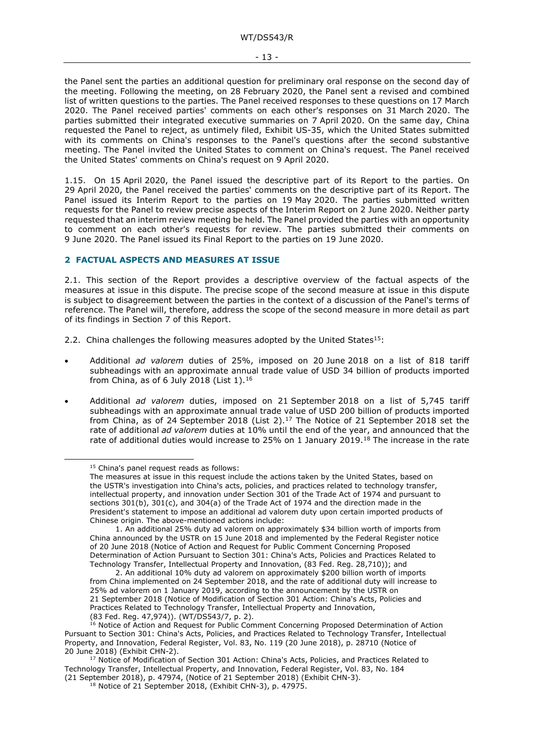the Panel sent the parties an additional question for preliminary oral response on the second day of the meeting. Following the meeting, on 28 February 2020, the Panel sent a revised and combined list of written questions to the parties. The Panel received responses to these questions on 17 March 2020. The Panel received parties' comments on each other's responses on 31 March 2020. The parties submitted their integrated executive summaries on 7 April 2020. On the same day, China requested the Panel to reject, as untimely filed, Exhibit US-35, which the United States submitted with its comments on China's responses to the Panel's questions after the second substantive meeting. The Panel invited the United States to comment on China's request. The Panel received the United States' comments on China's request on 9 April 2020.

1.15. On 15 April 2020, the Panel issued the descriptive part of its Report to the parties. On 29 April 2020, the Panel received the parties' comments on the descriptive part of its Report. The Panel issued its Interim Report to the parties on 19 May 2020. The parties submitted written requests for the Panel to review precise aspects of the Interim Report on 2 June 2020. Neither party requested that an interim review meeting be held. The Panel provided the parties with an opportunity to comment on each other's requests for review. The parties submitted their comments on 9 June 2020. The Panel issued its Final Report to the parties on 19 June 2020.

#### <span id="page-12-0"></span>**2 FACTUAL ASPECTS AND MEASURES AT ISSUE**

2.1. This section of the Report provides a descriptive overview of the factual aspects of the measures at issue in this dispute. The precise scope of the second measure at issue in this dispute is subject to disagreement between the parties in the context of a discussion of the Panel's terms of reference. The Panel will, therefore, address the scope of the second measure in more detail as part of its findings in Section 7 of this Report.

2.2. China challenges the following measures adopted by the United States<sup>15</sup>:

- Additional *ad valorem* duties of 25%, imposed on 20 June 2018 on a list of 818 tariff subheadings with an approximate annual trade value of USD 34 billion of products imported from China, as of 6 July 2018 (List 1).[16](#page-12-2)
- Additional *ad valorem* duties, imposed on 21 September 2018 on a list of 5,745 tariff subheadings with an approximate annual trade value of USD 200 billion of products imported from China, as of 24 September 2018 (List  $2$ ).<sup>[17](#page-12-3)</sup> The Notice of 21 September 2018 set the rate of additional *ad valorem* duties at 10% until the end of the year, and announced that the rate of additional duties would increase to 25% on 1 January 2019.<sup>18</sup> The increase in the rate

<span id="page-12-1"></span><sup>&</sup>lt;sup>15</sup> China's panel request reads as follows:

The measures at issue in this request include the actions taken by the United States, based on the USTR's investigation into China's acts, policies, and practices related to technology transfer, intellectual property, and innovation under Section 301 of the Trade Act of 1974 and pursuant to sections 301(b), 301(c), and 304(a) of the Trade Act of 1974 and the direction made in the President's statement to impose an additional ad valorem duty upon certain imported products of Chinese origin. The above-mentioned actions include:

<sup>1.</sup> An additional 25% duty ad valorem on approximately \$34 billion worth of imports from China announced by the USTR on 15 June 2018 and implemented by the Federal Register notice of 20 June 2018 (Notice of Action and Request for Public Comment Concerning Proposed Determination of Action Pursuant to Section 301: China's Acts, Policies and Practices Related to Technology Transfer, Intellectual Property and Innovation, (83 Fed. Reg. 28,710)); and

<sup>2.</sup> An additional 10% duty ad valorem on approximately \$200 billion worth of imports from China implemented on 24 September 2018, and the rate of additional duty will increase to 25% ad valorem on 1 January 2019, according to the announcement by the USTR on 21 September 2018 (Notice of Modification of Section 301 Action: China's Acts, Policies and Practices Related to Technology Transfer, Intellectual Property and Innovation, (83 Fed. Req. 47,974)). (WT/DS543/7, p. 2).

<span id="page-12-2"></span><sup>&</sup>lt;sup>16</sup> Notice of Action and Request for Public Comment Concerning Proposed Determination of Action Pursuant to Section 301: China's Acts, Policies, and Practices Related to Technology Transfer, Intellectual Property, and Innovation, Federal Register, Vol. 83, No. 119 (20 June 2018), p. 28710 (Notice of 20 June 2018) (Exhibit CHN-2).

<span id="page-12-4"></span><span id="page-12-3"></span> $^{17}$  Notice of Modification of Section 301 Action: China's Acts, Policies, and Practices Related to Technology Transfer, Intellectual Property, and Innovation, Federal Register, Vol. 83, No. 184 (21 September 2018), p. 47974, (Notice of 21 September 2018) (Exhibit CHN-3).

<sup>18</sup> Notice of 21 September 2018, (Exhibit CHN-3), p. 47975.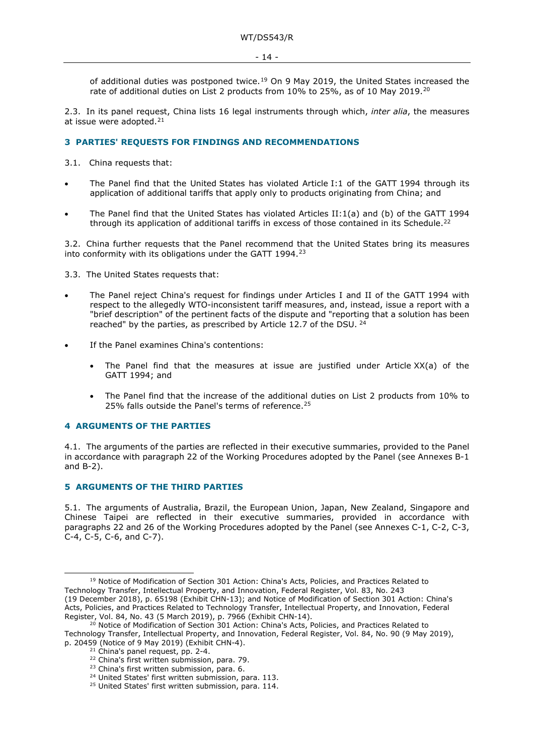of additional duties was postponed twice.<sup>[19](#page-13-3)</sup> On 9 May 2019, the United States increased the rate of additional duties on List 2 products from 10% to 25%, as of 10 May 2019.[20](#page-13-4)

2.3. In its panel request, China lists 16 legal instruments through which, *inter alia*, the measures at issue were adopted.<sup>[21](#page-13-5)</sup>

#### <span id="page-13-0"></span>**3 PARTIES' REQUESTS FOR FINDINGS AND RECOMMENDATIONS**

3.1. China requests that:

- The Panel find that the United States has violated Article I:1 of the GATT 1994 through its application of additional tariffs that apply only to products originating from China; and
- The Panel find that the United States has violated Articles II:1(a) and (b) of the GATT 1994 through its application of additional tariffs in excess of those contained in its Schedule.<sup>[22](#page-13-6)</sup>

3.2. China further requests that the Panel recommend that the United States bring its measures into conformity with its obligations under the GATT 1994.<sup>[23](#page-13-7)</sup>

3.3. The United States requests that:

- The Panel reject China's request for findings under Articles I and II of the GATT 1994 with respect to the allegedly WTO-inconsistent tariff measures, and, instead, issue a report with a "brief description" of the pertinent facts of the dispute and "reporting that a solution has been reached" by the parties, as prescribed by Article 12.7 of the DSU. [24](#page-13-8)
- If the Panel examines China's contentions:
	- The Panel find that the measures at issue are justified under Article  $XX(a)$  of the GATT 1994; and
	- The Panel find that the increase of the additional duties on List 2 products from 10% to [25](#page-13-9)% falls outside the Panel's terms of reference.<sup>25</sup>

#### <span id="page-13-1"></span>**4 ARGUMENTS OF THE PARTIES**

4.1. The arguments of the parties are reflected in their executive summaries, provided to the Panel in accordance with paragraph 22 of the Working Procedures adopted by the Panel (see Annexes B-1 and B-2).

#### <span id="page-13-2"></span>**5 ARGUMENTS OF THE THIRD PARTIES**

5.1. The arguments of Australia, Brazil, the European Union, Japan, New Zealand, Singapore and Chinese Taipei are reflected in their executive summaries, provided in accordance with paragraphs 22 and 26 of the Working Procedures adopted by the Panel (see Annexes C-1, C-2, C-3, C-4, C-5, C-6, and C-7).

<span id="page-13-3"></span><sup>&</sup>lt;sup>19</sup> Notice of Modification of Section 301 Action: China's Acts, Policies, and Practices Related to Technology Transfer, Intellectual Property, and Innovation, Federal Register, Vol. 83, No. 243 (19 December 2018), p. 65198 (Exhibit CHN-13); and Notice of Modification of Section 301 Action: China's Acts, Policies, and Practices Related to Technology Transfer, Intellectual Property, and Innovation, Federal Register, Vol. 84, No. 43 (5 March 2019), p. 7966 (Exhibit CHN-14).

<span id="page-13-8"></span><span id="page-13-7"></span><span id="page-13-6"></span><span id="page-13-5"></span><span id="page-13-4"></span><sup>&</sup>lt;sup>20</sup> Notice of Modification of Section 301 Action: China's Acts, Policies, and Practices Related to Technology Transfer, Intellectual Property, and Innovation, Federal Register, Vol. 84, No. 90 (9 May 2019), p. 20459 (Notice of 9 May 2019) (Exhibit CHN-4).<br><sup>21</sup> China's panel request, pp. 2-4.<br><sup>22</sup> China's first written submission, para. 79.

<sup>&</sup>lt;sup>23</sup> China's first written submission, para. 6.  $24$  United States' first written submission, para. 113.

<span id="page-13-9"></span><sup>&</sup>lt;sup>25</sup> United States' first written submission, para. 114.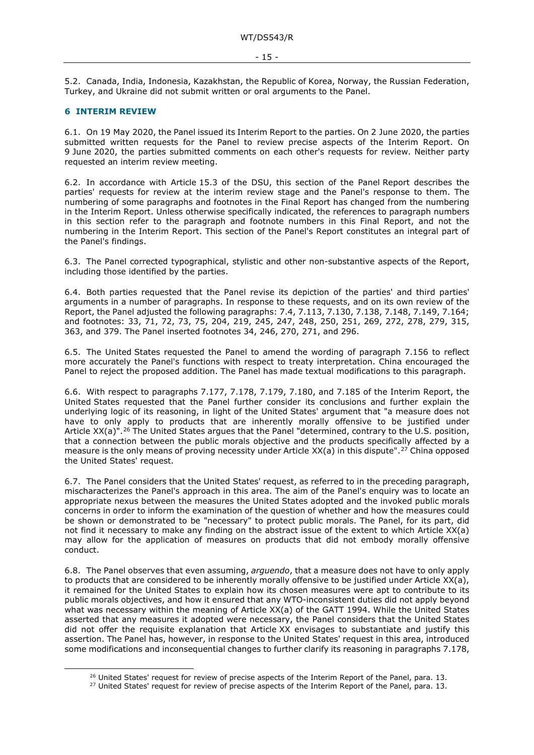5.2. Canada, India, Indonesia, Kazakhstan, the Republic of Korea, Norway, the Russian Federation, Turkey, and Ukraine did not submit written or oral arguments to the Panel.

#### <span id="page-14-0"></span>**6 INTERIM REVIEW**

6.1. On 19 May 2020, the Panel issued its Interim Report to the parties. On 2 June 2020, the parties submitted written requests for the Panel to review precise aspects of the Interim Report. On 9 June 2020, the parties submitted comments on each other's requests for review. Neither party requested an interim review meeting.

6.2. In accordance with Article 15.3 of the DSU, this section of the Panel Report describes the parties' requests for review at the interim review stage and the Panel's response to them. The numbering of some paragraphs and footnotes in the Final Report has changed from the numbering in the Interim Report. Unless otherwise specifically indicated, the references to paragraph numbers in this section refer to the paragraph and footnote numbers in this Final Report, and not the numbering in the Interim Report. This section of the Panel's Report constitutes an integral part of the Panel's findings.

6.3. The Panel corrected typographical, stylistic and other non-substantive aspects of the Report, including those identified by the parties.

6.4. Both parties requested that the Panel revise its depiction of the parties' and third parties' arguments in a number of paragraphs. In response to these requests, and on its own review of the Report, the Panel adjusted the following paragraphs: [7.4,](#page-15-4) [7.113,](#page-35-2) [7.130,](#page-39-0) [7.138,](#page-41-1) [7.148,](#page-43-0) [7.149,](#page-43-1) [7.164;](#page-46-1) and footnotes: [33,](#page-16-1) [71,](#page-20-0) [72,](#page-20-1) [73,](#page-20-2) [75,](#page-20-3) [204,](#page-35-3) [219,](#page-37-1) [245,](#page-39-1) [247,](#page-39-2) [248,](#page-39-3) [250,](#page-39-4) [251,](#page-39-5) [269,](#page-41-2) [272,](#page-41-3) [278,](#page-42-0) [279,](#page-42-1) [315,](#page-46-2) [363,](#page-50-0) and [379.](#page-51-2) The Panel inserted footnotes [34,](#page-16-2) [246,](#page-39-6) [270,](#page-41-4) [271,](#page-41-5) and [296.](#page-43-2)

6.5. The United States requested the Panel to amend the wording of paragraph [7.156](#page-44-2) to reflect more accurately the Panel's functions with respect to treaty interpretation. China encouraged the Panel to reject the proposed addition. The Panel has made textual modifications to this paragraph.

6.6. With respect to paragraphs 7.177, 7.178, 7.179, 7.180, and 7.185 of the Interim Report, the United States requested that the Panel further consider its conclusions and further explain the underlying logic of its reasoning, in light of the United States' argument that "a measure does not have to only apply to products that are inherently morally offensive to be justified under Article XX(a)".<sup>[26](#page-14-1)</sup> The United States argues that the Panel "determined, contrary to the U.S. position, that a connection between the public morals objective and the products specifically affected by a measure is the only means of proving necessity under Article  $XX(a)$  in this dispute".<sup>[27](#page-14-2)</sup> China opposed the United States' request.

6.7. The Panel considers that the United States' request, as referred to in the preceding paragraph, mischaracterizes the Panel's approach in this area. The aim of the Panel's enquiry was to locate an appropriate nexus between the measures the United States adopted and the invoked public morals concerns in order to inform the examination of the question of whether and how the measures could be shown or demonstrated to be "necessary" to protect public morals. The Panel, for its part, did not find it necessary to make any finding on the abstract issue of the extent to which Article XX(a) may allow for the application of measures on products that did not embody morally offensive conduct.

6.8. The Panel observes that even assuming, *arguendo*, that a measure does not have to only apply to products that are considered to be inherently morally offensive to be justified under Article XX(a), it remained for the United States to explain how its chosen measures were apt to contribute to its public morals objectives, and how it ensured that any WTO-inconsistent duties did not apply beyond what was necessary within the meaning of Article XX(a) of the GATT 1994. While the United States asserted that any measures it adopted were necessary, the Panel considers that the United States did not offer the requisite explanation that Article XX envisages to substantiate and justify this assertion. The Panel has, however, in response to the United States' request in this area, introduced some modifications and inconsequential changes to further clarify its reasoning in paragraphs [7.178,](#page-50-1)

<span id="page-14-1"></span><sup>&</sup>lt;sup>26</sup> United States' request for review of precise aspects of the Interim Report of the Panel, para. 13.

<span id="page-14-2"></span><sup>&</sup>lt;sup>27</sup> United States' request for review of precise aspects of the Interim Report of the Panel, para. 13.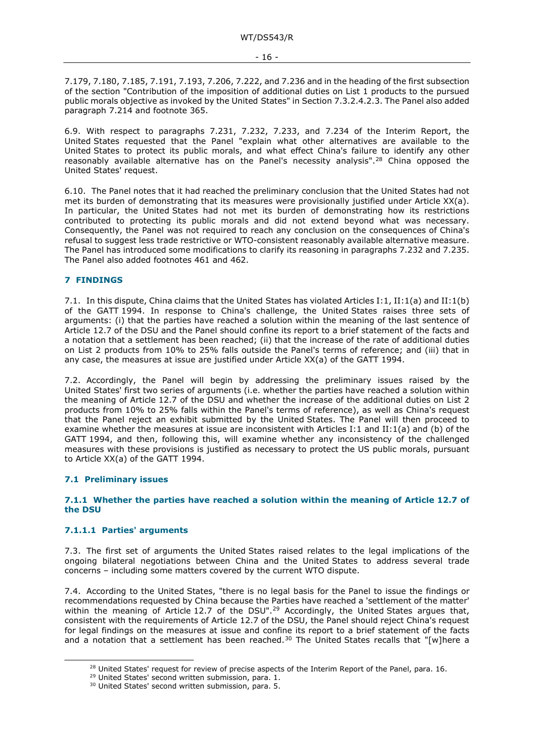[7.179,](#page-50-2) [7.180,](#page-50-3) [7.185,](#page-52-0) [7.191,](#page-53-0) [7.193,](#page-54-1) [7.206,](#page-57-0) [7.222,](#page-60-0) and [7.236](#page-62-2) and in the heading of the first subsection of the section "Contribution of the imposition of additional duties on List 1 products to the pursued public morals objective as invoked by the United States" in Section [7.3.2.4.2.3.](#page-48-1) The Panel also added paragraph [7.214](#page-58-0) and footnote [365.](#page-50-4)

6.9. With respect to paragraphs 7.231, 7.232, 7.233, and 7.234 of the Interim Report, the United States requested that the Panel "explain what other alternatives are available to the United States to protect its public morals, and what effect China's failure to identify any other reasonably available alternative has on the Panel's necessity analysis".[28](#page-15-5) China opposed the United States' request.

6.10. The Panel notes that it had reached the preliminary conclusion that the United States had not met its burden of demonstrating that its measures were provisionally justified under Article XX(a). In particular, the United States had not met its burden of demonstrating how its restrictions contributed to protecting its public morals and did not extend beyond what was necessary. Consequently, the Panel was not required to reach any conclusion on the consequences of China's refusal to suggest less trade restrictive or WTO-consistent reasonably available alternative measure. The Panel has introduced some modifications to clarify its reasoning in paragraphs [7.232](#page-62-3) and [7.235.](#page-62-4) The Panel also added footnotes [461](#page-62-5) and [462.](#page-62-6)

#### <span id="page-15-0"></span>**7 FINDINGS**

7.1. In this dispute, China claims that the United States has violated Articles I:1, II:1(a) and II:1(b) of the GATT 1994. In response to China's challenge, the United States raises three sets of arguments: (i) that the parties have reached a solution within the meaning of the last sentence of Article 12.7 of the DSU and the Panel should confine its report to a brief statement of the facts and a notation that a settlement has been reached; (ii) that the increase of the rate of additional duties on List 2 products from 10% to 25% falls outside the Panel's terms of reference; and (iii) that in any case, the measures at issue are justified under Article XX(a) of the GATT 1994.

7.2. Accordingly, the Panel will begin by addressing the preliminary issues raised by the United States' first two series of arguments (i.e. whether the parties have reached a solution within the meaning of Article 12.7 of the DSU and whether the increase of the additional duties on List 2 products from 10% to 25% falls within the Panel's terms of reference), as well as China's request that the Panel reject an exhibit submitted by the United States. The Panel will then proceed to examine whether the measures at issue are inconsistent with Articles I:1 and II:1(a) and (b) of the GATT 1994, and then, following this, will examine whether any inconsistency of the challenged measures with these provisions is justified as necessary to protect the US public morals, pursuant to Article XX(a) of the GATT 1994.

#### <span id="page-15-1"></span>**7.1 Preliminary issues**

#### <span id="page-15-2"></span>**7.1.1 Whether the parties have reached a solution within the meaning of Article 12.7 of the DSU**

#### <span id="page-15-3"></span>**7.1.1.1 Parties' arguments**

7.3. The first set of arguments the United States raised relates to the legal implications of the ongoing bilateral negotiations between China and the United States to address several trade concerns – including some matters covered by the current WTO dispute.

<span id="page-15-4"></span>7.4. According to the United States, "there is no legal basis for the Panel to issue the findings or recommendations requested by China because the Parties have reached a 'settlement of the matter' within the meaning of Article 12.7 of the DSU".<sup>[29](#page-15-6)</sup> Accordingly, the United States argues that, consistent with the requirements of Article 12.7 of the DSU, the Panel should reject China's request for legal findings on the measures at issue and confine its report to a brief statement of the facts and a notation that a settlement has been reached.<sup>[30](#page-15-7)</sup> The United States recalls that "[w]here a

<span id="page-15-6"></span><span id="page-15-5"></span> $^{28}$  United States' request for review of precise aspects of the Interim Report of the Panel, para. 16.<br><sup>29</sup> United States' second written submission, para. 1.

<span id="page-15-7"></span><sup>&</sup>lt;sup>30</sup> United States' second written submission, para. 5.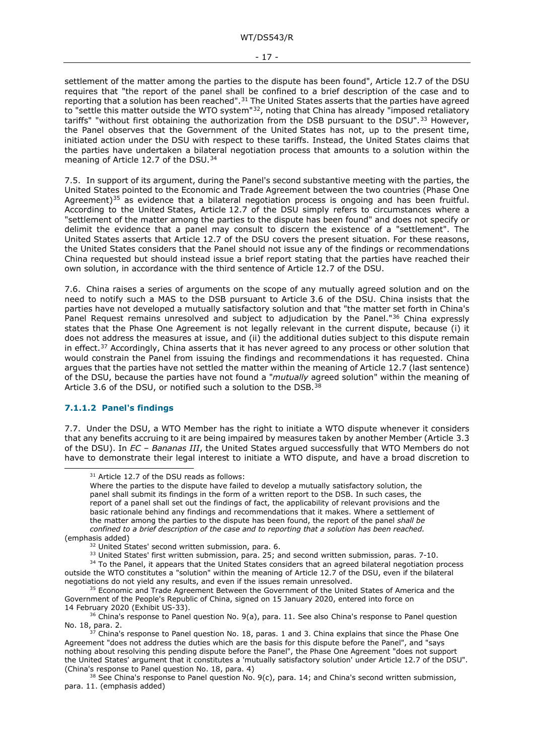<span id="page-16-1"></span>settlement of the matter among the parties to the dispute has been found", Article 12.7 of the DSU requires that "the report of the panel shall be confined to a brief description of the case and to reporting that a solution has been reached". $31$  The United States asserts that the parties have agreed to "settle this matter outside the WTO system"<sup>[32](#page-16-4)</sup>, noting that China has already "imposed retaliatory tariffs" "without first obtaining the authorization from the DSB pursuant to the DSU".<sup>[33](#page-16-5)</sup> However, the Panel observes that the Government of the United States has not, up to the present time, initiated action under the DSU with respect to these tariffs. Instead, the United States claims that the parties have undertaken a bilateral negotiation process that amounts to a solution within the meaning of Article 12.7 of the DSU.<sup>[34](#page-16-6)</sup>

<span id="page-16-2"></span>7.5. In support of its argument, during the Panel's second substantive meeting with the parties, the United States pointed to the Economic and Trade Agreement between the two countries (Phase One Agreement)<sup>[35](#page-16-7)</sup> as evidence that a bilateral negotiation process is ongoing and has been fruitful. According to the United States, Article 12.7 of the DSU simply refers to circumstances where a "settlement of the matter among the parties to the dispute has been found" and does not specify or delimit the evidence that a panel may consult to discern the existence of a "settlement". The United States asserts that Article 12.7 of the DSU covers the present situation. For these reasons, the United States considers that the Panel should not issue any of the findings or recommendations China requested but should instead issue a brief report stating that the parties have reached their own solution, in accordance with the third sentence of Article 12.7 of the DSU.

7.6. China raises a series of arguments on the scope of any mutually agreed solution and on the need to notify such a MAS to the DSB pursuant to Article 3.6 of the DSU. China insists that the parties have not developed a mutually satisfactory solution and that "the matter set forth in China's Panel Request remains unresolved and subject to adjudication by the Panel."[36](#page-16-8) China expressly states that the Phase One Agreement is not legally relevant in the current dispute, because (i) it does not address the measures at issue, and (ii) the additional duties subject to this dispute remain in effect.<sup>37</sup> Accordingly, China asserts that it has never agreed to any process or other solution that would constrain the Panel from issuing the findings and recommendations it has requested. China argues that the parties have not settled the matter within the meaning of Article 12.7 (last sentence) of the DSU, because the parties have not found a "*mutually* agreed solution" within the meaning of Article 3.6 of the DSU, or notified such a solution to the DSB.<sup>[38](#page-16-10)</sup>

#### <span id="page-16-0"></span>**7.1.1.2 Panel's findings**

7.7. Under the DSU, a WTO Member has the right to initiate a WTO dispute whenever it considers that any benefits accruing to it are being impaired by measures taken by another Member (Article 3.3 of the DSU). In *EC – Bananas III*, the United States argued successfully that WTO Members do not have to demonstrate their legal interest to initiate a WTO dispute, and have a broad discretion to

<sup>&</sup>lt;sup>31</sup> Article 12.7 of the DSU reads as follows:

<span id="page-16-3"></span>Where the parties to the dispute have failed to develop a mutually satisfactory solution, the panel shall submit its findings in the form of a written report to the DSB. In such cases, the report of a panel shall set out the findings of fact, the applicability of relevant provisions and the basic rationale behind any findings and recommendations that it makes. Where a settlement of the matter among the parties to the dispute has been found, the report of the panel *shall be confined to a brief description of the case and to reporting that a solution has been reached.* (emphasis added)

<sup>&</sup>lt;sup>32</sup> United States' second written submission, para. 6.

<sup>33</sup> United States' first written submission, para. 25; and second written submission, paras. 7-10.

<span id="page-16-6"></span><span id="page-16-5"></span><span id="page-16-4"></span><sup>&</sup>lt;sup>34</sup> To the Panel, it appears that the United States considers that an agreed bilateral negotiation process outside the WTO constitutes a "solution" within the meaning of Article 12.7 of the DSU, even if the bilateral negotiations do not yield any results, and even if the issues remain unresolved.

<span id="page-16-7"></span><sup>&</sup>lt;sup>35</sup> Economic and Trade Agreement Between the Government of the United States of America and the Government of the People's Republic of China, signed on 15 January 2020, entered into force on 14 February 2020 (Exhibit US-33).

<span id="page-16-8"></span> $36$  China's response to Panel question No. 9(a), para. 11. See also China's response to Panel question No. 18, para. 2.

<span id="page-16-9"></span> $\overline{7}$  China's response to Panel question No. 18, paras. 1 and 3. China explains that since the Phase One Agreement "does not address the duties which are the basis for this dispute before the Panel", and "says nothing about resolving this pending dispute before the Panel", the Phase One Agreement "does not support the United States' argument that it constitutes a 'mutually satisfactory solution' under Article 12.7 of the DSU". (China's response to Panel question No. 18, para. 4)

<span id="page-16-10"></span><sup>&</sup>lt;sup>38</sup> See China's response to Panel question No. 9(c), para. 14; and China's second written submission, para. 11. (emphasis added)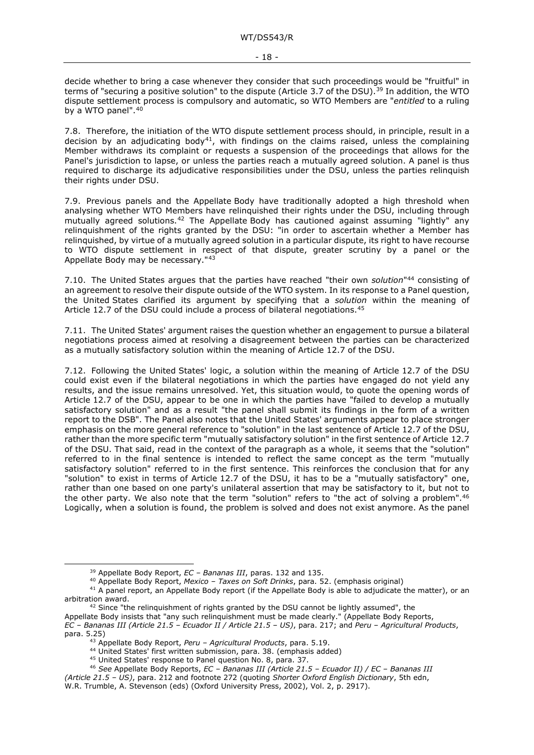decide whether to bring a case whenever they consider that such proceedings would be "fruitful" in terms of "securing a positive solution" to the dispute (Article 3.7 of the DSU).<sup>[39](#page-17-0)</sup> In addition, the WTO dispute settlement process is compulsory and automatic, so WTO Members are "*entitled* to a ruling by a WTO panel".<sup>[40](#page-17-1)</sup>

7.8. Therefore, the initiation of the WTO dispute settlement process should, in principle, result in a decision by an adjudicating body<sup>41</sup>, with findings on the claims raised, unless the complaining Member withdraws its complaint or requests a suspension of the proceedings that allows for the Panel's jurisdiction to lapse, or unless the parties reach a mutually agreed solution. A panel is thus required to discharge its adjudicative responsibilities under the DSU, unless the parties relinquish their rights under DSU.

7.9. Previous panels and the Appellate Body have traditionally adopted a high threshold when analysing whether WTO Members have relinquished their rights under the DSU, including through mutually agreed solutions.[42](#page-17-3) The Appellate Body has cautioned against assuming "lightly" any relinquishment of the rights granted by the DSU: "in order to ascertain whether a Member has relinquished, by virtue of a mutually agreed solution in a particular dispute, its right to have recourse to WTO dispute settlement in respect of that dispute, greater scrutiny by a panel or the Appellate Body may be necessary."[43](#page-17-4)

7.10. The United States argues that the parties have reached "their own *solution*["44](#page-17-5) consisting of an agreement to resolve their dispute outside of the WTO system. In its response to a Panel question, the United States clarified its argument by specifying that a *solution* within the meaning of Article 12.7 of the DSU could include a process of bilateral negotiations.<sup>[45](#page-17-6)</sup>

7.11. The United States' argument raises the question whether an engagement to pursue a bilateral negotiations process aimed at resolving a disagreement between the parties can be characterized as a mutually satisfactory solution within the meaning of Article 12.7 of the DSU.

7.12. Following the United States' logic, a solution within the meaning of Article 12.7 of the DSU could exist even if the bilateral negotiations in which the parties have engaged do not yield any results, and the issue remains unresolved. Yet, this situation would, to quote the opening words of Article 12.7 of the DSU, appear to be one in which the parties have "failed to develop a mutually satisfactory solution" and as a result "the panel shall submit its findings in the form of a written report to the DSB". The Panel also notes that the United States' arguments appear to place stronger emphasis on the more general reference to "solution" in the last sentence of Article 12.7 of the DSU, rather than the more specific term "mutually satisfactory solution" in the first sentence of Article 12.7 of the DSU. That said, read in the context of the paragraph as a whole, it seems that the "solution" referred to in the final sentence is intended to reflect the same concept as the term "mutually satisfactory solution" referred to in the first sentence. This reinforces the conclusion that for any "solution" to exist in terms of Article 12.7 of the DSU, it has to be a "mutually satisfactory" one, rather than one based on one party's unilateral assertion that may be satisfactory to it, but not to the other party. We also note that the term "solution" refers to "the act of solving a problem".<sup>[46](#page-17-7)</sup> Logically, when a solution is found, the problem is solved and does not exist anymore. As the panel

<sup>39</sup> Appellate Body Report, *EC – Bananas III*, paras. 132 and 135. 40 Appellate Body Report, *Mexico – Taxes on Soft Drinks*, para. 52. (emphasis original)

<span id="page-17-2"></span><span id="page-17-1"></span><span id="page-17-0"></span><sup>&</sup>lt;sup>41</sup> A panel report, an Appellate Body report (if the Appellate Body is able to adjudicate the matter), or an arbitration award.<br><sup>42</sup> Since "the relinquishment of rights granted by the DSU cannot be lightly assumed", the

<span id="page-17-3"></span>Appellate Body insists that "any such relinquishment must be made clearly." (Appellate Body Reports, *EC – Bananas III (Article 21.5 – Ecuador II / Article 21.5 – US)*, para. 217; and *Peru – Agricultural Products*,

<span id="page-17-5"></span><span id="page-17-4"></span>para. 5.25)<br><sup>43</sup> Appellate Body Report, *Peru - Agricultural Products*, para. 5.19.

<sup>&</sup>lt;sup>44</sup> United States' first written submission, para. 38. (emphasis added)

<sup>45</sup> United States' response to Panel question No. 8, para. 37.

<sup>46</sup> *See* Appellate Body Reports, *EC – Bananas III (Article 21.5 – Ecuador II) / EC – Bananas III* 

<span id="page-17-7"></span><span id="page-17-6"></span>*<sup>(</sup>Article 21.5 – US)*, para. 212 and footnote 272 (quoting *Shorter Oxford English Dictionary*, 5th edn, W.R. Trumble, A. Stevenson (eds) (Oxford University Press, 2002), Vol. 2, p. 2917).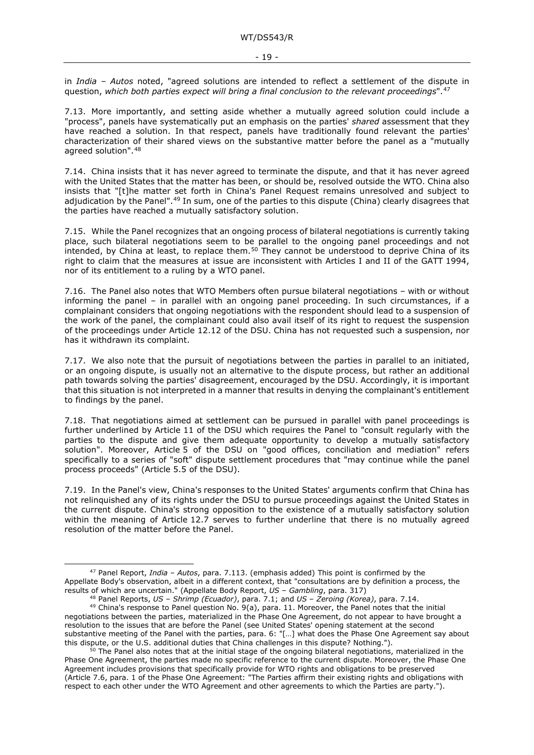in *India – Autos* noted, "agreed solutions are intended to reflect a settlement of the dispute in question, *which both parties expect will bring a final conclusion to the relevant proceedings*".[47](#page-18-0)

7.13. More importantly, and setting aside whether a mutually agreed solution could include a "process", panels have systematically put an emphasis on the parties' *shared* assessment that they have reached a solution. In that respect, panels have traditionally found relevant the parties' characterization of their shared views on the substantive matter before the panel as a "mutually agreed solution".[48](#page-18-1)

7.14. China insists that it has never agreed to terminate the dispute, and that it has never agreed with the United States that the matter has been, or should be, resolved outside the WTO. China also insists that "[t]he matter set forth in China's Panel Request remains unresolved and subject to adjudication by the Panel"[.49](#page-18-2) In sum, one of the parties to this dispute (China) clearly disagrees that the parties have reached a mutually satisfactory solution.

7.15. While the Panel recognizes that an ongoing process of bilateral negotiations is currently taking place, such bilateral negotiations seem to be parallel to the ongoing panel proceedings and not intended, by China at least, to replace them.<sup>[50](#page-18-3)</sup> They cannot be understood to deprive China of its right to claim that the measures at issue are inconsistent with Articles I and II of the GATT 1994, nor of its entitlement to a ruling by a WTO panel.

7.16. The Panel also notes that WTO Members often pursue bilateral negotiations – with or without informing the panel – in parallel with an ongoing panel proceeding. In such circumstances, if a complainant considers that ongoing negotiations with the respondent should lead to a suspension of the work of the panel, the complainant could also avail itself of its right to request the suspension of the proceedings under Article 12.12 of the DSU. China has not requested such a suspension, nor has it withdrawn its complaint.

7.17. We also note that the pursuit of negotiations between the parties in parallel to an initiated, or an ongoing dispute, is usually not an alternative to the dispute process, but rather an additional path towards solving the parties' disagreement, encouraged by the DSU. Accordingly, it is important that this situation is not interpreted in a manner that results in denying the complainant's entitlement to findings by the panel.

7.18. That negotiations aimed at settlement can be pursued in parallel with panel proceedings is further underlined by Article 11 of the DSU which requires the Panel to "consult regularly with the parties to the dispute and give them adequate opportunity to develop a mutually satisfactory solution". Moreover, Article 5 of the DSU on "good offices, conciliation and mediation" refers specifically to a series of "soft" dispute settlement procedures that "may continue while the panel process proceeds" (Article 5.5 of the DSU).

7.19. In the Panel's view, China's responses to the United States' arguments confirm that China has not relinquished any of its rights under the DSU to pursue proceedings against the United States in the current dispute. China's strong opposition to the existence of a mutually satisfactory solution within the meaning of Article 12.7 serves to further underline that there is no mutually agreed resolution of the matter before the Panel.

<span id="page-18-0"></span><sup>47</sup> Panel Report, *India – Autos*, para. 7.113. (emphasis added) This point is confirmed by the Appellate Body's observation, albeit in a different context, that "consultations are by definition a process, the results of which are uncertain." (Appellate Body Report, *US – Gambling*, para. 317)

<span id="page-18-2"></span><span id="page-18-1"></span><sup>&</sup>lt;sup>49</sup> China's response to Panel question No. 9(a), para. 11. Moreover, the Panel notes that the initial negotiations between the parties, materialized in the Phase One Agreement, do not appear to have brought a resolution to the issues that are before the Panel (see United States' opening statement at the second substantive meeting of the Panel with the parties, para. 6: "[…] what does the Phase One Agreement say about this dispute, or the U.S. additional duties that China challenges in this dispute? Nothing.").

<span id="page-18-3"></span><sup>&</sup>lt;sup>50</sup> The Panel also notes that at the initial stage of the ongoing bilateral negotiations, materialized in the Phase One Agreement, the parties made no specific reference to the current dispute. Moreover, the Phase One Agreement includes provisions that specifically provide for WTO rights and obligations to be preserved (Article 7.6, para. 1 of the Phase One Agreement: "The Parties affirm their existing rights and obligations with respect to each other under the WTO Agreement and other agreements to which the Parties are party.").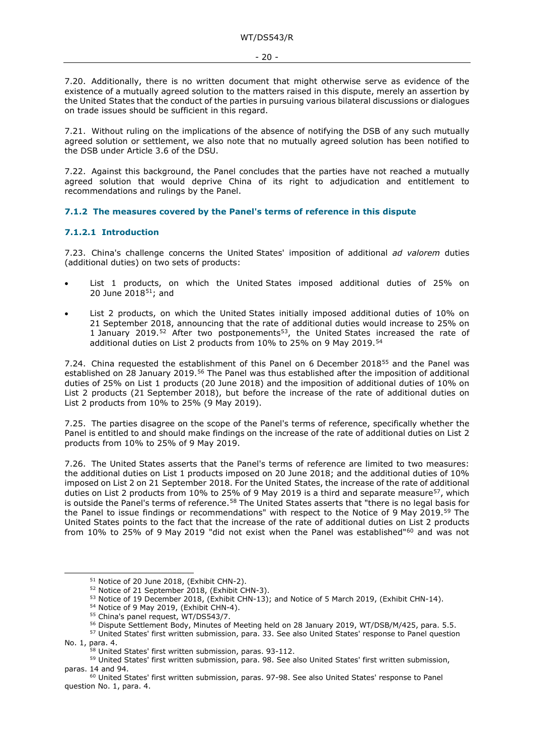7.20. Additionally, there is no written document that might otherwise serve as evidence of the existence of a mutually agreed solution to the matters raised in this dispute, merely an assertion by the United States that the conduct of the parties in pursuing various bilateral discussions or dialogues on trade issues should be sufficient in this regard.

7.21. Without ruling on the implications of the absence of notifying the DSB of any such mutually agreed solution or settlement, we also note that no mutually agreed solution has been notified to the DSB under Article 3.6 of the DSU.

7.22. Against this background, the Panel concludes that the parties have not reached a mutually agreed solution that would deprive China of its right to adjudication and entitlement to recommendations and rulings by the Panel.

#### <span id="page-19-0"></span>**7.1.2 The measures covered by the Panel's terms of reference in this dispute**

#### <span id="page-19-1"></span>**7.1.2.1 Introduction**

7.23. China's challenge concerns the United States' imposition of additional *ad valorem* duties (additional duties) on two sets of products:

- List 1 products, on which the United States imposed additional duties of 25% on 20 June 201[851](#page-19-2); and
- List 2 products, on which the United States initially imposed additional duties of 10% on 21 September 2018, announcing that the rate of additional duties would increase to 25% on 1 January 2019.<sup>[52](#page-19-3)</sup> After two postponements<sup>[53](#page-19-4)</sup>, the United States increased the rate of additional duties on List 2 products from 10% to 25% on 9 May 2019.<sup>[54](#page-19-5)</sup>

7.24. China requested the establishment of this Panel on 6 December 2018<sup>[55](#page-19-6)</sup> and the Panel was established on 28 January 2019.<sup>[56](#page-19-7)</sup> The Panel was thus established after the imposition of additional duties of 25% on List 1 products (20 June 2018) and the imposition of additional duties of 10% on List 2 products (21 September 2018), but before the increase of the rate of additional duties on List 2 products from 10% to 25% (9 May 2019).

7.25. The parties disagree on the scope of the Panel's terms of reference, specifically whether the Panel is entitled to and should make findings on the increase of the rate of additional duties on List 2 products from 10% to 25% of 9 May 2019.

7.26. The United States asserts that the Panel's terms of reference are limited to two measures: the additional duties on List 1 products imposed on 20 June 2018; and the additional duties of 10% imposed on List 2 on 21 September 2018. For the United States, the increase of the rate of additional duties on List 2 products from 10% to 25% of 9 May 2019 is a third and separate measure<sup>57</sup>, which is outside the Panel's terms of reference.<sup>[58](#page-19-9)</sup> The United States asserts that "there is no legal basis for the Panel to issue findings or recommendations" with respect to the Notice of 9 May 2019.[59](#page-19-10) The United States points to the fact that the increase of the rate of additional duties on List 2 products from 10% to 25% of 9 May 2019 "did not exist when the Panel was established"<sup>[60](#page-19-11)</sup> and was not

<sup>&</sup>lt;sup>51</sup> Notice of 20 June 2018, (Exhibit CHN-2).

<sup>52</sup> Notice of 21 September 2018, (Exhibit CHN-3).

<sup>&</sup>lt;sup>53</sup> Notice of 19 December 2018, (Exhibit CHN-13); and Notice of 5 March 2019, (Exhibit CHN-14).

<sup>&</sup>lt;sup>54</sup> Notice of 9 May 2019, (Exhibit CHN-4).<br><sup>55</sup> China's panel request, WT/DS543/7.

<sup>&</sup>lt;sup>56</sup> Dispute Settlement Body, Minutes of Meeting held on 28 January 2019, WT/DSB/M/425, para. 5.5.

<span id="page-19-8"></span><span id="page-19-7"></span><span id="page-19-6"></span><span id="page-19-5"></span><span id="page-19-4"></span><span id="page-19-3"></span><span id="page-19-2"></span><sup>&</sup>lt;sup>57</sup> United States' first written submission, para. 33. See also United States' response to Panel question No. 1, para. 4.

<sup>&</sup>lt;sup>58</sup> United States' first written submission, paras. 93-112.

<span id="page-19-10"></span><span id="page-19-9"></span><sup>&</sup>lt;sup>59</sup> United States' first written submission, para. 98. See also United States' first written submission, paras. 14 and 94.

<span id="page-19-11"></span><sup>60</sup> United States' first written submission, paras. 97-98. See also United States' response to Panel question No. 1, para. 4.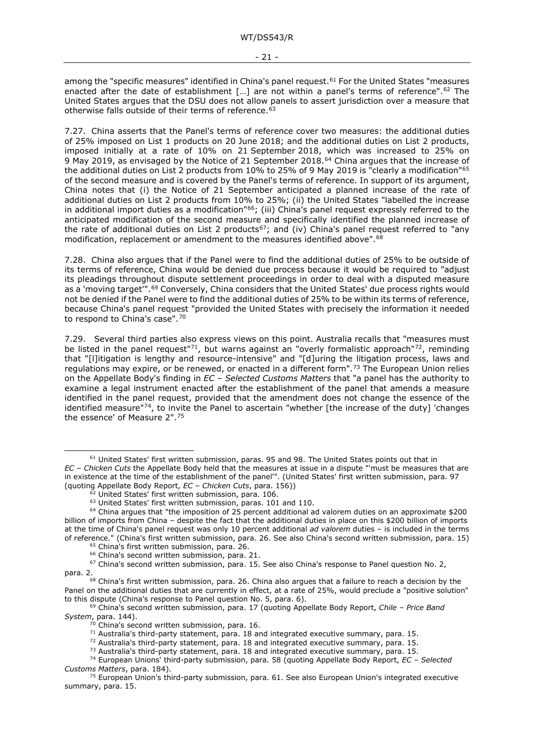among the "specific measures" identified in China's panel request.<sup>[61](#page-20-4)</sup> For the United States "measures enacted after the date of establishment [...] are not within a panel's terms of reference".<sup>[62](#page-20-5)</sup> The United States argues that the DSU does not allow panels to assert jurisdiction over a measure that otherwise falls outside of their terms of reference.<sup>[63](#page-20-6)</sup>

7.27. China asserts that the Panel's terms of reference cover two measures: the additional duties of 25% imposed on List 1 products on 20 June 2018; and the additional duties on List 2 products, imposed initially at a rate of 10% on 21 September 2018, which was increased to 25% on 9 May 2019, as envisaged by the Notice of 21 September 2018.<sup>[64](#page-20-7)</sup> China argues that the increase of the additional duties on List 2 products from 10% to 25% of 9 May 2019 is "clearly a modification"[65](#page-20-8) of the second measure and is covered by the Panel's terms of reference. In support of its argument, China notes that (i) the Notice of 21 September anticipated a planned increase of the rate of additional duties on List 2 products from 10% to 25%; (ii) the United States "labelled the increase in additional import duties as a modification"<sup>66</sup>; (iii) China's panel request expressly referred to the anticipated modification of the second measure and specifically identified the planned increase of the rate of additional duties on List 2 products<sup>67</sup>; and (iv) China's panel request referred to "any modification, replacement or amendment to the measures identified above".[68](#page-20-11)

7.28. China also argues that if the Panel were to find the additional duties of 25% to be outside of its terms of reference, China would be denied due process because it would be required to "adjust its pleadings throughout dispute settlement proceedings in order to deal with a disputed measure as a 'moving target'".<sup>[69](#page-20-12)</sup> Conversely, China considers that the United States' due process rights would not be denied if the Panel were to find the additional duties of 25% to be within its terms of reference, because China's panel request "provided the United States with precisely the information it needed to respond to China's case".[70](#page-20-13)

<span id="page-20-2"></span><span id="page-20-1"></span><span id="page-20-0"></span>7.29. Several third parties also express views on this point. Australia recalls that "measures must be listed in the panel request"<sup>71</sup>, but warns against an "overly formalistic approach"<sup>72</sup>, reminding that "[l]itigation is lengthy and resource-intensive" and "[d]uring the litigation process, laws and regulations may expire, or be renewed, or enacted in a different form".[73](#page-20-16) The European Union relies on the Appellate Body's finding in *EC – Selected Customs Matters* that "a panel has the authority to examine a legal instrument enacted after the establishment of the panel that amends a measure identified in the panel request, provided that the amendment does not change the essence of the identified measure"<sup>74</sup>, to invite the Panel to ascertain "whether [the increase of the duty] 'changes the essence' of Measure 2".[75](#page-20-18)

<span id="page-20-4"></span><sup>&</sup>lt;sup>61</sup> United States' first written submission, paras. 95 and 98. The United States points out that in *EC – Chicken Cuts* the Appellate Body held that the measures at issue in a dispute "'must be measures that are in existence at the time of the establishment of the panel'". (United States' first written submission, para. 97 (quoting Appellate Body Report, *EC – Chicken Cuts*, para. 156))

<span id="page-20-3"></span> $^2$  United States' first written submission, para. 106.

<sup>63</sup> United States' first written submission, paras. 101 and 110.

<span id="page-20-7"></span><span id="page-20-6"></span><span id="page-20-5"></span><sup>&</sup>lt;sup>64</sup> China argues that "the imposition of 25 percent additional ad valorem duties on an approximate \$200 billion of imports from China – despite the fact that the additional duties in place on this \$200 billion of imports at the time of China's panel request was only 10 percent additional *ad valorem* duties – is included in the terms of reference." (China's first written submission, para. 26. See also China's second written submission, para. 15)

 $65$  China's first written submission, para. 26.<br> $66$  China's second written submission, para. 21.

<span id="page-20-10"></span><span id="page-20-9"></span><span id="page-20-8"></span> $67$  China's second written submission, para. 15. See also China's response to Panel question No. 2, para. 2.

<span id="page-20-11"></span><sup>68</sup> China's first written submission, para. 26. China also argues that a failure to reach a decision by the Panel on the additional duties that are currently in effect, at a rate of 25%, would preclude a "positive solution" to this dispute (China's response to Panel question No. 5, para. 6).

<sup>&</sup>lt;sup>69</sup> China's second written submission, para. 17 (quoting Appellate Body Report, *Chile – Price Band* 

<span id="page-20-14"></span><span id="page-20-13"></span><span id="page-20-12"></span>System, para. 144).<br><sup>70</sup> China's second written submission, para. 16.

 $^{71}$  Australia's third-party statement, para. 18 and integrated executive summary, para. 15.<br> $^{72}$  Australia's third-party statement, para. 18 and integrated executive summary, para. 15.

 $73$  Australia's third-party statement, para. 18 and integrated executive summary, para. 15.

<span id="page-20-17"></span><span id="page-20-16"></span><span id="page-20-15"></span><sup>74</sup> European Unions' third-party submission, para. 58 (quoting Appellate Body Report, *EC – Selected* 

<span id="page-20-18"></span><sup>&</sup>lt;sup>75</sup> European Union's third-party submission, para. 61. See also European Union's integrated executive summary, para. 15.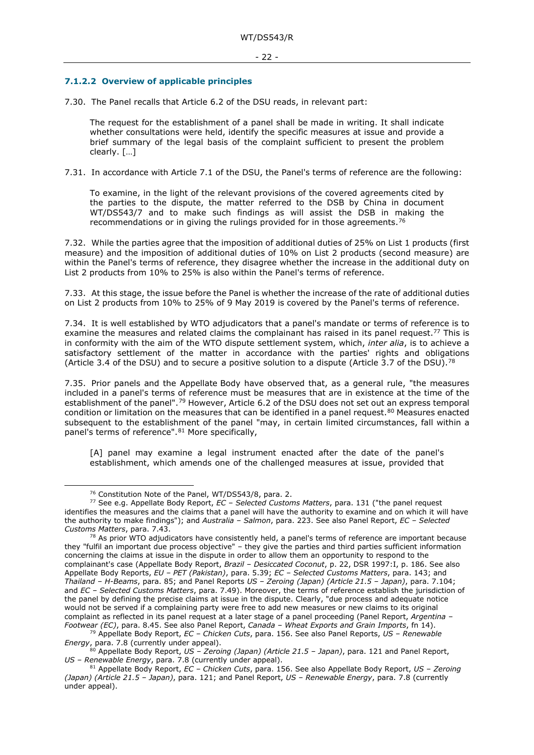#### <span id="page-21-0"></span>**7.1.2.2 Overview of applicable principles**

7.30. The Panel recalls that Article 6.2 of the DSU reads, in relevant part:

The request for the establishment of a panel shall be made in writing. It shall indicate whether consultations were held, identify the specific measures at issue and provide a brief summary of the legal basis of the complaint sufficient to present the problem clearly. […]

7.31. In accordance with Article 7.1 of the DSU, the Panel's terms of reference are the following:

To examine, in the light of the relevant provisions of the covered agreements cited by the parties to the dispute, the matter referred to the DSB by China in document WT/DS543/7 and to make such findings as will assist the DSB in making the recommendations or in giving the rulings provided for in those agreements.[76](#page-21-1)

7.32. While the parties agree that the imposition of additional duties of 25% on List 1 products (first measure) and the imposition of additional duties of 10% on List 2 products (second measure) are within the Panel's terms of reference, they disagree whether the increase in the additional duty on List 2 products from 10% to 25% is also within the Panel's terms of reference.

7.33. At this stage, the issue before the Panel is whether the increase of the rate of additional duties on List 2 products from 10% to 25% of 9 May 2019 is covered by the Panel's terms of reference.

7.34. It is well established by WTO adjudicators that a panel's mandate or terms of reference is to examine the measures and related claims the complainant has raised in its panel request.<sup>77</sup> This is in conformity with the aim of the WTO dispute settlement system, which, *inter alia*, is to achieve a satisfactory settlement of the matter in accordance with the parties' rights and obligations (Article 3.4 of the DSU) and to secure a positive solution to a dispute (Article 3.7 of the DSU).<sup>[78](#page-21-3)</sup>

7.35. Prior panels and the Appellate Body have observed that, as a general rule, "the measures included in a panel's terms of reference must be measures that are in existence at the time of the establishment of the panel".[79](#page-21-4) However, Article 6.2 of the DSU does not set out an express temporal condition or limitation on the measures that can be identified in a panel request.<sup>[80](#page-21-5)</sup> Measures enacted subsequent to the establishment of the panel "may, in certain limited circumstances, fall within a panel's terms of reference".[81](#page-21-6) More specifically,

[A] panel may examine a legal instrument enacted after the date of the panel's establishment, which amends one of the challenged measures at issue, provided that

<sup>79</sup> Appellate Body Report, *EC – Chicken Cuts*, para. 156. See also Panel Reports, *US – Renewable* 

<sup>76</sup> Constitution Note of the Panel, WT/DS543/8, para. 2.

<span id="page-21-2"></span><span id="page-21-1"></span><sup>77</sup> See e.g. Appellate Body Report, *EC – Selected Customs Matters*, para. 131 ("the panel request identifies the measures and the claims that a panel will have the authority to examine and on which it will have the authority to make findings"); and *Australia – Salmon*, para. 223. See also Panel Report, *EC – Selected Customs Matters*, para. 7.43.

<span id="page-21-3"></span> $^{78}$  As prior WTO adjudicators have consistently held, a panel's terms of reference are important because they "fulfil an important due process objective" – they give the parties and third parties sufficient information concerning the claims at issue in the dispute in order to allow them an opportunity to respond to the complainant's case (Appellate Body Report, *Brazil – Desiccated Coconut*, p. 22, DSR 1997:I, p. 186. See also Appellate Body Reports, *EU – PET (Pakistan)*, para. 5.39; *EC – Selected Customs Matters*, para. 143; and *Thailand – H-Beams*, para. 85; and Panel Reports *US – Zeroing (Japan) (Article 21.5 – Japan)*, para. 7.104; and *EC – Selected Customs Matters*, para. 7.49). Moreover, the terms of reference establish the jurisdiction of the panel by defining the precise claims at issue in the dispute. Clearly, "due process and adequate notice would not be served if a complaining party were free to add new measures or new claims to its original complaint as reflected in its panel request at a later stage of a panel proceeding (Panel Report, *Argentina – Footwear (EC)*, para. 8.45. See also Panel Report, *Canada – Wheat Exports and Grain Imports*, fn 14).

<span id="page-21-5"></span><span id="page-21-4"></span>*Energy*, para. 7.8 (currently under appeal).<br><sup>80</sup> Appellate Body Report, *US – Zeroing (Japan) (Article 21.5 – Japan)*, para. 121 and Panel Report,<br>*US – Renewable Energy*, para. 7.8 (currently under appeal).

<span id="page-21-6"></span>*US – Renewable Energy*, para. 7.8 (currently under appeal). 81 Appellate Body Report, *EC – Chicken Cuts*, para. 156. See also Appellate Body Report, *US – Zeroing (Japan) (Article 21.5 – Japan)*, para. 121; and Panel Report, *US – Renewable Energy*, para. 7.8 (currently under appeal).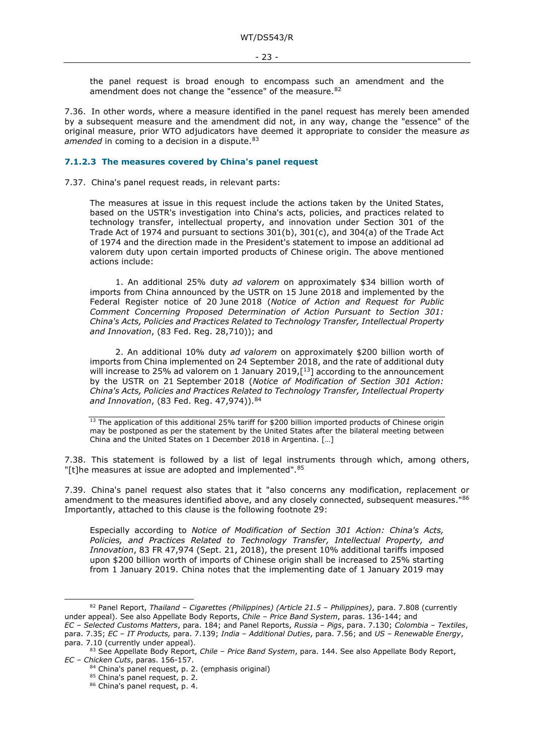the panel request is broad enough to encompass such an amendment and the amendment does not change the "essence" of the measure.<sup>[82](#page-22-1)</sup>

7.36. In other words, where a measure identified in the panel request has merely been amended by a subsequent measure and the amendment did not, in any way, change the "essence" of the original measure, prior WTO adjudicators have deemed it appropriate to consider the measure *as*  amended in coming to a decision in a dispute.<sup>[83](#page-22-2)</sup>

#### <span id="page-22-0"></span>**7.1.2.3 The measures covered by China's panel request**

7.37. China's panel request reads, in relevant parts:

The measures at issue in this request include the actions taken by the United States, based on the USTR's investigation into China's acts, policies, and practices related to technology transfer, intellectual property, and innovation under Section 301 of the Trade Act of 1974 and pursuant to sections 301(b), 301(c), and 304(a) of the Trade Act of 1974 and the direction made in the President's statement to impose an additional ad valorem duty upon certain imported products of Chinese origin. The above mentioned actions include:

1. An additional 25% duty *ad valorem* on approximately \$34 billion worth of imports from China announced by the USTR on 15 June 2018 and implemented by the Federal Register notice of 20 June 2018 (*Notice of Action and Request for Public Comment Concerning Proposed Determination of Action Pursuant to Section 301: China's Acts, Policies and Practices Related to Technology Transfer, Intellectual Property and Innovation*, (83 Fed. Reg. 28,710)); and

2. An additional 10% duty *ad valorem* on approximately \$200 billion worth of imports from China implemented on 24 September 2018, and the rate of additional duty will increase to 25% ad valorem on 1 January 2019, $[13]$  according to the announcement by the USTR on 21 September 2018 (*Notice of Modification of Section 301 Action: China's Acts, Policies and Practices Related to Technology Transfer, Intellectual Property and Innovation*, (83 Fed. Reg. 47,974)).[84](#page-22-3)

<sup>13</sup> The application of this additional 25% tariff for \$200 billion imported products of Chinese origin may be postponed as per the statement by the United States after the bilateral meeting between China and the United States on 1 December 2018 in Argentina. […]

7.38. This statement is followed by a list of legal instruments through which, among others, "[t]he measures at issue are adopted and implemented". 85

7.39. China's panel request also states that it "also concerns any modification, replacement or amendment to the measures identified above, and any closely connected, subsequent measures."[86](#page-22-5) Importantly, attached to this clause is the following footnote 29:

Especially according to *Notice of Modification of Section 301 Action: China's Acts, Policies, and Practices Related to Technology Transfer, Intellectual Property, and Innovation*, 83 FR 47,974 (Sept. 21, 2018), the present 10% additional tariffs imposed upon \$200 billion worth of imports of Chinese origin shall be increased to 25% starting from 1 January 2019. China notes that the implementing date of 1 January 2019 may

<span id="page-22-1"></span><sup>82</sup> Panel Report, *Thailand – Cigarettes (Philippines) (Article 21.5 – Philippines)*, para. 7.808 (currently under appeal). See also Appellate Body Reports, *Chile – Price Band System*, paras. 136-144; and

*EC – Selected Customs Matters*, para. 184; and Panel Reports, *Russia – Pigs*, para. 7.130; *Colombia – Textiles*, para. 7.35; *EC – IT Products,* para. 7.139; *India – Additional Duties*, para. 7.56; and *US – Renewable Energy*,

<span id="page-22-5"></span><span id="page-22-4"></span><span id="page-22-3"></span><span id="page-22-2"></span><sup>83</sup> See Appellate Body Report, *Chile – Price Band System*, para. 144. See also Appellate Body Report, *EC – Chicken Cuts*, paras. 156-157.

<sup>84</sup> China's panel request, p. 2. (emphasis original)

<sup>85</sup> China's panel request, p. 2.

<sup>86</sup> China's panel request, p. 4.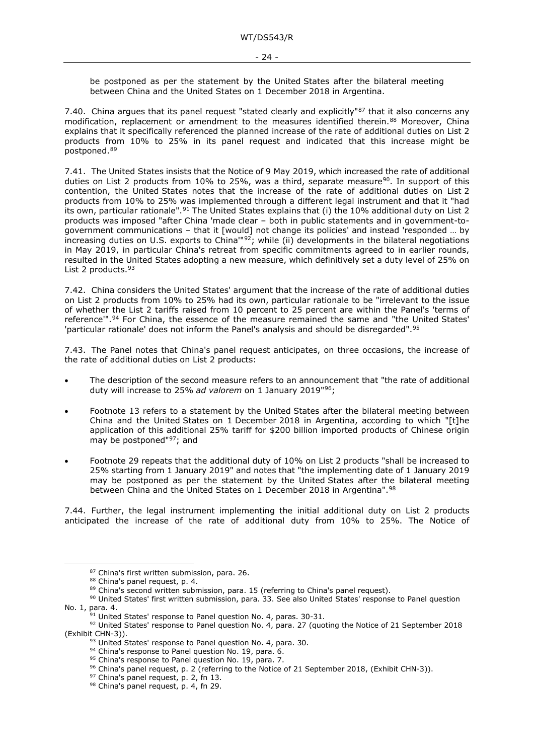be postponed as per the statement by the United States after the bilateral meeting between China and the United States on 1 December 2018 in Argentina.

7.40. China argues that its panel request "stated clearly and explicitly"[87](#page-23-0) that it also concerns any modification, replacement or amendment to the measures identified therein.<sup>[88](#page-23-1)</sup> Moreover, China explains that it specifically referenced the planned increase of the rate of additional duties on List 2 products from 10% to 25% in its panel request and indicated that this increase might be postponed.[89](#page-23-2)

7.41. The United States insists that the Notice of 9 May 2019, which increased the rate of additional duties on List 2 products from  $10\%$  to 25%, was a third, separate measure<sup>90</sup>. In support of this contention, the United States notes that the increase of the rate of additional duties on List 2 products from 10% to 25% was implemented through a different legal instrument and that it "had its own, particular rationale".<sup>[91](#page-23-4)</sup> The United States explains that (i) the 10% additional duty on List 2 products was imposed "after China 'made clear – both in public statements and in government-togovernment communications – that it [would] not change its policies' and instead 'responded … by increasing duties on U.S. exports to China<sup>'"[92](#page-23-5)</sup>; while (ii) developments in the bilateral negotiations in May 2019, in particular China's retreat from specific commitments agreed to in earlier rounds, resulted in the United States adopting a new measure, which definitively set a duty level of 25% on List 2 products. [93](#page-23-6)

7.42. China considers the United States' argument that the increase of the rate of additional duties on List 2 products from 10% to 25% had its own, particular rationale to be "irrelevant to the issue of whether the List 2 tariffs raised from 10 percent to 25 percent are within the Panel's 'terms of reference'".[94](#page-23-7) For China, the essence of the measure remained the same and "the United States' 'particular rationale' does not inform the Panel's analysis and should be disregarded".[95](#page-23-8)

7.43. The Panel notes that China's panel request anticipates, on three occasions, the increase of the rate of additional duties on List 2 products:

- The description of the second measure refers to an announcement that "the rate of additional duty will increase to 25% *ad valorem* on 1 January 2019"[96;](#page-23-9)
- Footnote 13 refers to a statement by the United States after the bilateral meeting between China and the United States on 1 December 2018 in Argentina, according to which "[t]he application of this additional 25% tariff for \$200 billion imported products of Chinese origin may be postponed"[97](#page-23-10); and
- Footnote 29 repeats that the additional duty of 10% on List 2 products "shall be increased to 25% starting from 1 January 2019" and notes that "the implementing date of 1 January 2019 may be postponed as per the statement by the United States after the bilateral meeting between China and the United States on 1 December 2018 in Argentina".[98](#page-23-11)

7.44. Further, the legal instrument implementing the initial additional duty on List 2 products anticipated the increase of the rate of additional duty from 10% to 25%. The Notice of

<sup>87</sup> China's first written submission, para. 26.

 $88$  China's panel request, p. 4.<br> $89$  China's second written submission, para. 15 (referring to China's panel request).

<span id="page-23-3"></span><span id="page-23-2"></span><span id="page-23-1"></span><span id="page-23-0"></span><sup>&</sup>lt;sup>90</sup> United States' first written submission, para. 33. See also United States' response to Panel question No. 1, para. 4.<br><sup>91</sup> United States' response to Panel question No. 4, paras. 30-31.

<span id="page-23-10"></span><span id="page-23-9"></span><span id="page-23-8"></span><span id="page-23-7"></span><span id="page-23-6"></span><span id="page-23-5"></span><span id="page-23-4"></span><sup>92</sup> United States' response to Panel question No. 4, para. 27 (quoting the Notice of 21 September 2018 (Exhibit CHN-3)).

 $93$  United States' response to Panel question No. 4, para. 30.<br>94 China's response to Panel question No. 19, para. 6.

<sup>95</sup> China's response to Panel question No. 19, para. 7.

<sup>&</sup>lt;sup>96</sup> China's panel request, p. 2 (referring to the Notice of 21 September 2018, (Exhibit CHN-3)).<br><sup>97</sup> China's panel request, p. 2, fn 13.<br><sup>98</sup> China's panel request, p. 4, fn 29.

<span id="page-23-11"></span>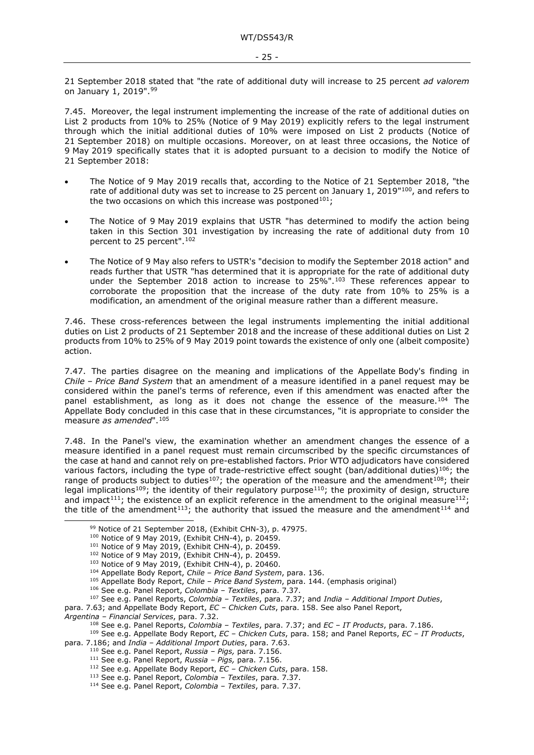21 September 2018 stated that "the rate of additional duty will increase to 25 percent *ad valorem*  on January 1, 2019".[99](#page-24-0)

7.45. Moreover, the legal instrument implementing the increase of the rate of additional duties on List 2 products from 10% to 25% (Notice of 9 May 2019) explicitly refers to the legal instrument through which the initial additional duties of 10% were imposed on List 2 products (Notice of 21 September 2018) on multiple occasions. Moreover, on at least three occasions, the Notice of 9 May 2019 specifically states that it is adopted pursuant to a decision to modify the Notice of 21 September 2018:

- The Notice of 9 May 2019 recalls that, according to the Notice of 21 September 2018, "the rate of additional duty was set to increase to 25 percent on January 1, 2019"<sup>[100](#page-24-1)</sup>, and refers to the two occasions on which this increase was postponed<sup>[101](#page-24-2)</sup>;
- The Notice of 9 May 2019 explains that USTR "has determined to modify the action being taken in this Section 301 investigation by increasing the rate of additional duty from 10 percent to 25 percent".[102](#page-24-3)
- The Notice of 9 May also refers to USTR's "decision to modify the September 2018 action" and reads further that USTR "has determined that it is appropriate for the rate of additional duty under the September 2018 action to increase to 25%".[103](#page-24-4) These references appear to corroborate the proposition that the increase of the duty rate from 10% to 25% is a modification, an amendment of the original measure rather than a different measure.

<span id="page-24-16"></span>7.46. These cross-references between the legal instruments implementing the initial additional duties on List 2 products of 21 September 2018 and the increase of these additional duties on List 2 products from 10% to 25% of 9 May 2019 point towards the existence of only one (albeit composite) action.

7.47. The parties disagree on the meaning and implications of the Appellate Body's finding in *Chile* – *Price Band System* that an amendment of a measure identified in a panel request may be considered within the panel's terms of reference, even if this amendment was enacted after the panel establishment, as long as it does not change the essence of the measure.<sup>[104](#page-24-5)</sup> The Appellate Body concluded in this case that in these circumstances, "it is appropriate to consider the measure *as amended*".[105](#page-24-6)

7.48. In the Panel's view, the examination whether an amendment changes the essence of a measure identified in a panel request must remain circumscribed by the specific circumstances of the case at hand and cannot rely on pre-established factors. Prior WTO adjudicators have considered various factors, including the type of trade-restrictive effect sought (ban/additional duties)<sup>[106](#page-24-7)</sup>; the range of products subject to duties<sup>107</sup>; the operation of the measure and the amendment<sup>108</sup>; their legal implications<sup>109</sup>; the identity of their regulatory purpose<sup>110</sup>; the proximity of design, structure and impact<sup>111</sup>; the existence of an explicit reference in the amendment to the original measure<sup>[112](#page-24-13)</sup>; the title of the amendment<sup>[113](#page-24-14)</sup>; the authority that issued the measure and the amendment<sup>[114](#page-24-15)</sup> and

<span id="page-24-15"></span><span id="page-24-14"></span><span id="page-24-13"></span><span id="page-24-12"></span><span id="page-24-11"></span><span id="page-24-10"></span>para. 7.186; and *India – Additional Import Duties*, para. 7.63.

<sup>112</sup> See e.g. Appellate Body Report, *EC – Chicken Cuts*, para. 158.

<span id="page-24-0"></span><sup>99</sup> Notice of 21 September 2018, (Exhibit CHN-3), p. 47975.

<sup>100</sup> Notice of 9 May 2019, (Exhibit CHN-4), p. 20459.

<sup>101</sup> Notice of 9 May 2019, (Exhibit CHN-4), p. 20459.

<sup>102</sup> Notice of 9 May 2019, (Exhibit CHN-4), p. 20459.

<sup>103</sup> Notice of 9 May 2019, (Exhibit CHN-4), p. 20460.

<sup>104</sup> Appellate Body Report, *Chile – Price Band System*, para. 136.

<sup>105</sup> Appellate Body Report, *Chile – Price Band System*, para. 144. (emphasis original)

<sup>106</sup> See e.g. Panel Report, *Colombia – Textiles*, para. 7.37.

<span id="page-24-8"></span><span id="page-24-7"></span><span id="page-24-6"></span><span id="page-24-5"></span><span id="page-24-4"></span><span id="page-24-3"></span><span id="page-24-2"></span><span id="page-24-1"></span><sup>107</sup> See e.g. Panel Reports, *Colombia – Textiles*, para. 7.37; and *India – Additional Import Duties*, para. 7.63; and Appellate Body Report, *EC – Chicken Cuts*, para. 158. See also Panel Report,

<span id="page-24-9"></span>Argentina – Financial Services, para. 7.32.<br><sup>108</sup> See e.g. Panel Reports, Colombia – Textiles, para. 7.37; and *EC – IT Products*, para. 7.186.<br><sup>109</sup> See e.g. Appellate Body Report, *EC – Chicken Cuts*, para. 158; and Pane

<sup>110</sup> See e.g. Panel Report, *Russia – Pigs,* para. 7.156.

<sup>111</sup> See e.g. Panel Report, *Russia – Pigs,* para. 7.156.

<sup>113</sup> See e.g. Panel Report, *Colombia – Textiles*, para. 7.37. 114 See e.g. Panel Report, *Colombia – Textiles*, para. 7.37.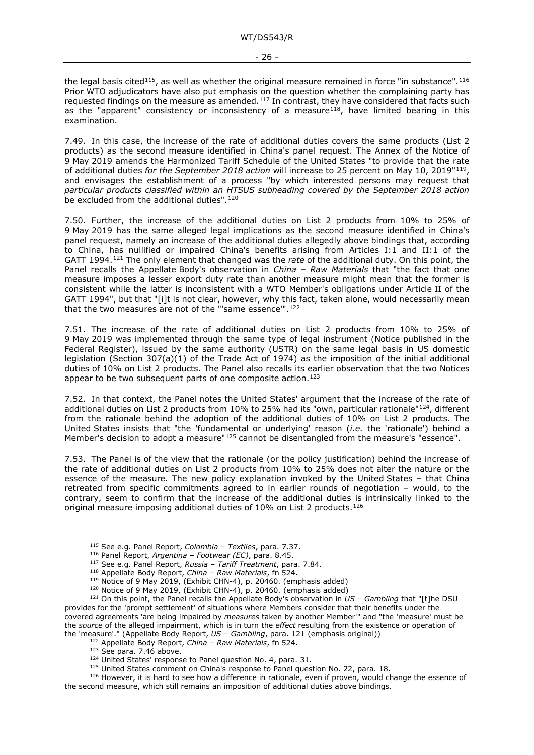the legal basis cited<sup>[115](#page-25-0)</sup>, as well as whether the original measure remained in force "in substance".<sup>[116](#page-25-1)</sup> Prior WTO adjudicators have also put emphasis on the question whether the complaining party has requested findings on the measure as amended.<sup>117</sup> In contrast, they have considered that facts such as the "apparent" consistency or inconsistency of a measure $^{118}$ , have limited bearing in this examination.

7.49. In this case, the increase of the rate of additional duties covers the same products (List 2 products) as the second measure identified in China's panel request. The Annex of the Notice of 9 May 2019 amends the Harmonized Tariff Schedule of the United States "to provide that the rate of additional duties *for the September 2018 action* will increase to 25 percent on May 10, 2019"[119](#page-25-4), and envisages the establishment of a process "by which interested persons may request that *particular products classified within an HTSUS subheading covered by the September 2018 action* be excluded from the additional duties".<sup>[120](#page-25-5)</sup>

7.50. Further, the increase of the additional duties on List 2 products from 10% to 25% of 9 May 2019 has the same alleged legal implications as the second measure identified in China's panel request, namely an increase of the additional duties allegedly above bindings that, according to China, has nullified or impaired China's benefits arising from Articles I:1 and II:1 of the GATT 1994.[121](#page-25-6) The only element that changed was the *rate* of the additional duty. On this point, the Panel recalls the Appellate Body's observation in *China – Raw Materials* that "the fact that one measure imposes a lesser export duty rate than another measure might mean that the former is consistent while the latter is inconsistent with a WTO Member's obligations under Article II of the GATT 1994", but that "[i]t is not clear, however, why this fact, taken alone, would necessarily mean that the two measures are not of the "same essence".<sup>[122](#page-25-7)</sup>

7.51. The increase of the rate of additional duties on List 2 products from 10% to 25% of 9 May 2019 was implemented through the same type of legal instrument (Notice published in the Federal Register), issued by the same authority (USTR) on the same legal basis in US domestic legislation (Section 307(a)(1) of the Trade Act of 1974) as the imposition of the initial additional duties of 10% on List 2 products. The Panel also recalls its earlier observation that the two Notices appear to be two subsequent parts of one composite action.<sup>123</sup>

7.52. In that context, the Panel notes the United States' argument that the increase of the rate of additional duties on List 2 products from 10% to 25% had its "own, particular rationale"<sup>[124](#page-25-9)</sup>, different from the rationale behind the adoption of the additional duties of 10% on List 2 products. The United States insists that "the 'fundamental or underlying' reason (*i.e.* the 'rationale') behind a Member's decision to adopt a measure"<sup>[125](#page-25-10)</sup> cannot be disentangled from the measure's "essence".

7.53. The Panel is of the view that the rationale (or the policy justification) behind the increase of the rate of additional duties on List 2 products from 10% to 25% does not alter the nature or the essence of the measure. The new policy explanation invoked by the United States – that China retreated from specific commitments agreed to in earlier rounds of negotiation – would, to the contrary, seem to confirm that the increase of the additional duties is intrinsically linked to the original measure imposing additional duties of 10% on List 2 products.<sup>[126](#page-25-11)</sup>

<sup>115</sup> See e.g. Panel Report, *Colombia – Textiles*, para. 7.37. 116 Panel Report, *Argentina – Footwear (EC)*, para. 8.45.

<sup>117</sup> See e.g. Panel Report, *Russia – Tariff Treatment*, para. 7.84.

<sup>118</sup> Appellate Body Report, *China – Raw Materials*, fn 524.

<sup>&</sup>lt;sup>119</sup> Notice of 9 May 2019, (Exhibit CHN-4), p. 20460. (emphasis added)

<sup>120</sup> Notice of 9 May 2019, (Exhibit CHN-4), p. 20460. (emphasis added)

<span id="page-25-6"></span><span id="page-25-5"></span><span id="page-25-4"></span><span id="page-25-3"></span><span id="page-25-2"></span><span id="page-25-1"></span><span id="page-25-0"></span><sup>121</sup> On this point, the Panel recalls the Appellate Body's observation in *US – Gambling* that "[t]he DSU provides for the 'prompt settlement' of situations where Members consider that their benefits under the covered agreements 'are being impaired by *measures* taken by another Member'" and "the 'measure' must be the *source* of the alleged impairment, which is in turn the *effect* resulting from the existence or operation of the 'measure'." (Appellate Body Report, *US – Gambling*, para. 121 (emphasis original))

<sup>&</sup>lt;sup>122</sup> Appellate Body Report, *China – Raw Materials*, fn 524.<br><sup>123</sup> See para. 7.46 above.

<sup>&</sup>lt;sup>124</sup> United States' response to Panel question No. 4, para. 31.<br><sup>125</sup> United States comment on China's response to Panel question No. 22, para. 18.

<span id="page-25-11"></span><span id="page-25-10"></span><span id="page-25-9"></span><span id="page-25-8"></span><span id="page-25-7"></span> $126$  However, it is hard to see how a difference in rationale, even if proven, would change the essence of the second measure, which still remains an imposition of additional duties above bindings.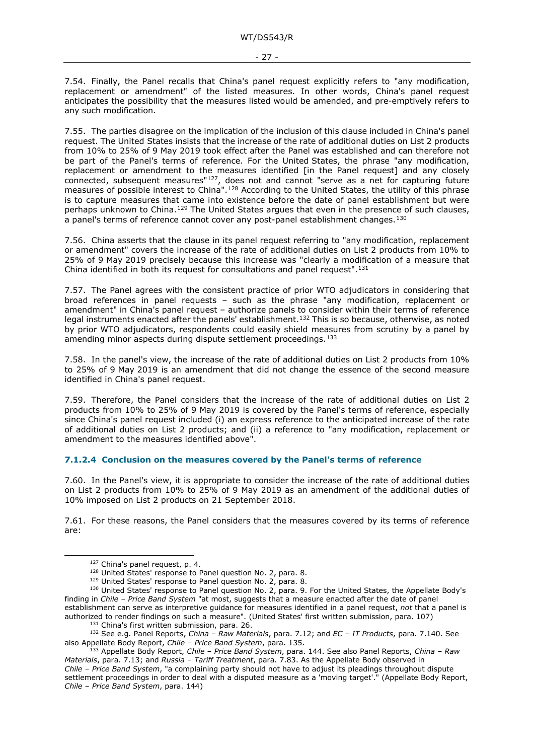7.54. Finally, the Panel recalls that China's panel request explicitly refers to "any modification, replacement or amendment" of the listed measures. In other words, China's panel request anticipates the possibility that the measures listed would be amended, and pre-emptively refers to any such modification.

7.55. The parties disagree on the implication of the inclusion of this clause included in China's panel request. The United States insists that the increase of the rate of additional duties on List 2 products from 10% to 25% of 9 May 2019 took effect after the Panel was established and can therefore not be part of the Panel's terms of reference. For the United States, the phrase "any modification, replacement or amendment to the measures identified [in the Panel request] and any closely connected, subsequent measures["127](#page-26-1), does not and cannot "serve as a net for capturing future measures of possible interest to China".[128](#page-26-2) According to the United States, the utility of this phrase is to capture measures that came into existence before the date of panel establishment but were perhaps unknown to China.<sup>[129](#page-26-3)</sup> The United States argues that even in the presence of such clauses, a panel's terms of reference cannot cover any post-panel establishment changes.[130](#page-26-4)

7.56. China asserts that the clause in its panel request referring to "any modification, replacement or amendment" covers the increase of the rate of additional duties on List 2 products from 10% to 25% of 9 May 2019 precisely because this increase was "clearly a modification of a measure that China identified in both its request for consultations and panel request"[.131](#page-26-5)

7.57. The Panel agrees with the consistent practice of prior WTO adjudicators in considering that broad references in panel requests – such as the phrase "any modification, replacement or amendment" in China's panel request – authorize panels to consider within their terms of reference legal instruments enacted after the panels' establishment.<sup>[132](#page-26-6)</sup> This is so because, otherwise, as noted by prior WTO adjudicators, respondents could easily shield measures from scrutiny by a panel by amending minor aspects during dispute settlement proceedings.[133](#page-26-7)

7.58. In the panel's view, the increase of the rate of additional duties on List 2 products from 10% to 25% of 9 May 2019 is an amendment that did not change the essence of the second measure identified in China's panel request.

7.59. Therefore, the Panel considers that the increase of the rate of additional duties on List 2 products from 10% to 25% of 9 May 2019 is covered by the Panel's terms of reference, especially since China's panel request included (i) an express reference to the anticipated increase of the rate of additional duties on List 2 products; and (ii) a reference to "any modification, replacement or amendment to the measures identified above".

#### <span id="page-26-0"></span>**7.1.2.4 Conclusion on the measures covered by the Panel's terms of reference**

7.60. In the Panel's view, it is appropriate to consider the increase of the rate of additional duties on List 2 products from 10% to 25% of 9 May 2019 as an amendment of the additional duties of 10% imposed on List 2 products on 21 September 2018.

7.61. For these reasons, the Panel considers that the measures covered by its terms of reference are:

 $127$  China's panel request, p. 4.<br> $128$  United States' response to Panel question No. 2, para. 8.

<span id="page-26-4"></span><span id="page-26-3"></span><span id="page-26-2"></span><span id="page-26-1"></span><sup>&</sup>lt;sup>129</sup> United States' response to Panel question No. 2, para. 8.<br><sup>130</sup> United States' response to Panel question No. 2, para. 9. For the United States, the Appellate Body's finding in *Chile – Price Band System* "at most, suggests that a measure enacted after the date of panel establishment can serve as interpretive guidance for measures identified in a panel request, *not* that a panel is authorized to render findings on such a measure". (United States' first written submission, para. 107)<br><sup>131</sup> China's first written submission, para. 26.

<span id="page-26-6"></span><span id="page-26-5"></span><sup>&</sup>lt;sup>132</sup> See e.g. Panel Reports, *China – Raw Materials*, para. 7.12; and *EC – IT Products*, para. 7.140. See also Appellate Body Report, *Chile – Price Band System*, para. 135.

<span id="page-26-7"></span><sup>133</sup> Appellate Body Report, *Chile – Price Band System*, para. 144. See also Panel Reports, *China – Raw Materials*, para. 7.13; and *Russia – Tariff Treatment*, para. 7.83. As the Appellate Body observed in *Chile – Price Band System*, "a complaining party should not have to adjust its pleadings throughout dispute settlement proceedings in order to deal with a disputed measure as a 'moving target'." (Appellate Body Report, *Chile – Price Band System*, para. 144)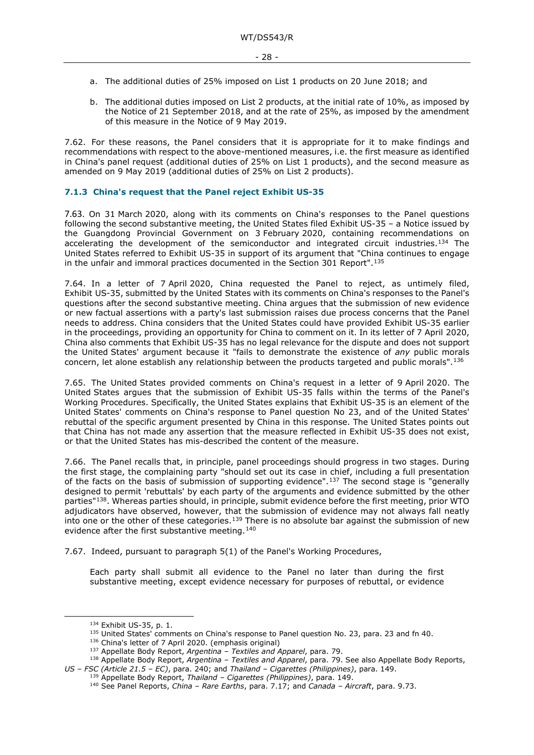- a. The additional duties of 25% imposed on List 1 products on 20 June 2018; and
- b. The additional duties imposed on List 2 products, at the initial rate of 10%, as imposed by the Notice of 21 September 2018, and at the rate of 25%, as imposed by the amendment of this measure in the Notice of 9 May 2019.

7.62. For these reasons, the Panel considers that it is appropriate for it to make findings and recommendations with respect to the above-mentioned measures, i.e. the first measure as identified in China's panel request (additional duties of 25% on List 1 products), and the second measure as amended on 9 May 2019 (additional duties of 25% on List 2 products).

#### <span id="page-27-0"></span>**7.1.3 China's request that the Panel reject Exhibit US-35**

7.63. On 31 March 2020, along with its comments on China's responses to the Panel questions following the second substantive meeting, the United States filed Exhibit US-35 – a Notice issued by the Guangdong Provincial Government on 3 February 2020, containing recommendations on accelerating the development of the semiconductor and integrated circuit industries.[134](#page-27-1) The United States referred to Exhibit US-35 in support of its argument that "China continues to engage in the unfair and immoral practices documented in the Section 301 Report".[135](#page-27-2)

7.64. In a letter of 7 April 2020, China requested the Panel to reject, as untimely filed, Exhibit US-35, submitted by the United States with its comments on China's responses to the Panel's questions after the second substantive meeting. China argues that the submission of new evidence or new factual assertions with a party's last submission raises due process concerns that the Panel needs to address. China considers that the United States could have provided Exhibit US-35 earlier in the proceedings, providing an opportunity for China to comment on it. In its letter of 7 April 2020, China also comments that Exhibit US-35 has no legal relevance for the dispute and does not support the United States' argument because it "fails to demonstrate the existence of *any* public morals concern, let alone establish any relationship between the products targeted and public morals".[136](#page-27-3)

7.65. The United States provided comments on China's request in a letter of 9 April 2020. The United States argues that the submission of Exhibit US-35 falls within the terms of the Panel's Working Procedures. Specifically, the United States explains that Exhibit US-35 is an element of the United States' comments on China's response to Panel question No 23, and of the United States' rebuttal of the specific argument presented by China in this response. The United States points out that China has not made any assertion that the measure reflected in Exhibit US-35 does not exist, or that the United States has mis-described the content of the measure.

7.66. The Panel recalls that, in principle, panel proceedings should progress in two stages. During the first stage, the complaining party "should set out its case in chief, including a full presentation of the facts on the basis of submission of supporting evidence".<sup>[137](#page-27-4)</sup> The second stage is "generally designed to permit 'rebuttals' by each party of the arguments and evidence submitted by the other parties"[138](#page-27-5). Whereas parties should, in principle, submit evidence before the first meeting, prior WTO adjudicators have observed, however, that the submission of evidence may not always fall neatly into one or the other of these categories.<sup>[139](#page-27-6)</sup> There is no absolute bar against the submission of new evidence after the first substantive meeting.<sup>[140](#page-27-7)</sup>

7.67. Indeed, pursuant to paragraph 5(1) of the Panel's Working Procedures,

Each party shall submit all evidence to the Panel no later than during the first substantive meeting, except evidence necessary for purposes of rebuttal, or evidence

<sup>&</sup>lt;sup>134</sup> Exhibit US-35, p. 1.<br><sup>135</sup> United States' comments on China's response to Panel question No. 23, para. 23 and fn 40.<br><sup>136</sup> China's letter of 7 April 2020. (emphasis original)

<sup>137</sup> Appellate Body Report, *Argentina – Textiles and Apparel*, para. 79.

<span id="page-27-7"></span><span id="page-27-6"></span><span id="page-27-5"></span><span id="page-27-4"></span><span id="page-27-3"></span><span id="page-27-2"></span><span id="page-27-1"></span><sup>138</sup> Appellate Body Report, *Argentina – Textiles and Apparel*, para. 79. See also Appellate Body Reports, *US – FSC (Article 21.5 – EC)*, para. 240; and *Thailand – Cigarettes (Philippines)*, para. 149.

<sup>139</sup> Appellate Body Report, *Thailand – Cigarettes (Philippines)*, para. 149.

<sup>140</sup> See Panel Reports, *China – Rare Earths*, para. 7.17; and *Canada – Aircraft*, para. 9.73.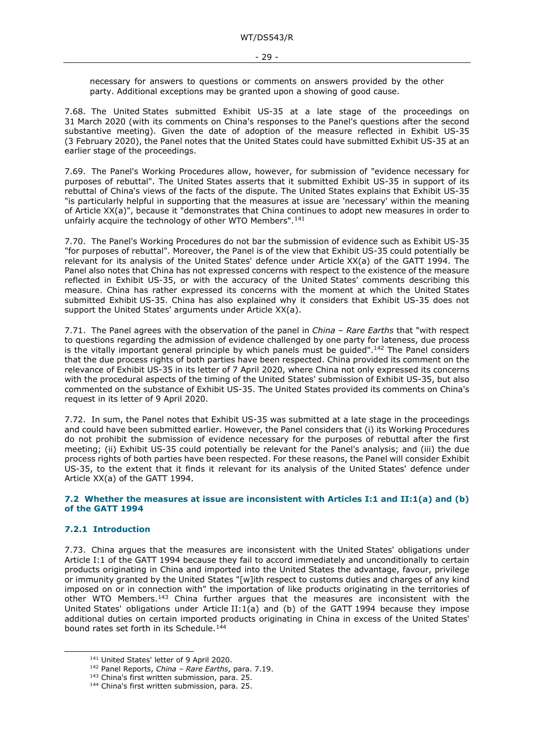necessary for answers to questions or comments on answers provided by the other party. Additional exceptions may be granted upon a showing of good cause.

7.68. The United States submitted Exhibit US-35 at a late stage of the proceedings on 31 March 2020 (with its comments on China's responses to the Panel's questions after the second substantive meeting). Given the date of adoption of the measure reflected in Exhibit US-35 (3 February 2020), the Panel notes that the United States could have submitted Exhibit US-35 at an earlier stage of the proceedings.

7.69. The Panel's Working Procedures allow, however, for submission of "evidence necessary for purposes of rebuttal". The United States asserts that it submitted Exhibit US-35 in support of its rebuttal of China's views of the facts of the dispute. The United States explains that Exhibit US-35 "is particularly helpful in supporting that the measures at issue are 'necessary' within the meaning of Article XX(a)", because it "demonstrates that China continues to adopt new measures in order to unfairly acquire the technology of other WTO Members".<sup>[141](#page-28-2)</sup>

7.70. The Panel's Working Procedures do not bar the submission of evidence such as Exhibit US-35 "for purposes of rebuttal". Moreover, the Panel is of the view that Exhibit US-35 could potentially be relevant for its analysis of the United States' defence under Article XX(a) of the GATT 1994. The Panel also notes that China has not expressed concerns with respect to the existence of the measure reflected in Exhibit US-35, or with the accuracy of the United States' comments describing this measure. China has rather expressed its concerns with the moment at which the United States submitted Exhibit US-35. China has also explained why it considers that Exhibit US-35 does not support the United States' arguments under Article XX(a).

7.71. The Panel agrees with the observation of the panel in *China – Rare Earths* that "with respect to questions regarding the admission of evidence challenged by one party for lateness, due process is the vitally important general principle by which panels must be quided".<sup>[142](#page-28-3)</sup> The Panel considers that the due process rights of both parties have been respected. China provided its comment on the relevance of Exhibit US-35 in its letter of 7 April 2020, where China not only expressed its concerns with the procedural aspects of the timing of the United States' submission of Exhibit US-35, but also commented on the substance of Exhibit US-35. The United States provided its comments on China's request in its letter of 9 April 2020.

7.72. In sum, the Panel notes that Exhibit US-35 was submitted at a late stage in the proceedings and could have been submitted earlier. However, the Panel considers that (i) its Working Procedures do not prohibit the submission of evidence necessary for the purposes of rebuttal after the first meeting; (ii) Exhibit US-35 could potentially be relevant for the Panel's analysis; and (iii) the due process rights of both parties have been respected. For these reasons, the Panel will consider Exhibit US-35, to the extent that it finds it relevant for its analysis of the United States' defence under Article XX(a) of the GATT 1994.

#### <span id="page-28-0"></span>**7.2 Whether the measures at issue are inconsistent with Articles I:1 and II:1(a) and (b) of the GATT 1994**

### <span id="page-28-1"></span>**7.2.1 Introduction**

7.73. China argues that the measures are inconsistent with the United States' obligations under Article I:1 of the GATT 1994 because they fail to accord immediately and unconditionally to certain products originating in China and imported into the United States the advantage, favour, privilege or immunity granted by the United States "[w]ith respect to customs duties and charges of any kind imposed on or in connection with" the importation of like products originating in the territories of other WTO Members.[143](#page-28-4) China further argues that the measures are inconsistent with the United States' obligations under Article II:1(a) and (b) of the GATT 1994 because they impose additional duties on certain imported products originating in China in excess of the United States' bound rates set forth in its Schedule.<sup>[144](#page-28-5)</sup>

<span id="page-28-3"></span><span id="page-28-2"></span>

<sup>141</sup> United States' letter of 9 April 2020.<br><sup>142</sup> Panel Reports, *China – Rare Earths*, para. 7.19.<br><sup>143</sup> China's first written submission, para. 25.

<span id="page-28-5"></span><span id="page-28-4"></span><sup>&</sup>lt;sup>144</sup> China's first written submission, para. 25.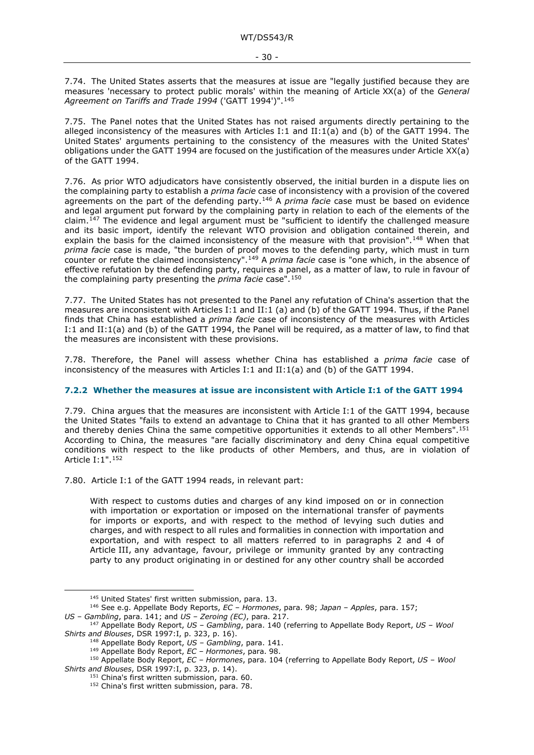7.74. The United States asserts that the measures at issue are "legally justified because they are measures 'necessary to protect public morals' within the meaning of Article XX(a) of the *General*  Agreement on Tariffs and Trade 1994 ('GATT 1994')".<sup>[145](#page-29-1)</sup>

7.75. The Panel notes that the United States has not raised arguments directly pertaining to the alleged inconsistency of the measures with Articles I:1 and II:1(a) and (b) of the GATT 1994. The United States' arguments pertaining to the consistency of the measures with the United States' obligations under the GATT 1994 are focused on the justification of the measures under Article XX(a) of the GATT 1994.

7.76. As prior WTO adjudicators have consistently observed, the initial burden in a dispute lies on the complaining party to establish a *prima facie* case of inconsistency with a provision of the covered agreements on the part of the defending party.[146](#page-29-2) A *prima facie* case must be based on evidence and legal argument put forward by the complaining party in relation to each of the elements of the claim.[147](#page-29-3) The evidence and legal argument must be "sufficient to identify the challenged measure and its basic import, identify the relevant WTO provision and obligation contained therein, and explain the basis for the claimed inconsistency of the measure with that provision".<sup>[148](#page-29-4)</sup> When that *prima facie* case is made, "the burden of proof moves to the defending party, which must in turn counter or refute the claimed inconsistency".[149](#page-29-5) A *prima facie* case is "one which, in the absence of effective refutation by the defending party, requires a panel, as a matter of law, to rule in favour of the complaining party presenting the *prima facie* case".[150](#page-29-6)

7.77. The United States has not presented to the Panel any refutation of China's assertion that the measures are inconsistent with Articles I:1 and II:1 (a) and (b) of the GATT 1994. Thus, if the Panel finds that China has established a *prima facie* case of inconsistency of the measures with Articles I:1 and II:1(a) and (b) of the GATT 1994, the Panel will be required, as a matter of law, to find that the measures are inconsistent with these provisions.

7.78. Therefore, the Panel will assess whether China has established a *prima facie* case of inconsistency of the measures with Articles I:1 and II:1(a) and (b) of the GATT 1994.

#### <span id="page-29-0"></span>**7.2.2 Whether the measures at issue are inconsistent with Article I:1 of the GATT 1994**

7.79. China argues that the measures are inconsistent with Article I:1 of the GATT 1994, because the United States "fails to extend an advantage to China that it has granted to all other Members and thereby denies China the same competitive opportunities it extends to all other Members".[151](#page-29-7) According to China, the measures "are facially discriminatory and deny China equal competitive conditions with respect to the like products of other Members, and thus, are in violation of Article I:1".[152](#page-29-8)

7.80. Article I:1 of the GATT 1994 reads, in relevant part:

With respect to customs duties and charges of any kind imposed on or in connection with importation or exportation or imposed on the international transfer of payments for imports or exports, and with respect to the method of levying such duties and charges, and with respect to all rules and formalities in connection with importation and exportation, and with respect to all matters referred to in paragraphs 2 and 4 of Article III, any advantage, favour, privilege or immunity granted by any contracting party to any product originating in or destined for any other country shall be accorded

<span id="page-29-2"></span><span id="page-29-1"></span><sup>145</sup> United States' first written submission, para. 13. 146 See e.g. Appellate Body Reports, *EC – Hormones*, para. 98; *Japan – Apples*, para. 157;

<span id="page-29-3"></span>*US – Gambling*, para. 141; and *US – Zeroing (EC)*, para. 217. 147 Appellate Body Report, *US – Gambling*, para. 140 (referring to Appellate Body Report, *US – Wool* 

*Shirts and Blouses*, DSR 1997:I, p. 323, p. 16). 148 Appellate Body Report, *US – Gambling*, para. 141.

<sup>149</sup> Appellate Body Report, *EC – Hormones*, para. 98.

<span id="page-29-8"></span><span id="page-29-7"></span><span id="page-29-6"></span><span id="page-29-5"></span><span id="page-29-4"></span><sup>150</sup> Appellate Body Report, *EC – Hormones*, para. 104 (referring to Appellate Body Report, *US – Wool Shirts and Blouses*, DSR 1997:I, p. 323, p. 14).

<sup>&</sup>lt;sup>152</sup> China's first written submission, para. 78.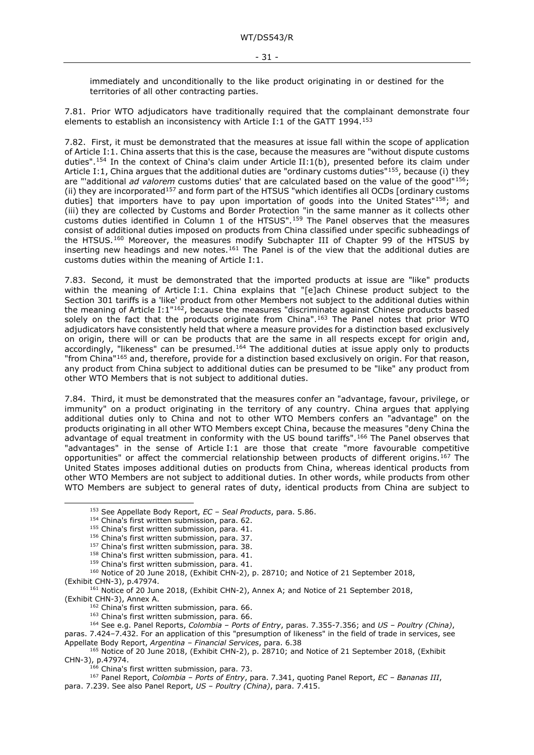immediately and unconditionally to the like product originating in or destined for the territories of all other contracting parties.

7.81. Prior WTO adjudicators have traditionally required that the complainant demonstrate four elements to establish an inconsistency with Article I:1 of the GATT 1994.<sup>[153](#page-30-0)</sup>

<span id="page-30-15"></span>7.82. First, it must be demonstrated that the measures at issue fall within the scope of application of Article I:1. China asserts that this is the case, because the measures are "without dispute customs duties".<sup>[154](#page-30-1)</sup> In the context of China's claim under Article II:1(b), presented before its claim under Article I:1, China argues that the additional duties are "ordinary customs duties"<sup>[155](#page-30-2)</sup>, because (i) they are "'additional *ad valorem* customs duties' that are calculated based on the value of the good"[156](#page-30-3); (ii) they are incorporated<sup>[157](#page-30-4)</sup> and form part of the HTSUS "which identifies all OCDs [ordinary customs duties] that importers have to pay upon importation of goods into the United States"<sup>[158](#page-30-5)</sup>; and (iii) they are collected by Customs and Border Protection "in the same manner as it collects other customs duties identified in Column 1 of the HTSUS".[159](#page-30-6) The Panel observes that the measures consist of additional duties imposed on products from China classified under specific subheadings of the HTSUS.[160](#page-30-7) Moreover, the measures modify Subchapter III of Chapter 99 of the HTSUS by inserting new headings and new notes.<sup>[161](#page-30-8)</sup> The Panel is of the view that the additional duties are customs duties within the meaning of Article I:1.

7.83. Second*,* it must be demonstrated that the imported products at issue are "like" products within the meaning of Article I:1. China explains that "[e]ach Chinese product subject to the Section 301 tariffs is a 'like' product from other Members not subject to the additional duties within the meaning of Article I:1"[162](#page-30-9), because the measures "discriminate against Chinese products based solely on the fact that the products originate from China".<sup>[163](#page-30-10)</sup> The Panel notes that prior WTO adjudicators have consistently held that where a measure provides for a distinction based exclusively on origin, there will or can be products that are the same in all respects except for origin and, accordingly, "likeness" can be presumed.<sup>[164](#page-30-11)</sup> The additional duties at issue apply only to products "from China"[165](#page-30-12) and, therefore, provide for a distinction based exclusively on origin. For that reason, any product from China subject to additional duties can be presumed to be "like" any product from other WTO Members that is not subject to additional duties.

7.84. Third, it must be demonstrated that the measures confer an "advantage, favour, privilege, or immunity" on a product originating in the territory of any country. China argues that applying additional duties only to China and not to other WTO Members confers an "advantage" on the products originating in all other WTO Members except China, because the measures "deny China the advantage of equal treatment in conformity with the US bound tariffs".<sup>[166](#page-30-13)</sup> The Panel observes that "advantages" in the sense of Article I:1 are those that create "more favourable competitive opportunities" or affect the commercial relationship between products of different origins.[167](#page-30-14) The United States imposes additional duties on products from China, whereas identical products from other WTO Members are not subject to additional duties. In other words, while products from other WTO Members are subject to general rates of duty, identical products from China are subject to

<sup>153</sup> See Appellate Body Report, *EC – Seal Products*, para. 5.86.

<span id="page-30-0"></span><sup>&</sup>lt;sup>154</sup> China's first written submission, para. 62.

<sup>&</sup>lt;sup>155</sup> China's first written submission, para. 41.

<sup>156</sup> China's first written submission, para. 37.

<sup>&</sup>lt;sup>157</sup> China's first written submission, para. 38.

<sup>158</sup> China's first written submission, para. 41.

<sup>&</sup>lt;sup>159</sup> China's first written submission, para. 41.

<span id="page-30-2"></span><span id="page-30-1"></span><sup>&</sup>lt;sup>160</sup> Notice of 20 June 2018, (Exhibit CHN-2), p. 28710; and Notice of 21 September 2018,

<span id="page-30-9"></span><span id="page-30-8"></span><span id="page-30-7"></span><span id="page-30-6"></span><span id="page-30-5"></span><span id="page-30-4"></span><span id="page-30-3"></span><sup>(</sup>Exhibit CHN-3), p.47974.<br><sup>161</sup> Notice of 20 June 2018, (Exhibit CHN-2), Annex A; and Notice of 21 September 2018, (Exhibit CHN-3), Annex A.

 $162$  China's first written submission, para. 66.

<sup>&</sup>lt;sup>163</sup> China's first written submission, para. 66.

<sup>164</sup> See e.g. Panel Reports, *Colombia – Ports of Entry*, paras. 7.355-7.356; and *US – Poultry (China)*,

<span id="page-30-11"></span><span id="page-30-10"></span>paras. 7.424–7.432. For an application of this "presumption of likeness" in the field of trade in services, see Appellate Body Report, *Argentina – Financial Services*, para. 6.38

<span id="page-30-12"></span><sup>165</sup> Notice of 20 June 2018, (Exhibit CHN-2), p. 28710; and Notice of 21 September 2018, (Exhibit CHN-3), p.47974.

<sup>&</sup>lt;sup>166</sup> China's first written submission, para. 73.

<span id="page-30-14"></span><span id="page-30-13"></span><sup>167</sup> Panel Report, *Colombia – Ports of Entry*, para. 7.341, quoting Panel Report, *EC – Bananas III*, para. 7.239. See also Panel Report, *US – Poultry (China)*, para. 7.415.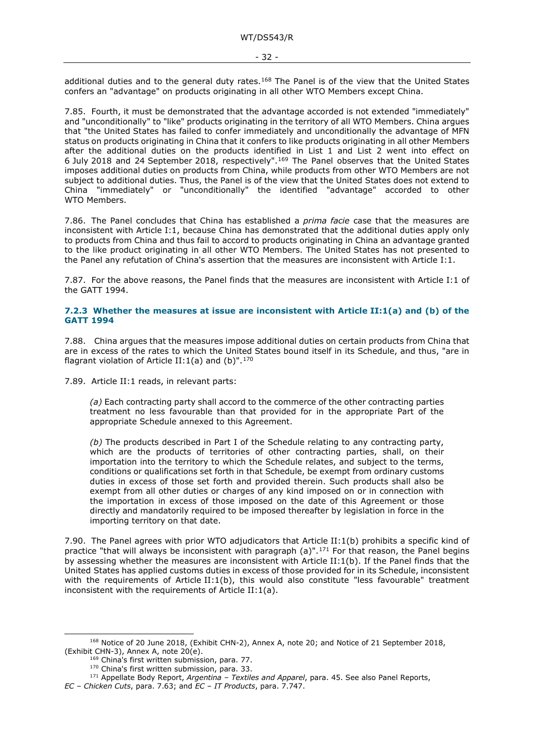additional duties and to the general duty rates.<sup>168</sup> The Panel is of the view that the United States confers an "advantage" on products originating in all other WTO Members except China.

7.85. Fourth, it must be demonstrated that the advantage accorded is not extended "immediately" and "unconditionally" to "like" products originating in the territory of all WTO Members. China argues that "the United States has failed to confer immediately and unconditionally the advantage of MFN status on products originating in China that it confers to like products originating in all other Members after the additional duties on the products identified in List 1 and List 2 went into effect on 6 July 2018 and 24 September 2018, respectively".[169](#page-31-2) The Panel observes that the United States imposes additional duties on products from China, while products from other WTO Members are not subject to additional duties. Thus, the Panel is of the view that the United States does not extend to China "immediately" or "unconditionally" the identified "advantage" accorded to other WTO Members.

7.86. The Panel concludes that China has established a *prima facie* case that the measures are inconsistent with Article I:1, because China has demonstrated that the additional duties apply only to products from China and thus fail to accord to products originating in China an advantage granted to the like product originating in all other WTO Members. The United States has not presented to the Panel any refutation of China's assertion that the measures are inconsistent with Article I:1.

7.87. For the above reasons, the Panel finds that the measures are inconsistent with Article I:1 of the GATT 1994.

#### <span id="page-31-0"></span>**7.2.3 Whether the measures at issue are inconsistent with Article II:1(a) and (b) of the GATT 1994**

7.88. China argues that the measures impose additional duties on certain products from China that are in excess of the rates to which the United States bound itself in its Schedule, and thus, "are in flagrant violation of Article II:1(a) and  $(b)$ ".<sup>[170](#page-31-3)</sup>

7.89. Article II:1 reads, in relevant parts:

*(a)* Each contracting party shall accord to the commerce of the other contracting parties treatment no less favourable than that provided for in the appropriate Part of the appropriate Schedule annexed to this Agreement.

*(b)* The products described in Part I of the Schedule relating to any contracting party, which are the products of territories of other contracting parties, shall, on their importation into the territory to which the Schedule relates, and subject to the terms, conditions or qualifications set forth in that Schedule, be exempt from ordinary customs duties in excess of those set forth and provided therein. Such products shall also be exempt from all other duties or charges of any kind imposed on or in connection with the importation in excess of those imposed on the date of this Agreement or those directly and mandatorily required to be imposed thereafter by legislation in force in the importing territory on that date.

<span id="page-31-5"></span>7.90. The Panel agrees with prior WTO adjudicators that Article II:1(b) prohibits a specific kind of practice "that will always be inconsistent with paragraph (a)".<sup>[171](#page-31-4)</sup> For that reason, the Panel begins by assessing whether the measures are inconsistent with Article II:1(b). If the Panel finds that the United States has applied customs duties in excess of those provided for in its Schedule, inconsistent with the requirements of Article II:1(b), this would also constitute "less favourable" treatment inconsistent with the requirements of Article II:1(a).

<span id="page-31-2"></span><span id="page-31-1"></span><sup>&</sup>lt;sup>168</sup> Notice of 20 June 2018, (Exhibit CHN-2), Annex A, note 20; and Notice of 21 September 2018, (Exhibit CHN-3), Annex A, note 20(e).

 $^{169}$  China's first written submission, para. 77.<br> $^{170}$  China's first written submission, para. 33.

<sup>&</sup>lt;sup>171</sup> Appellate Body Report, Argentina – Textiles and Apparel, para. 45. See also Panel Reports,

<span id="page-31-4"></span><span id="page-31-3"></span>*EC – Chicken Cuts*, para. 7.63; and *EC – IT Products*, para. 7.747.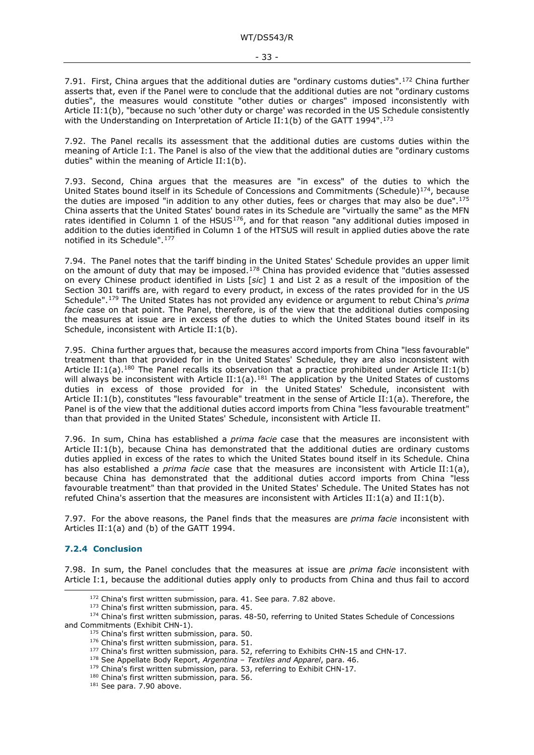7.91. First, China argues that the additional duties are "ordinary customs duties".<sup>[172](#page-32-1)</sup> China further asserts that, even if the Panel were to conclude that the additional duties are not "ordinary customs duties", the measures would constitute "other duties or charges" imposed inconsistently with Article II:1(b), "because no such 'other duty or charge' was recorded in the US Schedule consistently with the Understanding on Interpretation of Article II:1(b) of the GATT 1994".<sup>[173](#page-32-2)</sup>

7.92. The Panel recalls its assessment that the additional duties are customs duties within the meaning of Article I:1. The Panel is also of the view that the additional duties are "ordinary customs duties" within the meaning of Article II:1(b).

7.93. Second, China argues that the measures are "in excess" of the duties to which the United States bound itself in its Schedule of Concessions and Commitments (Schedule)<sup>[174](#page-32-3)</sup>, because the duties are imposed "in addition to any other duties, fees or charges that may also be due".[175](#page-32-4) China asserts that the United States' bound rates in its Schedule are "virtually the same" as the MFN rates identified in Column 1 of the HSUS<sup>[176](#page-32-5)</sup>, and for that reason "any additional duties imposed in addition to the duties identified in Column 1 of the HTSUS will result in applied duties above the rate notified in its Schedule".[177](#page-32-6)

7.94. The Panel notes that the tariff binding in the United States' Schedule provides an upper limit on the amount of duty that may be imposed.<sup>[178](#page-32-7)</sup> China has provided evidence that "duties assessed on every Chinese product identified in Lists [*sic*] 1 and List 2 as a result of the imposition of the Section 301 tariffs are, with regard to every product, in excess of the rates provided for in the US Schedule".[179](#page-32-8) The United States has not provided any evidence or argument to rebut China's *prima facie* case on that point. The Panel, therefore, is of the view that the additional duties composing the measures at issue are in excess of the duties to which the United States bound itself in its Schedule, inconsistent with Article II:1(b).

7.95. China further argues that, because the measures accord imports from China "less favourable" treatment than that provided for in the United States' Schedule, they are also inconsistent with Article II:1(a).<sup>180</sup> The Panel recalls its observation that a practice prohibited under Article II:1(b) will always be inconsistent with Article II:1(a).<sup>[181](#page-32-10)</sup> The application by the United States of customs duties in excess of those provided for in the United States' Schedule, inconsistent with Article II:1(b), constitutes "less favourable" treatment in the sense of Article II:1(a). Therefore, the Panel is of the view that the additional duties accord imports from China "less favourable treatment" than that provided in the United States' Schedule, inconsistent with Article II.

7.96. In sum, China has established a *prima facie* case that the measures are inconsistent with Article II:1(b), because China has demonstrated that the additional duties are ordinary customs duties applied in excess of the rates to which the United States bound itself in its Schedule. China has also established a *prima facie* case that the measures are inconsistent with Article II:1(a), because China has demonstrated that the additional duties accord imports from China "less favourable treatment" than that provided in the United States' Schedule. The United States has not refuted China's assertion that the measures are inconsistent with Articles II:1(a) and II:1(b).

7.97. For the above reasons, the Panel finds that the measures are *prima facie* inconsistent with Articles II:1(a) and (b) of the GATT 1994.

### <span id="page-32-0"></span>**7.2.4 Conclusion**

7.98. In sum, the Panel concludes that the measures at issue are *prima facie* inconsistent with Article I:1, because the additional duties apply only to products from China and thus fail to accord

 $172$  China's first written submission, para. 41. See para. [7.82](#page-30-15) above.  $173$  China's first written submission, para. 45.

<span id="page-32-9"></span><span id="page-32-8"></span><span id="page-32-7"></span><span id="page-32-6"></span><span id="page-32-5"></span><span id="page-32-4"></span><span id="page-32-3"></span><span id="page-32-2"></span><span id="page-32-1"></span> $174$  China's first written submission, paras. 48-50, referring to United States Schedule of Concessions and Commitments (Exhibit CHN-1).

 $175$  China's first written submission, para. 50.<br> $176$  China's first written submission, para. 51.

<sup>177</sup> China's first written submission, para. 52, referring to Exhibits CHN-15 and CHN-17.

<sup>178</sup> See Appellate Body Report, *Argentina – Textiles and Apparel*, para. 46.

<sup>179</sup> China's first written submission, para. 53, referring to Exhibit CHN-17.

<span id="page-32-10"></span> $180$  China's first written submission, para. 56.  $181$  See para. 7.90 above.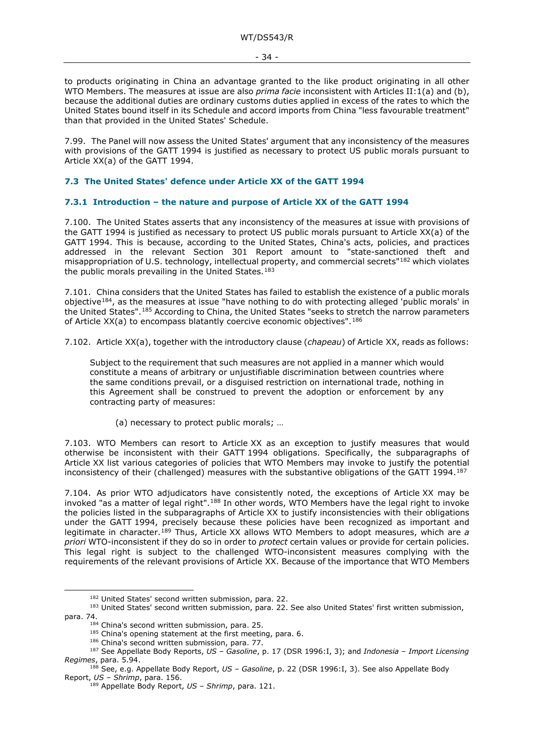to products originating in China an advantage granted to the like product originating in all other WTO Members. The measures at issue are also *prima facie* inconsistent with Articles II:1(a) and (b), because the additional duties are ordinary customs duties applied in excess of the rates to which the United States bound itself in its Schedule and accord imports from China "less favourable treatment" than that provided in the United States' Schedule.

7.99. The Panel will now assess the United States' argument that any inconsistency of the measures with provisions of the GATT 1994 is justified as necessary to protect US public morals pursuant to Article XX(a) of the GATT 1994.

#### <span id="page-33-0"></span>**7.3 The United States' defence under Article XX of the GATT 1994**

#### <span id="page-33-1"></span>**7.3.1 Introduction – the nature and purpose of Article XX of the GATT 1994**

7.100. The United States asserts that any inconsistency of the measures at issue with provisions of the GATT 1994 is justified as necessary to protect US public morals pursuant to Article XX(a) of the GATT 1994. This is because, according to the United States, China's acts, policies, and practices addressed in the relevant Section 301 Report amount to "state-sanctioned theft and misappropriation of U.S. technology, intellectual property, and commercial secrets"[182](#page-33-2) which violates the public morals prevailing in the United States.<sup>[183](#page-33-3)</sup>

7.101. China considers that the United States has failed to establish the existence of a public morals objectiv[e184,](#page-33-4) as the measures at issue "have nothing to do with protecting alleged 'public morals' in the United States".[185](#page-33-5) According to China, the United States "seeks to stretch the narrow parameters of Article XX(a) to encompass blatantly coercive economic objectives".<sup>[186](#page-33-6)</sup>

7.102. Article XX(a), together with the introductory clause (*chapeau*) of Article XX, reads as follows:

Subject to the requirement that such measures are not applied in a manner which would constitute a means of arbitrary or unjustifiable discrimination between countries where the same conditions prevail, or a disguised restriction on international trade, nothing in this Agreement shall be construed to prevent the adoption or enforcement by any contracting party of measures:

(a) necessary to protect public morals; …

7.103. WTO Members can resort to Article XX as an exception to justify measures that would otherwise be inconsistent with their GATT 1994 obligations. Specifically, the subparagraphs of Article XX list various categories of policies that WTO Members may invoke to justify the potential inconsistency of their (challenged) measures with the substantive obligations of the GATT 1994.[187](#page-33-7)

7.104. As prior WTO adjudicators have consistently noted, the exceptions of Article XX may be invoked "as a matter of legal right".[188](#page-33-8) In other words, WTO Members have the legal right to invoke the policies listed in the subparagraphs of Article XX to justify inconsistencies with their obligations under the GATT 1994, precisely because these policies have been recognized as important and legitimate in character.[189](#page-33-9) Thus, Article XX allows WTO Members to adopt measures, which are *a priori* WTO-inconsistent if they do so in order to *protect* certain values or provide for certain policies. This legal right is subject to the challenged WTO-inconsistent measures complying with the requirements of the relevant provisions of Article XX. Because of the importance that WTO Members

<span id="page-33-4"></span><span id="page-33-3"></span><span id="page-33-2"></span><sup>&</sup>lt;sup>182</sup> United States' second written submission, para. 22.<br><sup>183</sup> United States' second written submission, para. 22. See also United States' first written submission, para. 74.

 $^{184}$  China's second written submission, para. 25.<br> $^{185}$  China's opening statement at the first meeting, para. 6.

<sup>&</sup>lt;sup>186</sup> China's second written submission, para. 77.

<span id="page-33-7"></span><span id="page-33-6"></span><span id="page-33-5"></span><sup>187</sup> See Appellate Body Reports, *US – Gasoline*, p. 17 (DSR 1996:I, 3); and *Indonesia – Import Licensing Regimes*, para. 5.94.

<span id="page-33-9"></span><span id="page-33-8"></span><sup>188</sup> See, e.g. Appellate Body Report, *US – Gasoline*, p. 22 (DSR 1996:I, 3). See also Appellate Body Report, *US – Shrimp*, para. 156.

<sup>189</sup> Appellate Body Report, *US – Shrimp*, para. 121.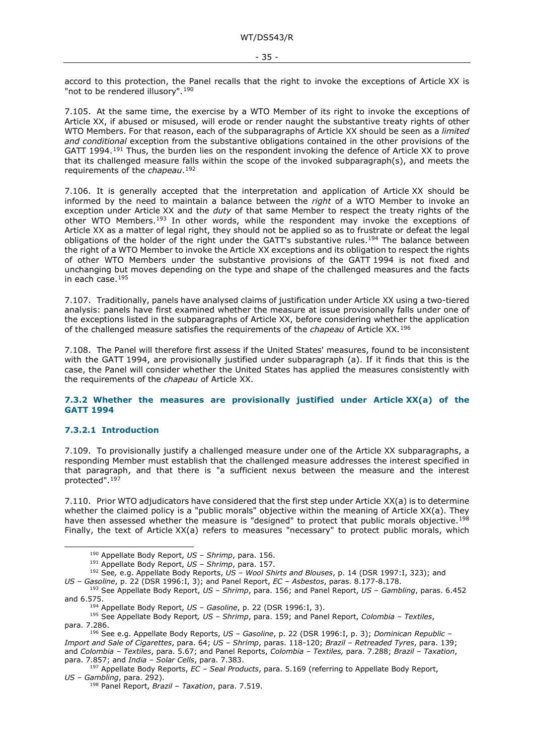accord to this protection, the Panel recalls that the right to invoke the exceptions of Article XX is "not to be rendered illusory".<sup>[190](#page-34-2)</sup>

7.105. At the same time, the exercise by a WTO Member of its right to invoke the exceptions of Article XX, if abused or misused, will erode or render naught the substantive treaty rights of other WTO Members. For that reason, each of the subparagraphs of Article XX should be seen as a *limited and conditional* exception from the substantive obligations contained in the other provisions of the GATT 1994.<sup>[191](#page-34-3)</sup> Thus, the burden lies on the respondent invoking the defence of Article XX to prove that its challenged measure falls within the scope of the invoked subparagraph(s), and meets the requirements of the *chapeau*.[192](#page-34-4)

<span id="page-34-11"></span>7.106. It is generally accepted that the interpretation and application of Article XX should be informed by the need to maintain a balance between the *right* of a WTO Member to invoke an exception under Article XX and the *duty* of that same Member to respect the treaty rights of the other WTO Members.<sup>[193](#page-34-5)</sup> In other words, while the respondent may invoke the exceptions of Article XX as a matter of legal right, they should not be applied so as to frustrate or defeat the legal obligations of the holder of the right under the GATT's substantive rules.<sup>194</sup> The balance between the right of a WTO Member to invoke the Article XX exceptions and its obligation to respect the rights of other WTO Members under the substantive provisions of the GATT 1994 is not fixed and unchanging but moves depending on the type and shape of the challenged measures and the facts in each case.[195](#page-34-7)

7.107. Traditionally, panels have analysed claims of justification under Article XX using a two-tiered analysis: panels have first examined whether the measure at issue provisionally falls under one of the exceptions listed in the subparagraphs of Article XX, before considering whether the application of the challenged measure satisfies the requirements of the *chapeau* of Article XX.[196](#page-34-8)

7.108. The Panel will therefore first assess if the United States' measures, found to be inconsistent with the GATT 1994, are provisionally justified under subparagraph (a). If it finds that this is the case, the Panel will consider whether the United States has applied the measures consistently with the requirements of the *chapeau* of Article XX.

#### <span id="page-34-0"></span>**7.3.2 Whether the measures are provisionally justified under Article XX(a) of the GATT 1994**

#### <span id="page-34-1"></span>**7.3.2.1 Introduction**

7.109. To provisionally justify a challenged measure under one of the Article XX subparagraphs, a responding Member must establish that the challenged measure addresses the interest specified in that paragraph, and that there is "a sufficient nexus between the measure and the interest protected".[197](#page-34-9)

7.110. Prior WTO adjudicators have considered that the first step under Article XX(a) is to determine whether the claimed policy is a "public morals" objective within the meaning of Article XX(a). They have then assessed whether the measure is "designed" to protect that public morals objective.<sup>[198](#page-34-10)</sup> Finally, the text of Article XX(a) refers to measures "necessary" to protect public morals, which

<span id="page-34-7"></span><span id="page-34-6"></span><sup>195</sup> See Appellate Body Report*, US – Shrimp*, para. 159; and Panel Report, *Colombia – Textiles*, para. 7.286.

<sup>190</sup> Appellate Body Report, *US – Shrimp*, para. 156.

<sup>191</sup> Appellate Body Report, *US – Shrimp*, para. 157.

<span id="page-34-4"></span><span id="page-34-3"></span><span id="page-34-2"></span><sup>&</sup>lt;sup>192</sup> See, e.g. Appellate Body Reports, *US – Wool Shirts and Blouses*, p. 14 (DSR 1997:I, 323); and US – Gasoline, p. 22 (DSR 1996:I, 3); and Panel Report, *EC – Asbestos*, paras. 8.177-8.178.

<span id="page-34-5"></span><sup>&</sup>lt;sup>193</sup> See Appellate Body Report, US - Shrimp, para. 156; and Panel Report, US - Gambling, paras. 6.452 and 6.575.

<sup>194</sup> Appellate Body Report, *US – Gasoline*, p. 22 (DSR 1996:I, 3).

<span id="page-34-8"></span><sup>196</sup> See e.g. Appellate Body Reports, *US – Gasoline*, p. 22 (DSR 1996:I, p. 3); *Dominican Republic – Import and Sale of Cigarettes*, para. 64; *US – Shrimp*, paras. 118-120; *Brazil – Retreaded Tyres*, para. 139; and *Colombia – Textiles*, para. 5.67; and Panel Reports, *Colombia – Textiles,* para. 7.288; *Brazil – Taxation*, para. 7.857; and *India – Solar Cells*, para. 7.383.

<span id="page-34-10"></span><span id="page-34-9"></span><sup>197</sup> Appellate Body Reports, *EC – Seal Products*, para. 5.169 (referring to Appellate Body Report, *US – Gambling*, para. 292). 198 Panel Report, *Brazil – Taxation*, para. 7.519.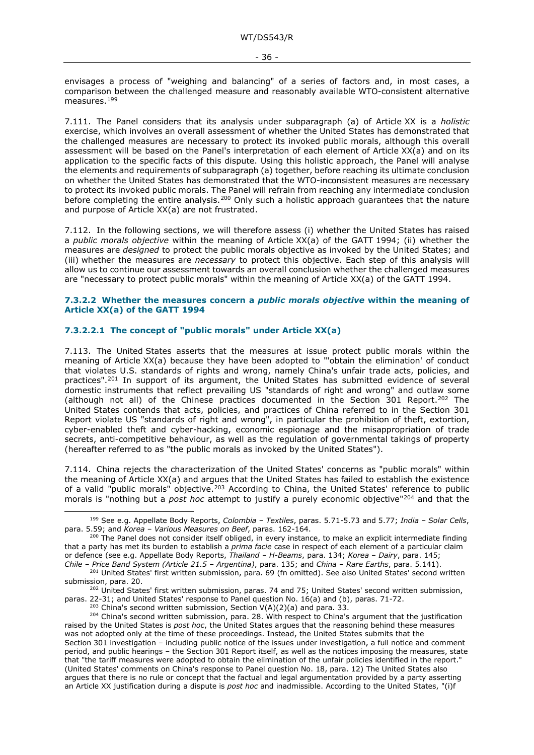envisages a process of "weighing and balancing" of a series of factors and, in most cases, a comparison between the challenged measure and reasonably available WTO-consistent alternative measures.[199](#page-35-4)

<span id="page-35-10"></span>7.111. The Panel considers that its analysis under subparagraph (a) of Article XX is a *holistic* exercise, which involves an overall assessment of whether the United States has demonstrated that the challenged measures are necessary to protect its invoked public morals, although this overall assessment will be based on the Panel's interpretation of each element of Article XX(a) and on its application to the specific facts of this dispute. Using this holistic approach, the Panel will analyse the elements and requirements of subparagraph (a) together, before reaching its ultimate conclusion on whether the United States has demonstrated that the WTO-inconsistent measures are necessary to protect its invoked public morals. The Panel will refrain from reaching any intermediate conclusion before completing the entire analysis.<sup>[200](#page-35-5)</sup> Only such a holistic approach guarantees that the nature and purpose of Article XX(a) are not frustrated.

<span id="page-35-11"></span>7.112. In the following sections, we will therefore assess (i) whether the United States has raised a *public morals objective* within the meaning of Article XX(a) of the GATT 1994; (ii) whether the measures are *designed* to protect the public morals objective as invoked by the United States; and (iii) whether the measures are *necessary* to protect this objective. Each step of this analysis will allow us to continue our assessment towards an overall conclusion whether the challenged measures are "necessary to protect public morals" within the meaning of Article XX(a) of the GATT 1994.

#### <span id="page-35-0"></span>**7.3.2.2 Whether the measures concern a** *public morals objective* **within the meaning of Article XX(a) of the GATT 1994**

#### <span id="page-35-1"></span>**7.3.2.2.1 The concept of "public morals" under Article XX(a)**

<span id="page-35-2"></span>7.113. The United States asserts that the measures at issue protect public morals within the meaning of Article XX(a) because they have been adopted to "'obtain the elimination' of conduct that violates U.S. standards of rights and wrong, namely China's unfair trade acts, policies, and practices".[201](#page-35-6) In support of its argument, the United States has submitted evidence of several domestic instruments that reflect prevailing US "standards of right and wrong" and outlaw some (although not all) of the Chinese practices documented in the Section  $301$  Report.<sup>[202](#page-35-7)</sup> The United States contends that acts, policies, and practices of China referred to in the Section 301 Report violate US "standards of right and wrong", in particular the prohibition of theft, extortion, cyber-enabled theft and cyber-hacking, economic espionage and the misappropriation of trade secrets, anti-competitive behaviour, as well as the regulation of governmental takings of property (hereafter referred to as "the public morals as invoked by the United States").

7.114. China rejects the characterization of the United States' concerns as "public morals" within the meaning of Article XX(a) and argues that the United States has failed to establish the existence of a valid "public morals" objective.<sup>[203](#page-35-8)</sup> According to China, the United States' reference to public morals is "nothing but a *post hoc* attempt to justify a purely economic objective"[204](#page-35-9) and that the

<span id="page-35-3"></span>

<span id="page-35-4"></span><sup>199</sup> See e.g. Appellate Body Reports, *Colombia – Textiles*, paras. 5.71-5.73 and 5.77; *India – Solar Cells*,

<span id="page-35-5"></span>para. 5.59; and *Korea – Various Measures on Beef*, paras. 162-164. 200 The Panel does not consider itself obliged, in every instance, to make an explicit intermediate finding that a party has met its burden to establish a *prima facie* case in respect of each element of a particular claim or defence (see e.g. Appellate Body Reports, *Thailand – H-Beams*, para. 134; *Korea – Dairy*, para. 145;

<span id="page-35-6"></span><sup>201</sup> United States' first written submission, para. 69 (fn omitted). See also United States' second written

<span id="page-35-7"></span>submission, para. 20.<br><sup>202</sup> United States' first written submission, paras. 74 and 75; United States' second written submission, paras. 22-31; and United States' response to Panel question No. 16(a) and (b), paras. 71-72.<br><sup>203</sup> China's second written submission, Section V(A)(2)(a) and para. 33.

<span id="page-35-9"></span><span id="page-35-8"></span> $204$  China's second written submission, para. 28. With respect to China's argument that the justification raised by the United States is *post hoc*, the United States argues that the reasoning behind these measures was not adopted only at the time of these proceedings. Instead, the United States submits that the Section 301 investigation – including public notice of the issues under investigation, a full notice and comment period, and public hearings – the Section 301 Report itself, as well as the notices imposing the measures, state that "the tariff measures were adopted to obtain the elimination of the unfair policies identified in the report." (United States' comments on China's response to Panel question No. 18, para. 12) The United States also argues that there is no rule or concept that the factual and legal argumentation provided by a party asserting an Article XX justification during a dispute is *post hoc* and inadmissible. According to the United States, "(i)f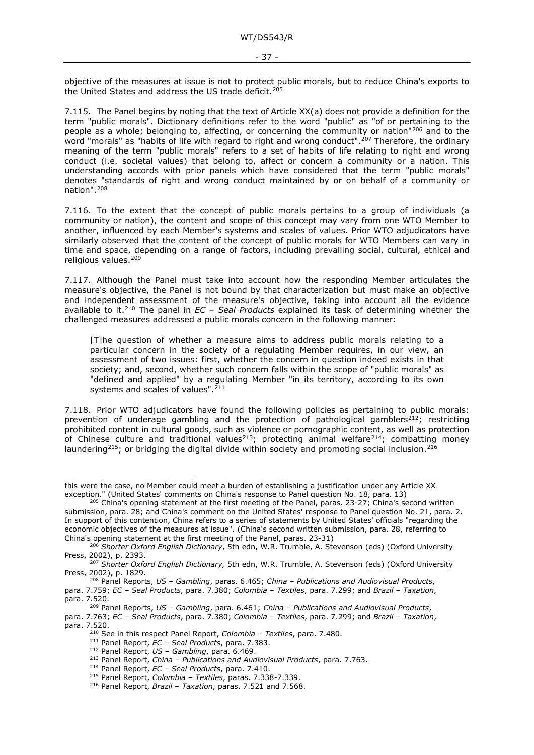objective of the measures at issue is not to protect public morals, but to reduce China's exports to the United States and address the US trade deficit.<sup>[205](#page-36-0)</sup>

7.115. The Panel begins by noting that the text of Article XX(a) does not provide a definition for the term "public morals". Dictionary definitions refer to the word "public" as "of or pertaining to the people as a whole; belonging to, affecting, or concerning the community or nation"[206](#page-36-1) and to the word "morals" as "habits of life with regard to right and wrong conduct".<sup>[207](#page-36-2)</sup> Therefore, the ordinary meaning of the term "public morals" refers to a set of habits of life relating to right and wrong conduct (i.e. societal values) that belong to, affect or concern a community or a nation. This understanding accords with prior panels which have considered that the term "public morals" denotes "standards of right and wrong conduct maintained by or on behalf of a community or nation".[208](#page-36-3)

7.116. To the extent that the concept of public morals pertains to a group of individuals (a community or nation), the content and scope of this concept may vary from one WTO Member to another, influenced by each Member's systems and scales of values. Prior WTO adjudicators have similarly observed that the content of the concept of public morals for WTO Members can vary in time and space, depending on a range of factors, including prevailing social, cultural, ethical and religious values.[209](#page-36-4)

7.117. Although the Panel must take into account how the responding Member articulates the measure's objective, the Panel is not bound by that characterization but must make an objective and independent assessment of the measure's objective, taking into account all the evidence available to it.[210](#page-36-5) The panel in *EC – Seal Products* explained its task of determining whether the challenged measures addressed a public morals concern in the following manner:

[T]he question of whether a measure aims to address public morals relating to a particular concern in the society of a regulating Member requires, in our view, an assessment of two issues: first, whether the concern in question indeed exists in that society; and, second, whether such concern falls within the scope of "public morals" as "defined and applied" by a regulating Member "in its territory, according to its own systems and scales of values".<sup>[211](#page-36-6)</sup>

7.118. Prior WTO adjudicators have found the following policies as pertaining to public morals: prevention of underage gambling and the protection of pathological gamblers<sup>212</sup>; restricting prohibited content in cultural goods, such as violence or pornographic content, as well as protection of Chinese culture and traditional values<sup>213</sup>; protecting animal welfare<sup>214</sup>; combatting money laundering<sup>215</sup>; or bridging the digital divide within society and promoting social inclusion.<sup>[216](#page-36-11)</sup>

this were the case, no Member could meet a burden of establishing a justification under any Article XX exception." (United States' comments on China's response to Panel question No. 18, para. 13)

<span id="page-36-0"></span> $205$  China's opening statement at the first meeting of the Panel, paras. 23-27; China's second written submission, para. 28; and China's comment on the United States' response to Panel question No. 21, para. 2. In support of this contention, China refers to a series of statements by United States' officials "regarding the economic objectives of the measures at issue". (China's second written submission, para. 28, referring to China's opening statement at the first meeting of the Panel, paras. 23-31)

<span id="page-36-1"></span><sup>206</sup> *Shorter Oxford English Dictionary*, 5th edn, W.R. Trumble, A. Stevenson (eds) (Oxford University Press, 2002), p. 2393.

<span id="page-36-2"></span><sup>207</sup> *Shorter Oxford English Dictionary,* 5th edn, W.R. Trumble, A. Stevenson (eds) (Oxford University Press, 2002), p. 1829.

<span id="page-36-3"></span><sup>208</sup> Panel Reports, *US – Gambling*, paras. 6.465; *China – Publications and Audiovisual Products*, para. 7.759; *EC – Seal Products*, para. 7.380; *Colombia – Textiles*, para. 7.299; and *Brazil – Taxation*, para. 7.520.

<sup>209</sup> Panel Reports, *US – Gambling*, para. 6.461; *China – Publications and Audiovisual Products*,

<span id="page-36-10"></span><span id="page-36-9"></span><span id="page-36-8"></span><span id="page-36-7"></span><span id="page-36-6"></span><span id="page-36-5"></span><span id="page-36-4"></span>para. 7.763; *EC – Seal Products*, para. 7.380; *Colombia – Textiles*, para. 7.299; and *Brazil – Taxation*, para. 7.520.

<sup>210</sup> See in this respect Panel Report, *Colombia – Textiles*, para. 7.480.

<sup>211</sup> Panel Report, *EC – Seal Products*, para. 7.383.

<sup>212</sup> Panel Report, *US – Gambling*, para. 6.469.

<sup>213</sup> Panel Report, *China – Publications and Audiovisual Products*, para. 7.763.

<sup>214</sup> Panel Report, *EC – Seal Products*, para. 7.410.

<span id="page-36-11"></span><sup>&</sup>lt;sup>216</sup> Panel Report, *Brazil – Taxation*, paras. 7.521 and 7.568.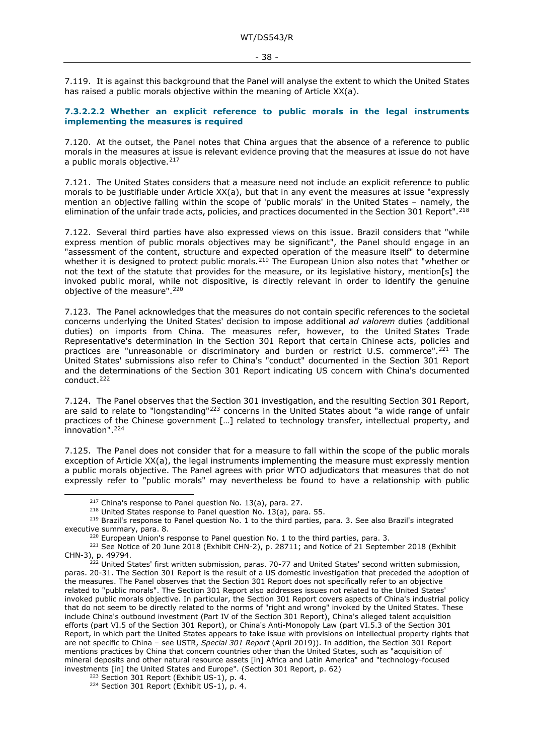7.119. It is against this background that the Panel will analyse the extent to which the United States has raised a public morals objective within the meaning of Article XX(a).

#### <span id="page-37-0"></span>**7.3.2.2.2 Whether an explicit reference to public morals in the legal instruments implementing the measures is required**

7.120. At the outset, the Panel notes that China argues that the absence of a reference to public morals in the measures at issue is relevant evidence proving that the measures at issue do not have a public morals objective.<sup>[217](#page-37-2)</sup>

7.121. The United States considers that a measure need not include an explicit reference to public morals to be justifiable under Article XX(a), but that in any event the measures at issue "expressly mention an objective falling within the scope of 'public morals' in the United States – namely, the elimination of the unfair trade acts, policies, and practices documented in the Section 301 Report".[218](#page-37-3)

<span id="page-37-1"></span>7.122. Several third parties have also expressed views on this issue. Brazil considers that "while express mention of public morals objectives may be significant", the Panel should engage in an "assessment of the content, structure and expected operation of the measure itself" to determine whether it is designed to protect public morals.<sup>[219](#page-37-4)</sup> The European Union also notes that "whether or not the text of the statute that provides for the measure, or its legislative history, mention[s] the invoked public moral, while not dispositive, is directly relevant in order to identify the genuine objective of the measure".<sup>[220](#page-37-5)</sup>

7.123. The Panel acknowledges that the measures do not contain specific references to the societal concerns underlying the United States' decision to impose additional *ad valorem* duties (additional duties) on imports from China. The measures refer, however, to the United States Trade Representative's determination in the Section 301 Report that certain Chinese acts, policies and practices are "unreasonable or discriminatory and burden or restrict U.S. commerce".<sup>[221](#page-37-6)</sup> The United States' submissions also refer to China's "conduct" documented in the Section 301 Report and the determinations of the Section 301 Report indicating US concern with China's documented conduct.<sup>[222](#page-37-7)</sup>

7.124. The Panel observes that the Section 301 investigation, and the resulting Section 301 Report, are said to relate to "longstanding"[223](#page-37-8) concerns in the United States about "a wide range of unfair practices of the Chinese government […] related to technology transfer, intellectual property, and innovation".[224](#page-37-9)

7.125. The Panel does not consider that for a measure to fall within the scope of the public morals exception of Article XX(a), the legal instruments implementing the measure must expressly mention a public morals objective. The Panel agrees with prior WTO adjudicators that measures that do not expressly refer to "public morals" may nevertheless be found to have a relationship with public

<span id="page-37-4"></span><span id="page-37-3"></span><span id="page-37-2"></span><sup>&</sup>lt;sup>217</sup> China's response to Panel question No. 13(a), para. 27.<br><sup>218</sup> United States response to Panel question No. 13(a), para. 55.<br><sup>219</sup> Brazil's response to Panel question No. 1 to the third parties, para. 3. See also Bra

<span id="page-37-6"></span><span id="page-37-5"></span><sup>&</sup>lt;sup>220</sup> European Union's response to Panel question No. 1 to the third parties, para. 3.<br><sup>221</sup> See Notice of 20 June 2018 (Exhibit CHN-2), p. 28711; and Notice of 21 September 2018 (Exhibit CHN-3), p. 49794.

<span id="page-37-7"></span><sup>&</sup>lt;sup>222</sup> United States' first written submission, paras. 70-77 and United States' second written submission, paras. 20-31. The Section 301 Report is the result of a US domestic investigation that preceded the adoption of the measures. The Panel observes that the Section 301 Report does not specifically refer to an objective related to "public morals". The Section 301 Report also addresses issues not related to the United States' invoked public morals objective. In particular, the Section 301 Report covers aspects of China's industrial policy that do not seem to be directly related to the norms of "right and wrong" invoked by the United States. These include China's outbound investment (Part IV of the Section 301 Report), China's alleged talent acquisition efforts (part VI.5 of the Section 301 Report), or China's Anti-Monopoly Law (part VI.5.3 of the Section 301 Report, in which part the United States appears to take issue with provisions on intellectual property rights that are not specific to China – see USTR, *Special 301 Report* (April 2019)). In addition, the Section 301 Report mentions practices by China that concern countries other than the United States, such as "acquisition of mineral deposits and other natural resource assets [in] Africa and Latin America" and "technology-focused investments [in] the United States and Europe". (Section 301 Report, p. 62)

<span id="page-37-9"></span><span id="page-37-8"></span><sup>&</sup>lt;sup>224</sup> Section 301 Report (Exhibit US-1), p. 4.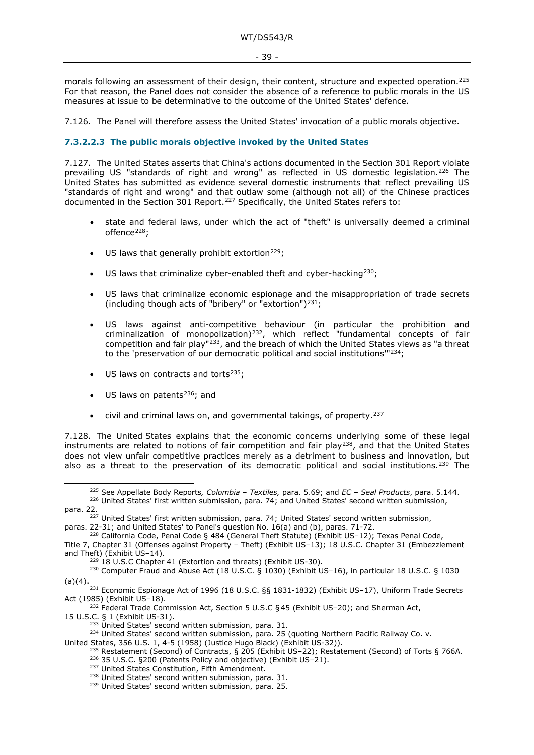morals following an assessment of their design, their content, structure and expected operation.[225](#page-38-1) For that reason, the Panel does not consider the absence of a reference to public morals in the US measures at issue to be determinative to the outcome of the United States' defence.

7.126. The Panel will therefore assess the United States' invocation of a public morals objective.

#### <span id="page-38-0"></span>**7.3.2.2.3 The public morals objective invoked by the United States**

7.127. The United States asserts that China's actions documented in the Section 301 Report violate prevailing US "standards of right and wrong" as reflected in US domestic legislation.<sup>[226](#page-38-2)</sup> The United States has submitted as evidence several domestic instruments that reflect prevailing US "standards of right and wrong" and that outlaw some (although not all) of the Chinese practices documented in the Section 301 Report.<sup>[227](#page-38-3)</sup> Specifically, the United States refers to:

- state and federal laws, under which the act of "theft" is universally deemed a criminal offence<sup>[228](#page-38-4)</sup>:
- US laws that generally prohibit extortion<sup>[229](#page-38-5)</sup>;
- US laws that criminalize cyber-enabled theft and cyber-hacking $^{230}$  $^{230}$  $^{230}$ ;
- US laws that criminalize economic espionage and the misappropriation of trade secrets (including though acts of "bribery" or "extortion")<sup>[231](#page-38-7)</sup>;
- US laws against anti-competitive behaviour (in particular the prohibition and criminalization of monopolization)[232,](#page-38-8) which reflect "fundamental concepts of fair competition and fair play"[233](#page-38-9), and the breach of which the United States views as "a threat to the 'preservation of our democratic political and social institutions<sup>'"234</sup>;
- US laws on contracts and torts $235$ ;
- US laws on patents $^{236}$ ; and
- civil and criminal laws on, and governmental takings, of property.[237](#page-38-13)

7.128. The United States explains that the economic concerns underlying some of these legal instruments are related to notions of fair competition and fair play<sup>[238](#page-38-14)</sup>, and that the United States does not view unfair competitive practices merely as a detriment to business and innovation, but also as a threat to the preservation of its democratic political and social institutions.<sup>[239](#page-38-15)</sup> The

<sup>225</sup> See Appellate Body Reports*, Colombia – Textiles,* para. 5.69; and *EC – Seal Products*, para. 5.144.

<sup>&</sup>lt;sup>226</sup> United States' first written submission, para. 74; and United States' second written submission,

<span id="page-38-2"></span><span id="page-38-1"></span>para. 22.

<sup>&</sup>lt;sup>227</sup> United States' first written submission, para. 74; United States' second written submission,

<span id="page-38-3"></span>paras. 22-31; and United States' to Panel's question No. 16(a) and (b), paras. 71-72.

<span id="page-38-4"></span><sup>228</sup> California Code, Penal Code § 484 (General Theft Statute) (Exhibit US–12); Texas Penal Code, Title 7, Chapter 31 (Offenses against Property – Theft) (Exhibit US–13); 18 U.S.C. Chapter 31 (Embezzlement and Theft) (Exhibit US–14).

 $229$  18 U.S.C Chapter 41 (Extortion and threats) (Exhibit US-30).

<span id="page-38-6"></span><span id="page-38-5"></span><sup>&</sup>lt;sup>230</sup> Computer Fraud and Abuse Act (18 U.S.C. § 1030) (Exhibit US-16), in particular 18 U.S.C. § 1030 (a)(4).

<span id="page-38-7"></span> $^{231}$  Economic Espionage Act of 1996 (18 U.S.C. §§ 1831-1832) (Exhibit US-17), Uniform Trade Secrets Act (1985) (Exhibit US–18).

<span id="page-38-8"></span><sup>&</sup>lt;sup>232</sup> Federal Trade Commission Act, Section 5 U.S.C § 45 (Exhibit US-20); and Sherman Act,

<sup>15</sup> U.S.C. § 1 (Exhibit US-31).

<sup>&</sup>lt;sup>233</sup> United States' second written submission, para. 31.

<span id="page-38-15"></span><span id="page-38-14"></span><span id="page-38-13"></span><span id="page-38-12"></span><span id="page-38-11"></span><span id="page-38-10"></span><span id="page-38-9"></span><sup>&</sup>lt;sup>234</sup> United States' second written submission, para. 25 (quoting Northern Pacific Railway Co. v.<br>United States, 356 U.S. 1, 4-5 (1958) (Justice Hugo Black) (Exhibit US-32)).

<sup>&</sup>lt;sup>235</sup> Restatement (Second) of Contracts, § 205 (Exhibit US-22); Restatement (Second) of Torts § 766A.<br><sup>236</sup> 35 U.S.C. §200 (Patents Policy and objective) (Exhibit US-21).

 $^{237}$  United States Constitution, Fifth Amendment.<br> $^{238}$  United States' second written submission, para. 31.

<sup>&</sup>lt;sup>239</sup> United States' second written submission, para. 25.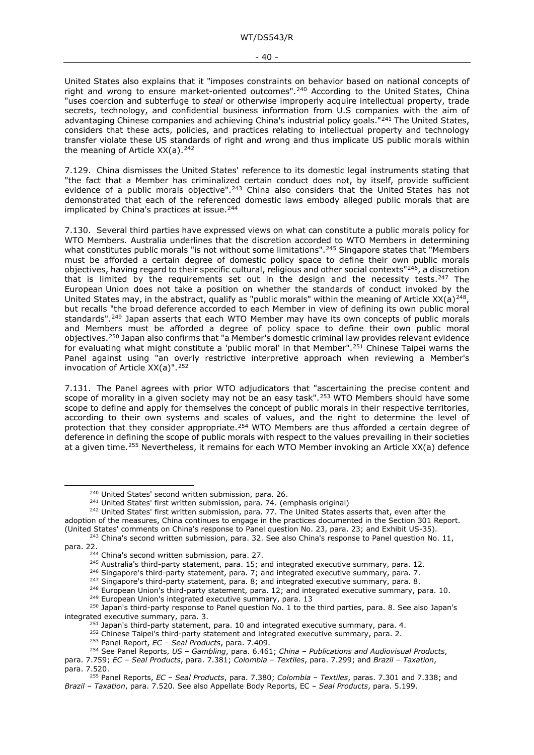United States also explains that it "imposes constraints on behavior based on national concepts of right and wrong to ensure market-oriented outcomes".<sup>[240](#page-39-7)</sup> According to the United States, China "uses coercion and subterfuge to *steal* or otherwise improperly acquire intellectual property, trade secrets, technology, and confidential business information from U.S companies with the aim of advantaging Chinese companies and achieving China's industrial policy goals."[241](#page-39-8) The United States, considers that these acts, policies, and practices relating to intellectual property and technology transfer violate these US standards of right and wrong and thus implicate US public morals within the meaning of Article  $XX(a)$ . <sup>[242](#page-39-9)</sup>

7.129. China dismisses the United States' reference to its domestic legal instruments stating that "the fact that a Member has criminalized certain conduct does not, by itself, provide sufficient evidence of a public morals objective".<sup>[243](#page-39-10)</sup> China also considers that the United States has not demonstrated that each of the referenced domestic laws embody alleged public morals that are implicated by China's practices at issue.<sup>[244](#page-39-11)</sup>

<span id="page-39-6"></span><span id="page-39-3"></span><span id="page-39-2"></span><span id="page-39-1"></span><span id="page-39-0"></span>7.130. Several third parties have expressed views on what can constitute a public morals policy for WTO Members. Australia underlines that the discretion accorded to WTO Members in determining what constitutes public morals "is not without some limitations".<sup>245</sup> Singapore states that "Members" must be afforded a certain degree of domestic policy space to define their own public morals objectives, having regard to their specific cultural, religious and other social contexts["246,](#page-39-13) a discretion that is limited by the requirements set out in the design and the necessity tests.<sup>[247](#page-39-14)</sup> The European Union does not take a position on whether the standards of conduct invoked by the United States may, in the abstract, qualify as "public morals" within the meaning of Article XX(a)<sup>[248](#page-39-15)</sup>, but recalls "the broad deference accorded to each Member in view of defining its own public moral standards".<sup>[249](#page-39-16)</sup> Japan asserts that each WTO Member may have its own concepts of public morals and Members must be afforded a degree of policy space to define their own public moral objectives.[250](#page-39-17) Japan also confirms that "a Member's domestic criminal law provides relevant evidence for evaluating what might constitute a 'public moral' in that Member".<sup>[251](#page-39-18)</sup> Chinese Taipei warns the Panel against using "an overly restrictive interpretive approach when reviewing a Member's invocation of Article XX(a)".[252](#page-39-19)

<span id="page-39-5"></span><span id="page-39-4"></span>7.131. The Panel agrees with prior WTO adjudicators that "ascertaining the precise content and scope of morality in a given society may not be an easy task".<sup>[253](#page-39-20)</sup> WTO Members should have some scope to define and apply for themselves the concept of public morals in their respective territories, according to their own systems and scales of values, and the right to determine the level of protection that they consider appropriate[.254](#page-39-21) WTO Members are thus afforded a certain degree of deference in defining the scope of public morals with respect to the values prevailing in their societies at a given time.[255](#page-39-22) Nevertheless, it remains for each WTO Member invoking an Article XX(a) defence

 $247$  Singapore's third-party statement, para. 8; and integrated executive summary, para. 8.

<sup>&</sup>lt;sup>240</sup> United States' second written submission, para. 26.<br><sup>241</sup> United States' first written submission, para. 74. (emphasis original)

<span id="page-39-9"></span><span id="page-39-8"></span><span id="page-39-7"></span><sup>&</sup>lt;sup>242</sup> United States' first written submission, para. 77. The United States asserts that, even after the adoption of the measures, China continues to engage in the practices documented in the Section 301 Report.<br>(United States' comments on China's response to Panel question No. 23, para. 23; and Exhibit US-35).

<span id="page-39-12"></span><span id="page-39-11"></span><span id="page-39-10"></span><sup>243</sup> China's second written submission, para. 32. See also China's response to Panel question No. 11, para. 22.

<sup>&</sup>lt;sup>244</sup> China's second written submission, para. 27.<br><sup>245</sup> Australia's third-party statement, para. 15; and integrated executive summary, para. 12.

<sup>&</sup>lt;sup>246</sup> Singapore's third-party statement, para. 7; and integrated executive summary, para. 7.

<sup>&</sup>lt;sup>248</sup> European Union's third-party statement, para. 12; and integrated executive summary, para. 10. <sup>249</sup> European Union's integrated executive summary, para. 10.

<span id="page-39-18"></span><span id="page-39-17"></span><span id="page-39-16"></span><span id="page-39-15"></span><span id="page-39-14"></span><span id="page-39-13"></span> $^{250}$  Japan's third-party response to Panel question No. 1 to the third parties, para. 8. See also Japan's integrated executive summary, para. 3.

<sup>&</sup>lt;sup>251</sup> Japan's third-party statement, para. 10 and integrated executive summary, para. 4.<br><sup>252</sup> Chinese Taipei's third-party statement and integrated executive summary, para. 2.<br><sup>253</sup> Panel Report, *EC* – *Seal Products*,

<span id="page-39-21"></span><span id="page-39-20"></span><span id="page-39-19"></span><sup>254</sup> See Panel Reports, *US – Gambling*, para. 6.461; *China – Publications and Audiovisual Products*, para. 7.759; *EC – Seal Products*, para. 7.381; *Colombia – Textiles*, para. 7.299; and *Brazil – Taxation*, para. 7.520.

<span id="page-39-22"></span><sup>255</sup> Panel Reports, *EC – Seal Products*, para. 7.380; *Colombia – Textiles*, paras. 7.301 and 7.338; and *Brazil – Taxation*, para. 7.520. See also Appellate Body Reports, EC *– Seal Products*, para. 5.199.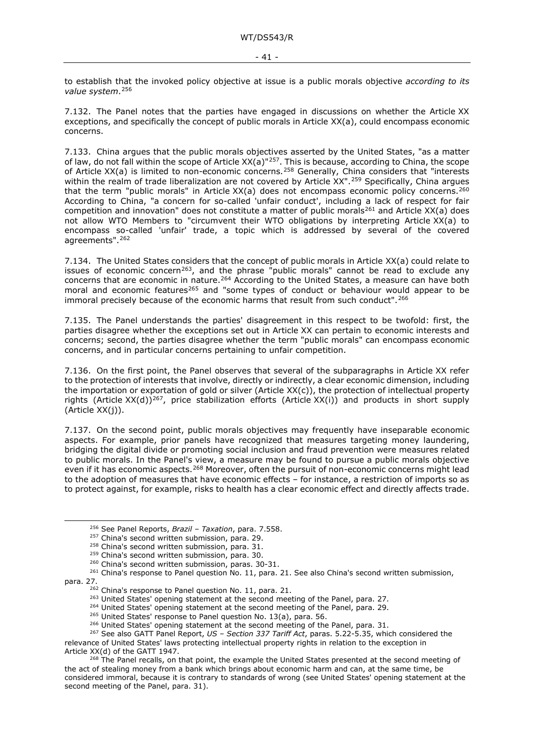to establish that the invoked policy objective at issue is a public morals objective *according to its value system*.[256](#page-40-0)

7.132. The Panel notes that the parties have engaged in discussions on whether the Article XX exceptions, and specifically the concept of public morals in Article XX(a), could encompass economic concerns.

7.133. China argues that the public morals objectives asserted by the United States, "as a matter of law, do not fall within the scope of Article XX(a)"[257.](#page-40-1) This is because, according to China, the scope of Article XX(a) is limited to non-economic concerns.<sup>[258](#page-40-2)</sup> Generally, China considers that "interests within the realm of trade liberalization are not covered by Article XX".<sup>[259](#page-40-3)</sup> Specifically, China argues that the term "public morals" in Article XX(a) does not encompass economic policy concerns.<sup>[260](#page-40-4)</sup> According to China, "a concern for so-called 'unfair conduct', including a lack of respect for fair competition and innovation" does not constitute a matter of public morals<sup>[261](#page-40-5)</sup> and Article XX(a) does not allow WTO Members to "circumvent their WTO obligations by interpreting Article XX(a) to encompass so-called 'unfair' trade, a topic which is addressed by several of the covered agreements".[262](#page-40-6)

7.134. The United States considers that the concept of public morals in Article XX(a) could relate to issues of economic concern<sup>263</sup>, and the phrase "public morals" cannot be read to exclude any concerns that are economic in nature.[264](#page-40-8) According to the United States, a measure can have both moral and economic features<sup>[265](#page-40-9)</sup> and "some types of conduct or behaviour would appear to be immoral precisely because of the economic harms that result from such conduct".[266](#page-40-10)

7.135. The Panel understands the parties' disagreement in this respect to be twofold: first, the parties disagree whether the exceptions set out in Article XX can pertain to economic interests and concerns; second, the parties disagree whether the term "public morals" can encompass economic concerns, and in particular concerns pertaining to unfair competition.

7.136. On the first point, the Panel observes that several of the subparagraphs in Article XX refer to the protection of interests that involve, directly or indirectly, a clear economic dimension, including the importation or exportation of gold or silver (Article XX(c)), the protection of intellectual property rights (Article XX(d))<sup>267</sup>, price stabilization efforts (Article XX(i)) and products in short supply (Article XX(j)).

7.137. On the second point, public morals objectives may frequently have inseparable economic aspects. For example, prior panels have recognized that measures targeting money laundering, bridging the digital divide or promoting social inclusion and fraud prevention were measures related to public morals. In the Panel's view, a measure may be found to pursue a public morals objective even if it has economic aspects.<sup>[268](#page-40-12)</sup> Moreover, often the pursuit of non-economic concerns might lead to the adoption of measures that have economic effects – for instance, a restriction of imports so as to protect against, for example, risks to health has a clear economic effect and directly affects trade.

<sup>256</sup> See Panel Reports, *Brazil – Taxation*, para. 7.558.

<sup>&</sup>lt;sup>258</sup> China's second written submission, para. 31.

<sup>&</sup>lt;sup>259</sup> China's second written submission, para. 30.

<sup>&</sup>lt;sup>260</sup> China's second written submission, paras. 30-31.

<span id="page-40-7"></span><span id="page-40-6"></span><span id="page-40-5"></span><span id="page-40-4"></span><span id="page-40-3"></span><span id="page-40-2"></span><span id="page-40-1"></span><span id="page-40-0"></span><sup>&</sup>lt;sup>261</sup> China's response to Panel question No. 11, para. 21. See also China's second written submission, para. 27.

<sup>&</sup>lt;sup>262</sup> China's response to Panel question No. 11, para. 21.

<sup>&</sup>lt;sup>263</sup> United States' opening statement at the second meeting of the Panel, para. 27.

<sup>&</sup>lt;sup>264</sup> United States' opening statement at the second meeting of the Panel, para. 29.

<sup>&</sup>lt;sup>265</sup> United States' response to Panel question No. 13(a), para. 56.

<sup>&</sup>lt;sup>266</sup> United States' opening statement at the second meeting of the Panel, para. 31.

<span id="page-40-11"></span><span id="page-40-10"></span><span id="page-40-9"></span><span id="page-40-8"></span><sup>267</sup> See also GATT Panel Report, *US – Section 337 Tariff Act*, paras. 5.22-5.35, which considered the relevance of United States' laws protecting intellectual property rights in relation to the exception in Article XX(d) of the GATT 1947.

<span id="page-40-12"></span><sup>&</sup>lt;sup>268</sup> The Panel recalls, on that point, the example the United States presented at the second meeting of the act of stealing money from a bank which brings about economic harm and can, at the same time, be considered immoral, because it is contrary to standards of wrong (see United States' opening statement at the second meeting of the Panel, para. 31).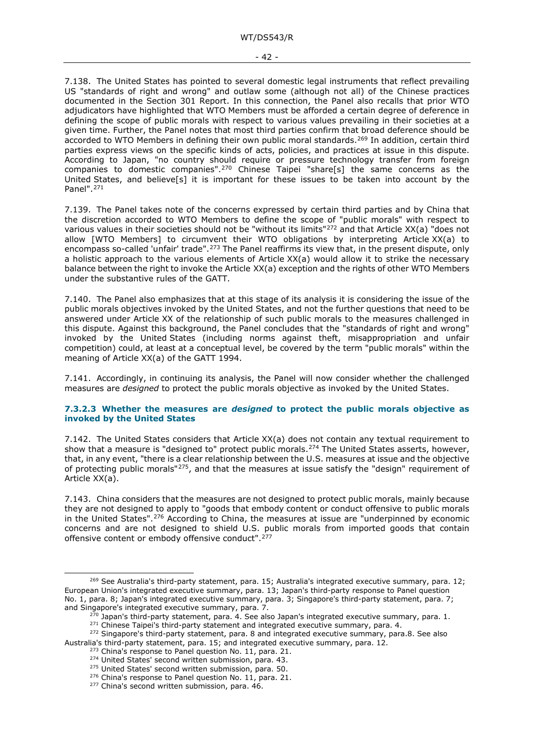<span id="page-41-2"></span><span id="page-41-1"></span>7.138. The United States has pointed to several domestic legal instruments that reflect prevailing US "standards of right and wrong" and outlaw some (although not all) of the Chinese practices documented in the Section 301 Report. In this connection, the Panel also recalls that prior WTO adjudicators have highlighted that WTO Members must be afforded a certain degree of deference in defining the scope of public morals with respect to various values prevailing in their societies at a given time. Further, the Panel notes that most third parties confirm that broad deference should be accorded to WTO Members in defining their own public moral standards.<sup>[269](#page-41-6)</sup> In addition, certain third parties express views on the specific kinds of acts, policies, and practices at issue in this dispute. According to Japan, "no country should require or pressure technology transfer from foreign companies to domestic companies".[270](#page-41-7) Chinese Taipei "share[s] the same concerns as the United States, and believe[s] it is important for these issues to be taken into account by the Panel".[271](#page-41-8)

<span id="page-41-5"></span><span id="page-41-4"></span><span id="page-41-3"></span>7.139. The Panel takes note of the concerns expressed by certain third parties and by China that the discretion accorded to WTO Members to define the scope of "public morals" with respect to various values in their societies should not be "without its limits["272](#page-41-9) and that Article XX(a) "does not allow [WTO Members] to circumvent their WTO obligations by interpreting Article XX(a) to encompass so-called 'unfair' trade".[273](#page-41-10) The Panel reaffirms its view that, in the present dispute, only a holistic approach to the various elements of Article XX(a) would allow it to strike the necessary balance between the right to invoke the Article XX(a) exception and the rights of other WTO Members under the substantive rules of the GATT.

7.140. The Panel also emphasizes that at this stage of its analysis it is considering the issue of the public morals objectives invoked by the United States, and not the further questions that need to be answered under Article XX of the relationship of such public morals to the measures challenged in this dispute. Against this background, the Panel concludes that the "standards of right and wrong" invoked by the United States (including norms against theft, misappropriation and unfair competition) could, at least at a conceptual level, be covered by the term "public morals" within the meaning of Article XX(a) of the GATT 1994.

7.141. Accordingly, in continuing its analysis, the Panel will now consider whether the challenged measures are *designed* to protect the public morals objective as invoked by the United States.

#### <span id="page-41-0"></span>**7.3.2.3 Whether the measures are** *designed* **to protect the public morals objective as invoked by the United States**

7.142. The United States considers that Article XX(a) does not contain any textual requirement to show that a measure is "designed to" protect public morals.[274](#page-41-11) The United States asserts, however, that, in any event, "there is a clear relationship between the U.S. measures at issue and the objective of protecting public morals"[275](#page-41-12), and that the measures at issue satisfy the "design" requirement of Article XX(a).

7.143. China considers that the measures are not designed to protect public morals, mainly because they are not designed to apply to "goods that embody content or conduct offensive to public morals in the United States".[276](#page-41-13) According to China, the measures at issue are "underpinned by economic concerns and are not designed to shield U.S. public morals from imported goods that contain offensive content or embody offensive conduct". <sup>[277](#page-41-14)</sup>

<span id="page-41-6"></span><sup>&</sup>lt;sup>269</sup> See Australia's third-party statement, para. 15; Australia's integrated executive summary, para. 12; European Union's integrated executive summary, para. 13; Japan's third-party response to Panel question No. 1, para. 8; Japan's integrated executive summary, para. 3; Singapore's third-party statement, para. 7; and Singapore's integrated executive summary, para. 7.<br><sup>270</sup> Japan's third-party statement, para. 4. See also Japan's integrated executive summary, para. 1.

<sup>&</sup>lt;sup>271</sup> Chinese Taipei's third-party statement and integrated executive summary, para. 4.

<span id="page-41-14"></span><span id="page-41-13"></span><span id="page-41-12"></span><span id="page-41-11"></span><span id="page-41-10"></span><span id="page-41-9"></span><span id="page-41-8"></span><span id="page-41-7"></span><sup>&</sup>lt;sup>272</sup> Singapore's third-party statement, para. 8 and integrated executive summary, para.8. See also Australia's third-party statement, para. 15; and integrated executive summary, para. 12.

 $^{273}$  China's response to Panel question No. 11, para. 21.  $^{274}$  United States' second written submission, para. 43.

<sup>&</sup>lt;sup>275</sup> United States' second written submission, para. 50.

 $276$  China's response to Panel question No. 11, para. 21.

<sup>&</sup>lt;sup>277</sup> China's second written submission, para. 46.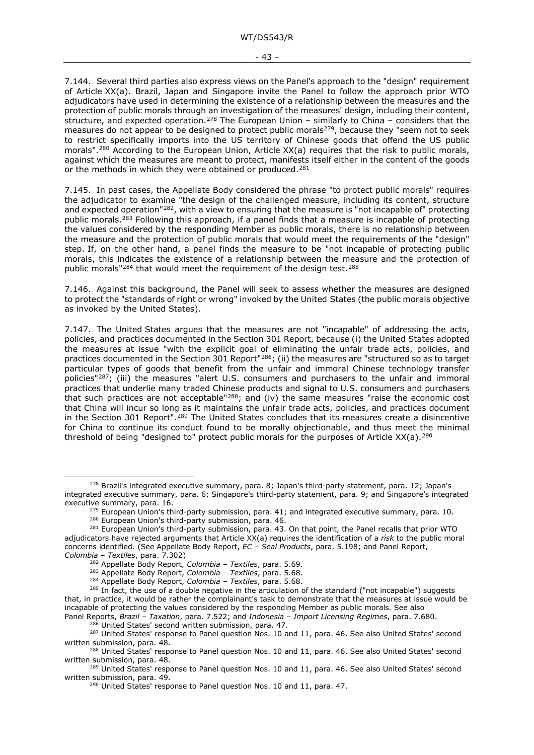<span id="page-42-1"></span><span id="page-42-0"></span>7.144. Several third parties also express views on the Panel's approach to the "design" requirement of Article XX(a). Brazil, Japan and Singapore invite the Panel to follow the approach prior WTO adjudicators have used in determining the existence of a relationship between the measures and the protection of public morals through an investigation of the measures' design, including their content, structure, and expected operation.<sup>[278](#page-42-2)</sup> The European Union – similarly to China – considers that the measures do not appear to be designed to protect public morals<sup>279</sup>, because they "seem not to seek to restrict specifically imports into the US territory of Chinese goods that offend the US public morals".<sup>[280](#page-42-4)</sup> According to the European Union, Article XX(a) requires that the risk to public morals, against which the measures are meant to protect, manifests itself either in the content of the goods or the methods in which they were obtained or produced.<sup>[281](#page-42-5)</sup>

7.145. In past cases, the Appellate Body considered the phrase "to protect public morals" requires the adjudicator to examine "the design of the challenged measure, including its content, structure and expected operation"<sup>282</sup>, with a view to ensuring that the measure is "not incapable of" protecting public morals.[283](#page-42-7) Following this approach, if a panel finds that a measure is incapable of protecting the values considered by the responding Member as public morals, there is no relationship between the measure and the protection of public morals that would meet the requirements of the "design" step. If, on the other hand, a panel finds the measure to be "not incapable of protecting public morals, this indicates the existence of a relationship between the measure and the protection of public morals"[284](#page-42-8) that would meet the requirement of the design test.[285](#page-42-9)

7.146. Against this background, the Panel will seek to assess whether the measures are designed to protect the "standards of right or wrong" invoked by the United States (the public morals objective as invoked by the United States).

<span id="page-42-15"></span>7.147. The United States argues that the measures are not "incapable" of addressing the acts, policies, and practices documented in the Section 301 Report, because (i) the United States adopted the measures at issue "with the explicit goal of eliminating the unfair trade acts, policies, and practices documented in the Section 301 Report<sup>["286](#page-42-10)</sup>; (ii) the measures are "structured so as to target particular types of goods that benefit from the unfair and immoral Chinese technology transfer policies"<sup>[287](#page-42-11)</sup>; (iii) the measures "alert U.S. consumers and purchasers to the unfair and immoral practices that underlie many traded Chinese products and signal to U.S. consumers and purchasers that such practices are not acceptable"[288;](#page-42-12) and (iv) the same measures "raise the economic cost that China will incur so long as it maintains the unfair trade acts, policies, and practices document in the Section 301 Report".<sup>[289](#page-42-13)</sup> The United States concludes that its measures create a disincentive for China to continue its conduct found to be morally objectionable, and thus meet the minimal threshold of being "designed to" protect public morals for the purposes of Article  $XX(a)$ .<sup>[290](#page-42-14)</sup>

 $279$  European Union's third-party submission, para. 41; and integrated executive summary, para. 10.

<sup>284</sup> Appellate Body Report, *Colombia – Textiles*, para. 5.68.

<span id="page-42-2"></span><sup>278</sup> Brazil's integrated executive summary, para. 8; Japan's third-party statement, para. 12; Japan's integrated executive summary, para. 6; Singapore's third-party statement, para. 9; and Singapore's integrated executive summary, para. 16.

<sup>&</sup>lt;sup>280</sup> European Union's third-party submission, para. 46.

<span id="page-42-5"></span><span id="page-42-4"></span><span id="page-42-3"></span><sup>&</sup>lt;sup>281</sup> European Union's third-party submission, para. 43. On that point, the Panel recalls that prior WTO adjudicators have rejected arguments that Article XX(a) requires the identification of a *risk* to the public moral concerns identified. (See Appellate Body Report, *EC – Seal Products*, para. 5.198; and Panel Report, *Colombia – Textiles*, para. 7.302)

<sup>282</sup> Appellate Body Report, *Colombia – Textiles*, para. 5.69.

<sup>283</sup> Appellate Body Report, *Colombia – Textiles*, para. 5.68.

<span id="page-42-9"></span><span id="page-42-8"></span><span id="page-42-7"></span><span id="page-42-6"></span><sup>&</sup>lt;sup>285</sup> In fact, the use of a double negative in the articulation of the standard ("not incapable") suggests that, in practice, it would be rather the complainant's task to demonstrate that the measures at issue would be incapable of protecting the values considered by the responding Member as public morals. See also Panel Reports, *Brazil – Taxation*, para. 7.522; and *Indonesia – Import Licensing Regimes*, para. 7.680.

<span id="page-42-11"></span><span id="page-42-10"></span><sup>&</sup>lt;sup>287</sup> United States' response to Panel question Nos. 10 and 11, para. 46. See also United States' second written submission, para. 48.

<span id="page-42-12"></span><sup>288</sup> United States' response to Panel question Nos. 10 and 11, para. 46. See also United States' second written submission, para. 48.

<span id="page-42-14"></span><span id="page-42-13"></span><sup>&</sup>lt;sup>289</sup> United States' response to Panel question Nos. 10 and 11, para. 46. See also United States' second written submission, para. 49.

<sup>&</sup>lt;sup>290</sup> United States' response to Panel question Nos. 10 and 11, para. 47.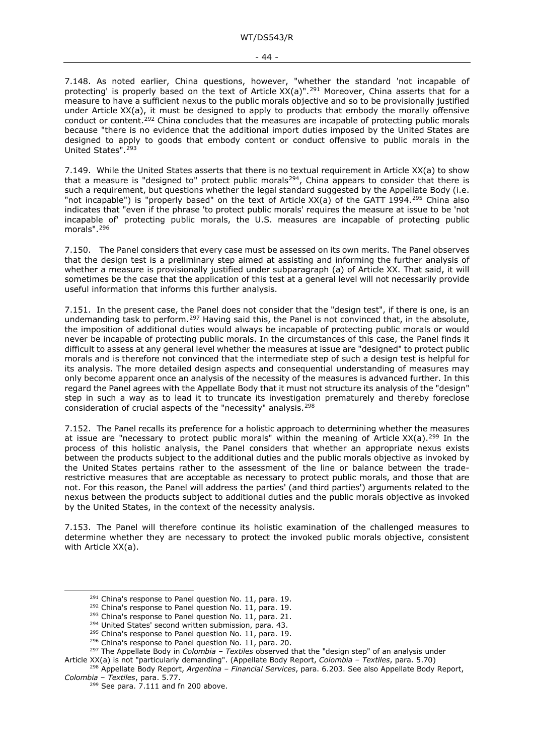<span id="page-43-0"></span>7.148. As noted earlier, China questions, however, "whether the standard 'not incapable of protecting' is properly based on the text of Article XX(a)".<sup>[291](#page-43-3)</sup> Moreover, China asserts that for a measure to have a sufficient nexus to the public morals objective and so to be provisionally justified under Article XX(a), it must be designed to apply to products that embody the morally offensive conduct or content.[292](#page-43-4) China concludes that the measures are incapable of protecting public morals because "there is no evidence that the additional import duties imposed by the United States are designed to apply to goods that embody content or conduct offensive to public morals in the United States".<sup>[293](#page-43-5)</sup>

<span id="page-43-1"></span>7.149. While the United States asserts that there is no textual requirement in Article XX(a) to show that a measure is "designed to" protect public morals<sup>294</sup>, China appears to consider that there is such a requirement, but questions whether the legal standard suggested by the Appellate Body (i.e. "not incapable") is "properly based" on the text of Article  $XX(a)$  of the GATT 1994.<sup>[295](#page-43-7)</sup> China also indicates that "even if the phrase 'to protect public morals' requires the measure at issue to be 'not incapable of' protecting public morals, the U.S. measures are incapable of protecting public morals".[296](#page-43-8)

<span id="page-43-2"></span>7.150. The Panel considers that every case must be assessed on its own merits. The Panel observes that the design test is a preliminary step aimed at assisting and informing the further analysis of whether a measure is provisionally justified under subparagraph (a) of Article XX. That said, it will sometimes be the case that the application of this test at a general level will not necessarily provide useful information that informs this further analysis.

7.151. In the present case, the Panel does not consider that the "design test", if there is one, is an undemanding task to perform.<sup>[297](#page-43-9)</sup> Having said this, the Panel is not convinced that, in the absolute, the imposition of additional duties would always be incapable of protecting public morals or would never be incapable of protecting public morals. In the circumstances of this case, the Panel finds it difficult to assess at any general level whether the measures at issue are "designed" to protect public morals and is therefore not convinced that the intermediate step of such a design test is helpful for its analysis. The more detailed design aspects and consequential understanding of measures may only become apparent once an analysis of the necessity of the measures is advanced further. In this regard the Panel agrees with the Appellate Body that it must not structure its analysis of the "design" step in such a way as to lead it to truncate its investigation prematurely and thereby foreclose consideration of crucial aspects of the "necessity" analysis.[298](#page-43-10)

7.152. The Panel recalls its preference for a holistic approach to determining whether the measures at issue are "necessary to protect public morals" within the meaning of Article  $XX(a)$ .<sup>[299](#page-43-11)</sup> In the process of this holistic analysis, the Panel considers that whether an appropriate nexus exists between the products subject to the additional duties and the public morals objective as invoked by the United States pertains rather to the assessment of the line or balance between the traderestrictive measures that are acceptable as necessary to protect public morals, and those that are not. For this reason, the Panel will address the parties' (and third parties') arguments related to the nexus between the products subject to additional duties and the public morals objective as invoked by the United States, in the context of the necessity analysis.

7.153. The Panel will therefore continue its holistic examination of the challenged measures to determine whether they are necessary to protect the invoked public morals objective, consistent with Article XX(a).

<span id="page-43-3"></span> $^{291}$  China's response to Panel question No. 11, para. 19.  $^{292}$  China's response to Panel question No. 11, para. 19.

<sup>&</sup>lt;sup>293</sup> China's response to Panel question No. 11, para. 21.<br><sup>294</sup> United States' second written submission, para. 43.<br><sup>295</sup> China's response to Panel question No. 11, para. 19.

<sup>&</sup>lt;sup>296</sup> China's response to Panel question No. 11, para. 20.

<sup>297</sup> The Appellate Body in *Colombia – Textiles* observed that the "design step" of an analysis under

<span id="page-43-9"></span><span id="page-43-8"></span><span id="page-43-7"></span><span id="page-43-6"></span><span id="page-43-5"></span><span id="page-43-4"></span>Article XX(a) is not "particularly demanding". (Appellate Body Report, *Colombia – Textiles*, para. 5.70)

<span id="page-43-11"></span><span id="page-43-10"></span><sup>298</sup> Appellate Body Report, *Argentina – Financial Services*, para. 6.203. See also Appellate Body Report, *Colombia – Textiles*, para. 5.77.

 $299$  See para. [7.111](#page-35-10) and fn [200](#page-35-11) above.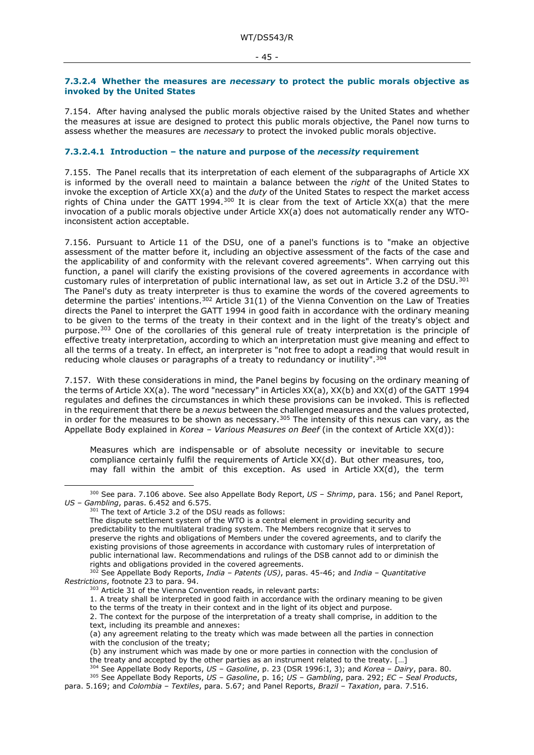#### <span id="page-44-0"></span>**7.3.2.4 Whether the measures are** *necessary* **to protect the public morals objective as invoked by the United States**

7.154. After having analysed the public morals objective raised by the United States and whether the measures at issue are designed to protect this public morals objective, the Panel now turns to assess whether the measures are *necessary* to protect the invoked public morals objective.

#### <span id="page-44-1"></span>**7.3.2.4.1 Introduction – the nature and purpose of the** *necessity* **requirement**

7.155. The Panel recalls that its interpretation of each element of the subparagraphs of Article XX is informed by the overall need to maintain a balance between the *right* of the United States to invoke the exception of Article XX(a) and the *duty* of the United States to respect the market access rights of China under the GATT 1994.<sup>[300](#page-44-3)</sup> It is clear from the text of Article XX(a) that the mere invocation of a public morals objective under Article XX(a) does not automatically render any WTOinconsistent action acceptable.

<span id="page-44-2"></span>7.156. Pursuant to Article 11 of the DSU, one of a panel's functions is to "make an objective assessment of the matter before it, including an objective assessment of the facts of the case and the applicability of and conformity with the relevant covered agreements". When carrying out this function, a panel will clarify the existing provisions of the covered agreements in accordance with customary rules of interpretation of public international law, as set out in Article 3.2 of the DSU.[301](#page-44-4) The Panel's duty as treaty interpreter is thus to examine the words of the covered agreements to determine the parties' intentions.<sup>302</sup> Article 31(1) of the Vienna Convention on the Law of Treaties directs the Panel to interpret the GATT 1994 in good faith in accordance with the ordinary meaning to be given to the terms of the treaty in their context and in the light of the treaty's object and purpose.[303](#page-44-6) One of the corollaries of this general rule of treaty interpretation is the principle of effective treaty interpretation, according to which an interpretation must give meaning and effect to all the terms of a treaty. In effect, an interpreter is "not free to adopt a reading that would result in reducing whole clauses or paragraphs of a treaty to redundancy or inutility".[304](#page-44-7)

7.157. With these considerations in mind, the Panel begins by focusing on the ordinary meaning of the terms of Article XX(a). The word "necessary" in Articles XX(a), XX(b) and XX(d) of the GATT 1994 regulates and defines the circumstances in which these provisions can be invoked. This is reflected in the requirement that there be a *nexus* between the challenged measures and the values protected, in order for the measures to be shown as necessary.<sup>[305](#page-44-8)</sup> The intensity of this nexus can vary, as the Appellate Body explained in *Korea – Various Measures on Beef* (in the context of Article XX(d)):

Measures which are indispensable or of absolute necessity or inevitable to secure compliance certainly fulfil the requirements of Article XX(d). But other measures, too, may fall within the ambit of this exception. As used in Article XX(d), the term

<span id="page-44-4"></span><span id="page-44-3"></span><sup>300</sup> See para. [7.106](#page-34-11) above. See also Appellate Body Report, *US – Shrimp*, para. 156; and Panel Report, *US – Gambling*, paras. 6.452 and 6.575.

 $301$  The text of Article 3.2 of the DSU reads as follows:

The dispute settlement system of the WTO is a central element in providing security and predictability to the multilateral trading system. The Members recognize that it serves to preserve the rights and obligations of Members under the covered agreements, and to clarify the existing provisions of those agreements in accordance with customary rules of interpretation of public international law. Recommendations and rulings of the DSB cannot add to or diminish the rights and obligations provided in the covered agreements.

<span id="page-44-6"></span><span id="page-44-5"></span><sup>302</sup> See Appellate Body Reports, *India – Patents (US)*, paras. 45-46; and *India – Quantitative Restrictions*, footnote 23 to para. 94.

<sup>&</sup>lt;sup>303</sup> Article 31 of the Vienna Convention reads, in relevant parts:

<sup>1.</sup> A treaty shall be interpreted in good faith in accordance with the ordinary meaning to be given to the terms of the treaty in their context and in the light of its object and purpose.

<sup>2.</sup> The context for the purpose of the interpretation of a treaty shall comprise, in addition to the text, including its preamble and annexes:

<sup>(</sup>a) any agreement relating to the treaty which was made between all the parties in connection with the conclusion of the treaty;

<sup>(</sup>b) any instrument which was made by one or more parties in connection with the conclusion of the treaty and accepted by the other parties as an instrument related to the treaty. […]

<sup>304</sup> See Appellate Body Reports, *US – Gasoline*, p. 23 (DSR 1996:I, 3); and *Korea – Dairy*, para. 80. <sup>305</sup> See Appellate Body Reports, *US – Gasoline*, p. 16; *US – Gambling*, para. 292; *EC – Seal Products*,

<span id="page-44-8"></span><span id="page-44-7"></span>para. 5.169; and *Colombia – Textiles*, para. 5.67; and Panel Reports, *Brazil – Taxation*, para. 7.516.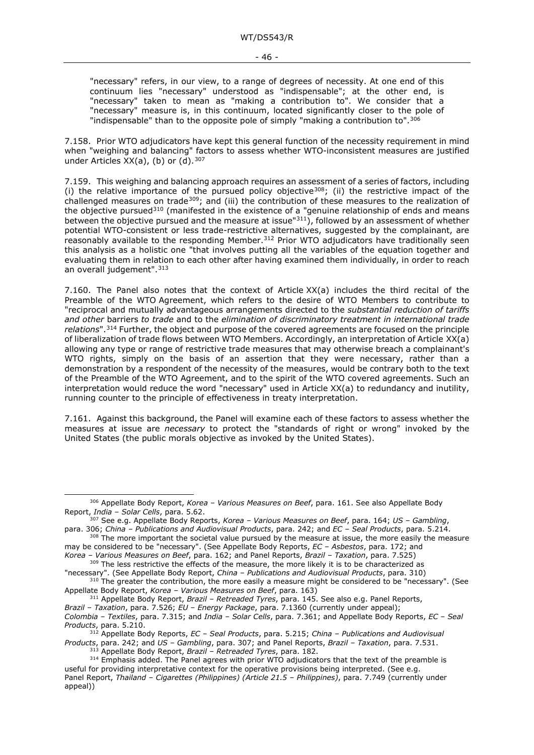"necessary" refers, in our view, to a range of degrees of necessity. At one end of this continuum lies "necessary" understood as "indispensable"; at the other end, is "necessary" taken to mean as "making a contribution to". We consider that a "necessary" measure is, in this continuum, located significantly closer to the pole of "indispensable" than to the opposite pole of simply "making a contribution to".  $306$ 

7.158. Prior WTO adjudicators have kept this general function of the necessity requirement in mind when "weighing and balancing" factors to assess whether WTO-inconsistent measures are justified under Articles  $XX(a)$ , (b) or (d).  $307$ 

7.159. This weighing and balancing approach requires an assessment of a series of factors, including (i) the relative importance of the pursued policy objective<sup>308</sup>; (ii) the restrictive impact of the challenged measures on trade[309](#page-45-3); and (iii) the contribution of these measures to the realization of the objective pursued<sup>[310](#page-45-4)</sup> (manifested in the existence of a "genuine relationship of ends and means between the objective pursued and the measure at issue $1311$  $1311$ , followed by an assessment of whether potential WTO-consistent or less trade-restrictive alternatives, suggested by the complainant, are reasonably available to the responding Member.<sup>[312](#page-45-6)</sup> Prior WTO adjudicators have traditionally seen this analysis as a holistic one "that involves putting all the variables of the equation together and evaluating them in relation to each other after having examined them individually, in order to reach an overall judgement". [313](#page-45-7)

7.160. The Panel also notes that the context of Article XX(a) includes the third recital of the Preamble of the WTO Agreement, which refers to the desire of WTO Members to contribute to "reciprocal and mutually advantageous arrangements directed to the *substantial reduction of tariffs and other* barriers *to trade* and to the *elimination of discriminatory treatment in international trade relations*".[314](#page-45-8) Further, the object and purpose of the covered agreements are focused on the principle of liberalization of trade flows between WTO Members. Accordingly, an interpretation of Article XX(a) allowing any type or range of restrictive trade measures that may otherwise breach a complainant's WTO rights, simply on the basis of an assertion that they were necessary, rather than a demonstration by a respondent of the necessity of the measures, would be contrary both to the text of the Preamble of the WTO Agreement, and to the spirit of the WTO covered agreements. Such an interpretation would reduce the word "necessary" used in Article XX(a) to redundancy and inutility, running counter to the principle of effectiveness in treaty interpretation.

7.161. Against this background, the Panel will examine each of these factors to assess whether the measures at issue are *necessary* to protect the "standards of right or wrong" invoked by the United States (the public morals objective as invoked by the United States).

<sup>311</sup> Appellate Body Report, *Brazil – Retreaded Tyres*, para. 145. See also e.g. Panel Reports,

<sup>306</sup> Appellate Body Report, *Korea – Various Measures on Beef*, para. 161. See also Appellate Body

<span id="page-45-1"></span><span id="page-45-0"></span>Report, *India –* Solar Cells, para. 5.62.<br>307 See e.g. Appellate Body Reports, *Korea – Various Measures on Beef*, para. 164; *US – Gambling*, para. 306; *China – Publications and Audiovisual Products*, para. 242; and *EC* 

<span id="page-45-2"></span><sup>&</sup>lt;sup>308</sup> The more important the societal value pursued by the measure at issue, the more easily the measure may be considered to be "necessary". (See Appellate Body Reports, *EC – Asbestos*, para. 172; and

<span id="page-45-3"></span>*Korea – Various Measures on Beef*, para. 162; and Panel Reports, *Brazil – Taxation*, para. 7.525) <sup>309</sup> The less restrictive the effects of the measure, the more likely it is to be characterized as

<sup>&</sup>quot;necessary". (See Appellate Body Report, *China – Publications and Audiovisual Products*, para. 310)

<span id="page-45-4"></span><sup>&</sup>lt;sup>310</sup> The greater the contribution, the more easily a measure might be considered to be "necessary". (See Appellate Body Report, *Korea – Various Measures on Beef*, para. 163)

<span id="page-45-5"></span>*Brazil – Taxation*, para. 7.526; *EU – Energy Package*, para. 7.1360 (currently under appeal); *Colombia – Textiles*, para. 7.315; and *India – Solar Cells*, para. 7.361; and Appellate Body Reports, *EC – Seal Products*, para. 5.210.

<span id="page-45-6"></span><sup>312</sup> Appellate Body Reports, *EC – Seal Products*, para. 5.215; *China – Publications and Audiovisual Products*, para. 242; and *US – Gambling*, para. 307; and Panel Reports, *Brazil – Taxation*, para. 7.531.

<sup>313</sup> Appellate Body Report, *Brazil – Retreaded Tyres*, para. 182.

<span id="page-45-8"></span><span id="page-45-7"></span><sup>&</sup>lt;sup>314</sup> Emphasis added. The Panel agrees with prior WTO adjudicators that the text of the preamble is useful for providing interpretative context for the operative provisions being interpreted. (See e.g. Panel Report, *Thailand – Cigarettes (Philippines) (Article 21.5 – Philippines)*, para. 7.749 (currently under appeal))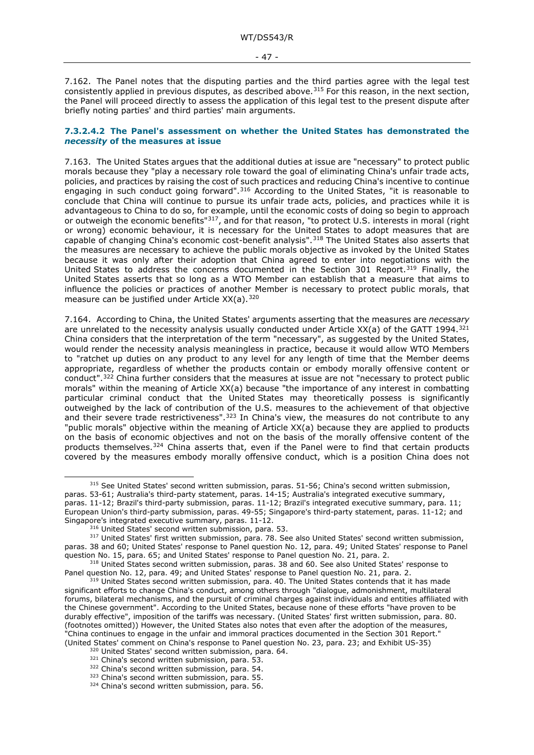<span id="page-46-2"></span>7.162. The Panel notes that the disputing parties and the third parties agree with the legal test consistently applied in previous disputes, as described above.<sup>[315](#page-46-3)</sup> For this reason, in the next section, the Panel will proceed directly to assess the application of this legal test to the present dispute after briefly noting parties' and third parties' main arguments.

#### <span id="page-46-0"></span>**7.3.2.4.2 The Panel's assessment on whether the United States has demonstrated the**  *necessity* **of the measures at issue**

7.163. The United States argues that the additional duties at issue are "necessary" to protect public morals because they "play a necessary role toward the goal of eliminating China's unfair trade acts, policies, and practices by raising the cost of such practices and reducing China's incentive to continue engaging in such conduct going forward".<sup>[316](#page-46-4)</sup> According to the United States, "it is reasonable to conclude that China will continue to pursue its unfair trade acts, policies, and practices while it is advantageous to China to do so, for example, until the economic costs of doing so begin to approach or outweigh the economic benefits"<sup>317</sup>, and for that reason, "to protect U.S. interests in moral (right or wrong) economic behaviour, it is necessary for the United States to adopt measures that are capable of changing China's economic cost-benefit analysis".<sup>[318](#page-46-6)</sup> The United States also asserts that the measures are necessary to achieve the public morals objective as invoked by the United States because it was only after their adoption that China agreed to enter into negotiations with the United States to address the concerns documented in the Section 301 Report.<sup>[319](#page-46-7)</sup> Finally, the United States asserts that so long as a WTO Member can establish that a measure that aims to influence the policies or practices of another Member is necessary to protect public morals, that measure can be justified under Article XX(a).[320](#page-46-8)

<span id="page-46-1"></span>7.164. According to China, the United States' arguments asserting that the measures are *necessary* are unrelated to the necessity analysis usually conducted under Article XX(a) of the GATT 1994.<sup>[321](#page-46-9)</sup> China considers that the interpretation of the term "necessary", as suggested by the United States, would render the necessity analysis meaningless in practice, because it would allow WTO Members to "ratchet up duties on any product to any level for any length of time that the Member deems appropriate, regardless of whether the products contain or embody morally offensive content or conduct".<sup>[322](#page-46-10)</sup> China further considers that the measures at issue are not "necessary to protect public morals" within the meaning of Article XX(a) because "the importance of any interest in combatting particular criminal conduct that the United States may theoretically possess is significantly outweighed by the lack of contribution of the U.S. measures to the achievement of that objective and their severe trade restrictiveness".<sup>[323](#page-46-11)</sup> In China's view, the measures do not contribute to any "public morals" objective within the meaning of Article XX(a) because they are applied to products on the basis of economic objectives and not on the basis of the morally offensive content of the products themselves.<sup>[324](#page-46-12)</sup> China asserts that, even if the Panel were to find that certain products covered by the measures embody morally offensive conduct, which is a position China does not

<span id="page-46-3"></span><sup>&</sup>lt;sup>315</sup> See United States' second written submission, paras. 51-56; China's second written submission, paras. 53-61; Australia's third-party statement, paras. 14-15; Australia's integrated executive summary, paras. 11-12; Brazil's third-party submission, paras. 11-12; Brazil's integrated executive summary, para. 11; European Union's third-party submission, paras. 49-55; Singapore's third-party statement, paras. 11-12; and Singapore's integrated executive summary, paras. 11-12.<br><sup>316</sup> United States' second written submission, para. 53.

<span id="page-46-5"></span><span id="page-46-4"></span><sup>317</sup> United States' first written submission, para. 78. See also United States' second written submission, paras. 38 and 60; United States' response to Panel question No. 12, para. 49; United States' response to Panel question No. 15, para. 65; and United States' response to Panel question No. 21, para. 2.

<span id="page-46-6"></span><sup>&</sup>lt;sup>318</sup> United States second written submission, paras. 38 and 60. See also United States' response to Panel question No. 12, para. 49; and United States' response to Panel question No. 21, para. 2.

<span id="page-46-7"></span><sup>&</sup>lt;sup>319</sup> United States second written submission, para. 40. The United States contends that it has made significant efforts to change China's conduct, among others through "dialogue, admonishment, multilateral forums, bilateral mechanisms, and the pursuit of criminal charges against individuals and entities affiliated with the Chinese government". According to the United States, because none of these efforts "have proven to be durably effective", imposition of the tariffs was necessary. (United States' first written submission, para. 80. (footnotes omitted)) However, the United States also notes that even after the adoption of the measures, "China continues to engage in the unfair and immoral practices documented in the Section 301 Report." (United States' comment on China's response to Panel question No. 23, para. 23; and Exhibit US-35)<br><sup>320</sup> United States' second written submission, para. 64.

<span id="page-46-12"></span><span id="page-46-11"></span>

<span id="page-46-10"></span><span id="page-46-9"></span><span id="page-46-8"></span> $321$  China's second written submission, para. 53.<br> $322$  China's second written submission, para. 54.<br> $323$  China's second written submission, para. 55.<br> $324$  China's second written submission, para. 56.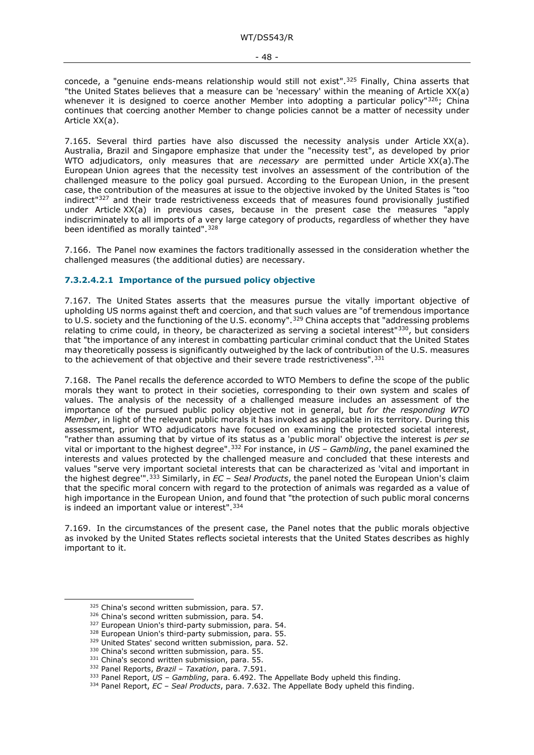concede, a "genuine ends-means relationship would still not exist".<sup>[325](#page-47-1)</sup> Finally, China asserts that "the United States believes that a measure can be 'necessary' within the meaning of Article XX(a) whenever it is designed to coerce another Member into adopting a particular policy" $326$ ; China continues that coercing another Member to change policies cannot be a matter of necessity under Article XX(a).

7.165. Several third parties have also discussed the necessity analysis under Article  $XX(a)$ . Australia, Brazil and Singapore emphasize that under the "necessity test", as developed by prior WTO adjudicators, only measures that are *necessary* are permitted under Article XX(a).The European Union agrees that the necessity test involves an assessment of the contribution of the challenged measure to the policy goal pursued. According to the European Union, in the present case, the contribution of the measures at issue to the objective invoked by the United States is "too indirect"<sup>[327](#page-47-3)</sup> and their trade restrictiveness exceeds that of measures found provisionally justified under Article XX(a) in previous cases, because in the present case the measures "apply indiscriminately to all imports of a very large category of products, regardless of whether they have been identified as morally tainted".<sup>[328](#page-47-4)</sup>

7.166. The Panel now examines the factors traditionally assessed in the consideration whether the challenged measures (the additional duties) are necessary.

#### <span id="page-47-0"></span>**7.3.2.4.2.1 Importance of the pursued policy objective**

7.167. The United States asserts that the measures pursue the vitally important objective of upholding US norms against theft and coercion, and that such values are "of tremendous importance to U.S. society and the functioning of the U.S. economy".<sup>[329](#page-47-5)</sup> China accepts that "addressing problems" relating to crime could, in theory, be characterized as serving a societal interest<sup>"330</sup>, but considers that "the importance of any interest in combatting particular criminal conduct that the United States may theoretically possess is significantly outweighed by the lack of contribution of the U.S. measures to the achievement of that objective and their severe trade restrictiveness".<sup>331</sup>

7.168. The Panel recalls the deference accorded to WTO Members to define the scope of the public morals they want to protect in their societies, corresponding to their own system and scales of values. The analysis of the necessity of a challenged measure includes an assessment of the importance of the pursued public policy objective not in general, but *for the responding WTO Member*, in light of the relevant public morals it has invoked as applicable in its territory. During this assessment, prior WTO adjudicators have focused on examining the protected societal interest, "rather than assuming that by virtue of its status as a 'public moral' objective the interest is *per se* vital or important to the highest degree".[332](#page-47-8) For instance, in *US – Gambling*, the panel examined the interests and values protected by the challenged measure and concluded that these interests and values "serve very important societal interests that can be characterized as 'vital and important in the highest degree'".[333](#page-47-9) Similarly, in *EC – Seal Products*, the panel noted the European Union's claim that the specific moral concern with regard to the protection of animals was regarded as a value of high importance in the European Union, and found that "the protection of such public moral concerns is indeed an important value or interest".<sup>[334](#page-47-10)</sup>

7.169. In the circumstances of the present case, the Panel notes that the public morals objective as invoked by the United States reflects societal interests that the United States describes as highly important to it.

<span id="page-47-4"></span><span id="page-47-3"></span><span id="page-47-2"></span><sup>327</sup> European Union's third-party submission, para. 54.<br><sup>328</sup> European Union's third-party submission, para. 55.<br><sup>329</sup> United States' second written submission, para. 52.<br><sup>330</sup> China's second written submission, para. 55

<span id="page-47-1"></span> $325$  China's second written submission, para. 57.<br> $326$  China's second written submission, para. 54.

<span id="page-47-5"></span>

<span id="page-47-8"></span><span id="page-47-7"></span><span id="page-47-6"></span>

<span id="page-47-9"></span><sup>333</sup> Panel Report, *US – Gambling*, para. 6.492. The Appellate Body upheld this finding.

<span id="page-47-10"></span><sup>334</sup> Panel Report, *EC – Seal Products*, para. 7.632. The Appellate Body upheld this finding.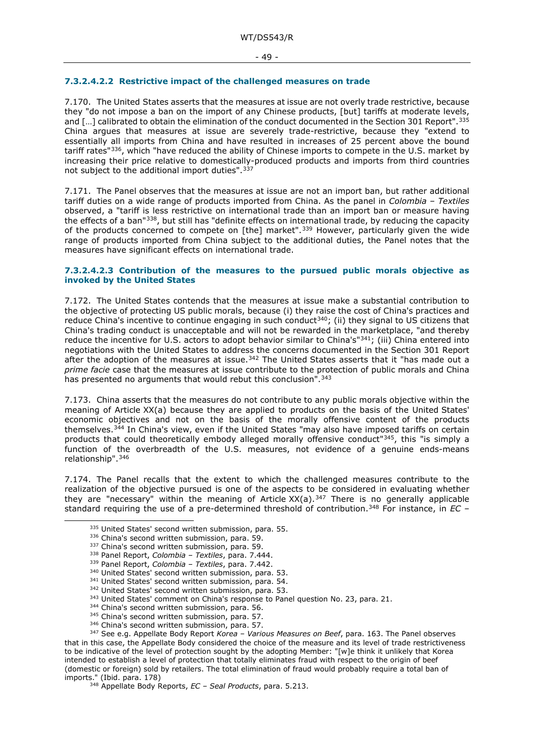#### <span id="page-48-0"></span>**7.3.2.4.2.2 Restrictive impact of the challenged measures on trade**

7.170. The United States asserts that the measures at issue are not overly trade restrictive, because they "do not impose a ban on the import of any Chinese products, [but] tariffs at moderate levels, and [...] calibrated to obtain the elimination of the conduct documented in the Section 301 Report". [335](#page-48-2) China argues that measures at issue are severely trade-restrictive, because they "extend to essentially all imports from China and have resulted in increases of 25 percent above the bound tariff rates"[336](#page-48-3), which "have reduced the ability of Chinese imports to compete in the U.S. market by increasing their price relative to domestically-produced products and imports from third countries not subject to the additional import duties".<sup>[337](#page-48-4)</sup>

7.171. The Panel observes that the measures at issue are not an import ban, but rather additional tariff duties on a wide range of products imported from China. As the panel in *Colombia – Textiles*  observed, a "tariff is less restrictive on international trade than an import ban or measure having the effects of a ban"[338,](#page-48-5) but still has "definite effects on international trade, by reducing the capacity of the products concerned to compete on [the] market".<sup>[339](#page-48-6)</sup> However, particularly given the wide range of products imported from China subject to the additional duties, the Panel notes that the measures have significant effects on international trade.

#### <span id="page-48-1"></span>**7.3.2.4.2.3 Contribution of the measures to the pursued public morals objective as invoked by the United States**

<span id="page-48-16"></span>7.172. The United States contends that the measures at issue make a substantial contribution to the objective of protecting US public morals, because (i) they raise the cost of China's practices and reduce China's incentive to continue engaging in such conduct<sup>[340](#page-48-7)</sup>; (ii) they signal to US citizens that China's trading conduct is unacceptable and will not be rewarded in the marketplace, "and thereby reduce the incentive for U.S. actors to adopt behavior similar to China's"<sup>341</sup>; (iii) China entered into negotiations with the United States to address the concerns documented in the Section 301 Report after the adoption of the measures at issue.<sup>[342](#page-48-9)</sup> The United States asserts that it "has made out a *prime facie* case that the measures at issue contribute to the protection of public morals and China has presented no arguments that would rebut this conclusion".<sup>[343](#page-48-10)</sup>

7.173. China asserts that the measures do not contribute to any public morals objective within the meaning of Article XX(a) because they are applied to products on the basis of the United States' economic objectives and not on the basis of the morally offensive content of the products themselves.<sup>[344](#page-48-11)</sup> In China's view, even if the United States "may also have imposed tariffs on certain products that could theoretically embody alleged morally offensive conduct"<sup>345</sup>, this "is simply a function of the overbreadth of the U.S. measures, not evidence of a genuine ends-means relationship".[346](#page-48-13)

<span id="page-48-3"></span><span id="page-48-2"></span>7.174. The Panel recalls that the extent to which the challenged measures contribute to the realization of the objective pursued is one of the aspects to be considered in evaluating whether they are "necessary" within the meaning of Article  $XX(a)$ . [347](#page-48-14) There is no generally applicable standard requiring the use of a pre-determined threshold of contribution.[348](#page-48-15) For instance, in *EC –*

- $343$  United States' comment on China's response to Panel question No. 23, para. 21.  $344$  China's second written submission, para. 56.
- 
- 345 China's second written submission, para. 57.
- 346 China's second written submission, para. 57.

<sup>335</sup> United States' second written submission, para. 55. 336 China's second written submission, para. 59. 337 China's second written submission, para. 59. 338 Panel Report, *Colombia – Textiles*, para. 7.444.

<span id="page-48-6"></span><span id="page-48-5"></span><span id="page-48-4"></span><sup>339</sup> Panel Report, *Colombia – Textiles*, para. 7.442.

<sup>340</sup> United States' second written submission, para. 53.

<sup>341</sup> United States' second written submission, para. 54.

<sup>342</sup> United States' second written submission, para. 53.

<span id="page-48-15"></span><span id="page-48-14"></span><span id="page-48-13"></span><span id="page-48-12"></span><span id="page-48-11"></span><span id="page-48-10"></span><span id="page-48-9"></span><span id="page-48-8"></span><span id="page-48-7"></span><sup>347</sup> See e.g. Appellate Body Report *Korea – Various Measures on Beef*, para. 163. The Panel observes that in this case, the Appellate Body considered the choice of the measure and its level of trade restrictiveness to be indicative of the level of protection sought by the adopting Member: "[w]e think it unlikely that Korea intended to establish a level of protection that totally eliminates fraud with respect to the origin of beef (domestic or foreign) sold by retailers. The total elimination of fraud would probably require a total ban of imports." (Ibid. para. 178)

<sup>348</sup> Appellate Body Reports, *EC – Seal Products*, para. 5.213.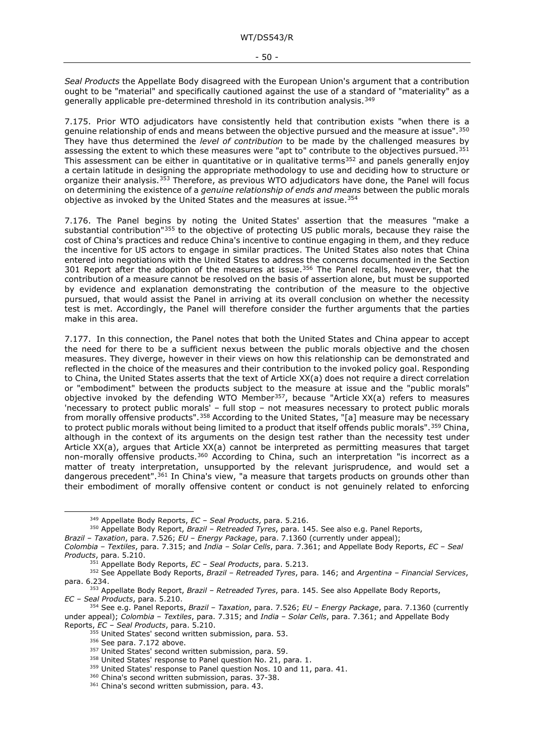*Seal Products* the Appellate Body disagreed with the European Union's argument that a contribution ought to be "material" and specifically cautioned against the use of a standard of "materiality" as a generally applicable pre-determined threshold in its contribution analysis.<sup>[349](#page-49-0)</sup>

7.175. Prior WTO adjudicators have consistently held that contribution exists "when there is a genuine relationship of ends and means between the objective pursued and the measure at issue". [350](#page-49-1) They have thus determined the *level of contribution* to be made by the challenged measures by assessing the extent to which these measures were "apt to" contribute to the objectives pursued.<sup>[351](#page-49-2)</sup> This assessment can be either in quantitative or in qualitative terms<sup>[352](#page-49-3)</sup> and panels generally enjoy a certain latitude in designing the appropriate methodology to use and deciding how to structure or organize their analysis.[353](#page-49-4) Therefore, as previous WTO adjudicators have done, the Panel will focus on determining the existence of a *genuine relationship of ends and means* between the public morals objective as invoked by the United States and the measures at issue.<sup>354</sup>

7.176. The Panel begins by noting the United States' assertion that the measures "make a substantial contribution"<sup>[355](#page-49-6)</sup> to the objective of protecting US public morals, because they raise the cost of China's practices and reduce China's incentive to continue engaging in them, and they reduce the incentive for US actors to engage in similar practices. The United States also notes that China entered into negotiations with the United States to address the concerns documented in the Section 301 Report after the adoption of the measures at issue.<sup>356</sup> The Panel recalls, however, that the contribution of a measure cannot be resolved on the basis of assertion alone, but must be supported by evidence and explanation demonstrating the contribution of the measure to the objective pursued, that would assist the Panel in arriving at its overall conclusion on whether the necessity test is met. Accordingly, the Panel will therefore consider the further arguments that the parties make in this area.

7.177. In this connection, the Panel notes that both the United States and China appear to accept the need for there to be a sufficient nexus between the public morals objective and the chosen measures. They diverge, however in their views on how this relationship can be demonstrated and reflected in the choice of the measures and their contribution to the invoked policy goal. Responding to China, the United States asserts that the text of Article XX(a) does not require a direct correlation or "embodiment" between the products subject to the measure at issue and the "public morals" objective invoked by the defending WTO Member<sup>357</sup>, because "Article XX(a) refers to measures 'necessary to protect public morals' – full stop – not measures necessary to protect public morals from morally offensive products".<sup>[358](#page-49-9)</sup> According to the United States, "[a] measure may be necessary to protect public morals without being limited to a product that itself offends public morals". [359](#page-49-10) China, although in the context of its arguments on the design test rather than the necessity test under Article XX(a), argues that Article XX(a) cannot be interpreted as permitting measures that target non-morally offensive products.<sup>[360](#page-49-11)</sup> According to China, such an interpretation "is incorrect as a matter of treaty interpretation, unsupported by the relevant jurisprudence, and would set a dangerous precedent".<sup>[361](#page-49-12)</sup> In China's view, "a measure that targets products on grounds other than their embodiment of morally offensive content or conduct is not genuinely related to enforcing

<sup>349</sup> Appellate Body Reports, *EC – Seal Products*, para. 5.216.

<sup>350</sup> Appellate Body Report, *Brazil – Retreaded Tyres*, para. 145. See also e.g. Panel Reports,

<span id="page-49-1"></span><span id="page-49-0"></span>*Brazil – Taxation*, para. 7.526; *EU – Energy Package*, para. 7.1360 (currently under appeal);

*Colombia – Textiles*, para. 7.315; and *India – Solar Cells*, para. 7.361; and Appellate Body Reports, *EC – Seal Products*, para. 5.210.

<sup>351</sup> Appellate Body Reports, *EC – Seal Products*, para. 5.213.

<span id="page-49-3"></span><span id="page-49-2"></span><sup>352</sup> See Appellate Body Reports, *Brazil – Retreaded Tyres*, para. 146; and *Argentina – Financial Services*, para. 6.234.

<span id="page-49-4"></span><sup>353</sup> Appellate Body Report, *Brazil – Retreaded Tyres*, para. 145. See also Appellate Body Reports, *EC – Seal Products*, para. 5.210.

<span id="page-49-10"></span><span id="page-49-9"></span><span id="page-49-8"></span><span id="page-49-7"></span><span id="page-49-6"></span><span id="page-49-5"></span><sup>354</sup> See e.g. Panel Reports, *Brazil – Taxation*, para. 7.526; *EU – Energy Package*, para. 7.1360 (currently under appeal); *Colombia – Textiles*, para. 7.315; and *India – Solar Cells*, para. 7.361; and Appellate Body Reports, *EC – Seal Products*, para. 5.210.

 $355$  United States' second written submission, para. 53.  $356$  See para. 7.172 above.

 $357$  United States' second written submission, para. 59.<br> $358$  United States' response to Panel question No. 21, para. 1.

 $359$  United States' response to Panel question Nos. 10 and 11, para. 41.  $360$  China's second written submission, paras. 37-38.

<span id="page-49-12"></span><span id="page-49-11"></span><sup>361</sup> China's second written submission, para. 43.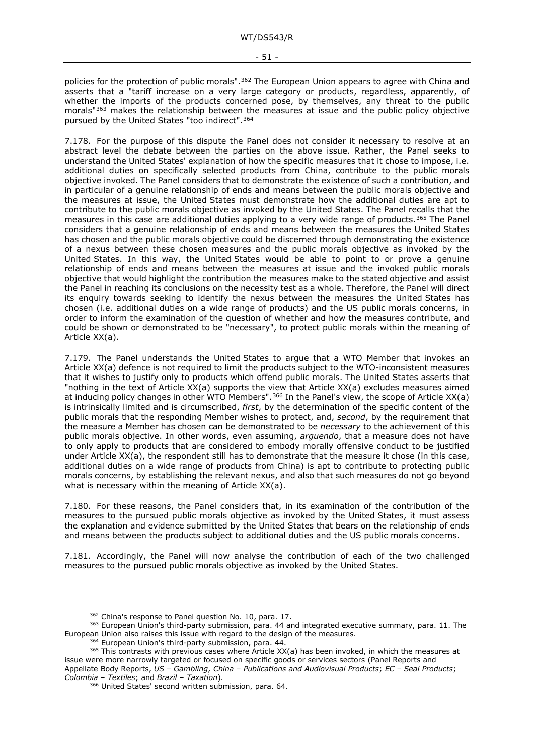<span id="page-50-0"></span>policies for the protection of public morals".<sup>[362](#page-50-5)</sup> The European Union appears to agree with China and asserts that a "tariff increase on a very large category or products, regardless, apparently, of whether the imports of the products concerned pose, by themselves, any threat to the public morals"[363](#page-50-6) makes the relationship between the measures at issue and the public policy objective pursued by the United States "too indirect".[364](#page-50-7)

<span id="page-50-4"></span><span id="page-50-1"></span>7.178. For the purpose of this dispute the Panel does not consider it necessary to resolve at an abstract level the debate between the parties on the above issue. Rather, the Panel seeks to understand the United States' explanation of how the specific measures that it chose to impose, i.e. additional duties on specifically selected products from China, contribute to the public morals objective invoked. The Panel considers that to demonstrate the existence of such a contribution, and in particular of a genuine relationship of ends and means between the public morals objective and the measures at issue, the United States must demonstrate how the additional duties are apt to contribute to the public morals objective as invoked by the United States. The Panel recalls that the measures in this case are additional duties applying to a very wide range of products.<sup>[365](#page-50-8)</sup> The Panel considers that a genuine relationship of ends and means between the measures the United States has chosen and the public morals objective could be discerned through demonstrating the existence of a nexus between these chosen measures and the public morals objective as invoked by the United States. In this way, the United States would be able to point to or prove a genuine relationship of ends and means between the measures at issue and the invoked public morals objective that would highlight the contribution the measures make to the stated objective and assist the Panel in reaching its conclusions on the necessity test as a whole. Therefore, the Panel will direct its enquiry towards seeking to identify the nexus between the measures the United States has chosen (i.e. additional duties on a wide range of products) and the US public morals concerns, in order to inform the examination of the question of whether and how the measures contribute, and could be shown or demonstrated to be "necessary", to protect public morals within the meaning of Article XX(a).

<span id="page-50-2"></span>7.179. The Panel understands the United States to argue that a WTO Member that invokes an Article XX(a) defence is not required to limit the products subject to the WTO-inconsistent measures that it wishes to justify only to products which offend public morals. The United States asserts that "nothing in the text of Article XX(a) supports the view that Article XX(a) excludes measures aimed at inducing policy changes in other WTO Members".<sup>[366](#page-50-9)</sup> In the Panel's view, the scope of Article XX(a) is intrinsically limited and is circumscribed, *first*, by the determination of the specific content of the public morals that the responding Member wishes to protect, and, *second*, by the requirement that the measure a Member has chosen can be demonstrated to be *necessary* to the achievement of this public morals objective. In other words, even assuming, *arguendo*, that a measure does not have to only apply to products that are considered to embody morally offensive conduct to be justified under Article XX(a), the respondent still has to demonstrate that the measure it chose (in this case, additional duties on a wide range of products from China) is apt to contribute to protecting public morals concerns, by establishing the relevant nexus, and also that such measures do not go beyond what is necessary within the meaning of Article XX(a).

<span id="page-50-3"></span>7.180. For these reasons, the Panel considers that, in its examination of the contribution of the measures to the pursued public morals objective as invoked by the United States, it must assess the explanation and evidence submitted by the United States that bears on the relationship of ends and means between the products subject to additional duties and the US public morals concerns.

7.181. Accordingly, the Panel will now analyse the contribution of each of the two challenged measures to the pursued public morals objective as invoked by the United States.

<span id="page-50-6"></span><span id="page-50-5"></span><sup>&</sup>lt;sup>362</sup> China's response to Panel question No. 10, para. 17.<br><sup>363</sup> European Union's third-party submission, para. 44 and integrated executive summary, para. 11. The European Union also raises this issue with regard to the design of the measures.<br><sup>364</sup> European Union's third-party submission, para. 44.

<span id="page-50-9"></span><span id="page-50-8"></span><span id="page-50-7"></span> $365$  This contrasts with previous cases where Article XX(a) has been invoked, in which the measures at issue were more narrowly targeted or focused on specific goods or services sectors (Panel Reports and Appellate Body Reports, *US – Gambling*, *China – Publications and Audiovisual Products*; *EC – Seal Products*;

*Colombia – Textiles*; and *Brazil – Taxation*). 366 United States' second written submission, para. 64.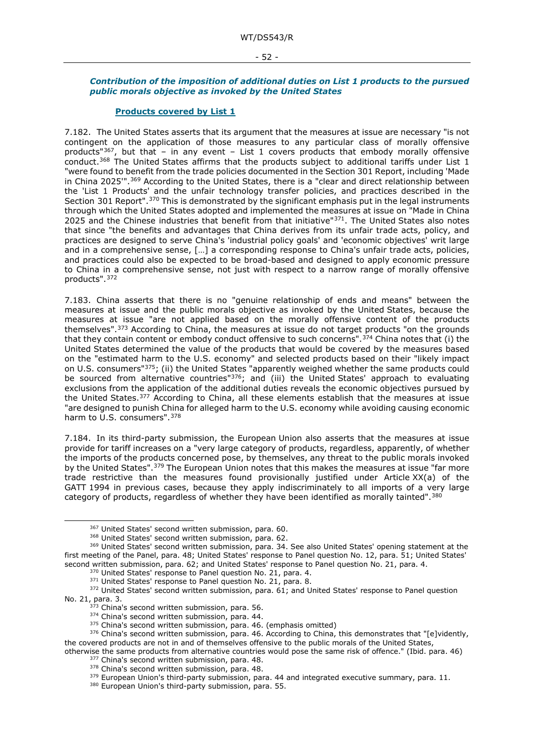#### - 52 -

#### <span id="page-51-0"></span>*Contribution of the imposition of additional duties on List 1 products to the pursued public morals objective as invoked by the United States*

#### **Products covered by List 1**

<span id="page-51-1"></span>7.182. The United States asserts that its argument that the measures at issue are necessary "is not contingent on the application of those measures to any particular class of morally offensive products"<sup>[367](#page-51-3)</sup>, but that – in any event – List 1 covers products that embody morally offensive conduct.[368](#page-51-4) The United States affirms that the products subject to additional tariffs under List 1 "were found to benefit from the trade policies documented in the Section 301 Report, including 'Made in China 2025"<sup>1,369</sup> According to the United States, there is a "clear and direct relationship between the 'List 1 Products' and the unfair technology transfer policies, and practices described in the Section 301 Report".<sup>[370](#page-51-6)</sup> This is demonstrated by the significant emphasis put in the legal instruments through which the United States adopted and implemented the measures at issue on "Made in China 2025 and the Chinese industries that benefit from that initiative"[371](#page-51-7). The United States also notes that since "the benefits and advantages that China derives from its unfair trade acts, policy, and practices are designed to serve China's 'industrial policy goals' and 'economic objectives' writ large and in a comprehensive sense, [...] a corresponding response to China's unfair trade acts, policies, and practices could also be expected to be broad-based and designed to apply economic pressure to China in a comprehensive sense, not just with respect to a narrow range of morally offensive products".[372](#page-51-8)

7.183. China asserts that there is no "genuine relationship of ends and means" between the measures at issue and the public morals objective as invoked by the United States, because the measures at issue "are not applied based on the morally offensive content of the products themselves".[373](#page-51-9) According to China, the measures at issue do not target products "on the grounds that they contain content or embody conduct offensive to such concerns".<sup>[374](#page-51-10)</sup> China notes that (i) the United States determined the value of the products that would be covered by the measures based on the "estimated harm to the U.S. economy" and selected products based on their "likely impact on U.S. consumers"[375](#page-51-11); (ii) the United States "apparently weighed whether the same products could be sourced from alternative countries<sup>"[376](#page-51-12)</sup>; and (iii) the United States' approach to evaluating exclusions from the application of the additional duties reveals the economic objectives pursued by the United States.[377](#page-51-13) According to China, all these elements establish that the measures at issue "are designed to punish China for alleged harm to the U.S. economy while avoiding causing economic harm to U.S. consumers". [378](#page-51-14)

7.184. In its third-party submission, the European Union also asserts that the measures at issue provide for tariff increases on a "very large category of products, regardless, apparently, of whether the imports of the products concerned pose, by themselves, any threat to the public morals invoked by the United States".[379](#page-51-15) The European Union notes that this makes the measures at issue "far more trade restrictive than the measures found provisionally justified under Article XX(a) of the GATT 1994 in previous cases, because they apply indiscriminately to all imports of a very large category of products, regardless of whether they have been identified as morally tainted".<sup>[380](#page-51-16)</sup>

<span id="page-51-2"></span><sup>367</sup> United States' second written submission, para. 60.

<sup>368</sup> United States' second written submission, para. 62.

<span id="page-51-5"></span><span id="page-51-4"></span><span id="page-51-3"></span><sup>369</sup> United States' second written submission, para. 34. See also United States' opening statement at the first meeting of the Panel, para. 48; United States' response to Panel question No. 12, para. 51; United States'<br>second written submission, para. 62; and United States' response to Panel question No. 21, para. 4.

 $370$  United States' response to Panel question No. 21, para. 4.  $371$  United States' response to Panel question No. 21, para. 8.

<span id="page-51-8"></span><span id="page-51-7"></span><span id="page-51-6"></span><sup>&</sup>lt;sup>372</sup> United States' second written submission, para. 61; and United States' response to Panel question No. 21, para. 3.<br><sup>373</sup> China's second written submission, para. 56.<br><sup>374</sup> China's second written submission, para. 44.

<span id="page-51-12"></span><span id="page-51-11"></span><span id="page-51-10"></span><span id="page-51-9"></span><sup>&</sup>lt;sup>375</sup> China's second written submission, para. 46. (emphasis omitted) **375 Chinatism** submission, para. 46. According to China, this demonstrates that "[e]vidently, the covered products are not in and of themselves offensive to the public morals of the United States,

<span id="page-51-16"></span><span id="page-51-15"></span><span id="page-51-14"></span><span id="page-51-13"></span>otherwise the same products from alternative countries would pose the same risk of offence." (Ibid. para. 46)<br><sup>377</sup> China's second written submission, para. 48.

<sup>&</sup>lt;sup>378</sup> China's second written submission, para. 48.<br><sup>379</sup> European Union's third-party submission, para. 44 and integrated executive summary, para. 11.<br><sup>380</sup> European Union's third-party submission, para. 55.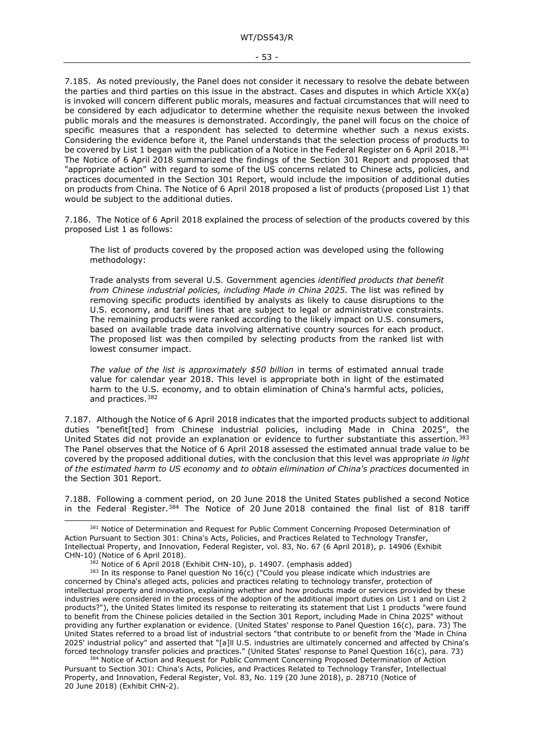<span id="page-52-0"></span>7.185. As noted previously, the Panel does not consider it necessary to resolve the debate between the parties and third parties on this issue in the abstract. Cases and disputes in which Article XX(a) is invoked will concern different public morals, measures and factual circumstances that will need to be considered by each adjudicator to determine whether the requisite nexus between the invoked public morals and the measures is demonstrated. Accordingly, the panel will focus on the choice of specific measures that a respondent has selected to determine whether such a nexus exists. Considering the evidence before it, the Panel understands that the selection process of products to be covered by List 1 began with the publication of a Notice in the Federal Register on 6 April 2018.<sup>[381](#page-52-1)</sup> The Notice of 6 April 2018 summarized the findings of the Section 301 Report and proposed that "appropriate action" with regard to some of the US concerns related to Chinese acts, policies, and practices documented in the Section 301 Report, would include the imposition of additional duties on products from China. The Notice of 6 April 2018 proposed a list of products (proposed List 1) that would be subject to the additional duties.

7.186. The Notice of 6 April 2018 explained the process of selection of the products covered by this proposed List 1 as follows:

The list of products covered by the proposed action was developed using the following methodology:

Trade analysts from several U.S. Government agencies *identified products that benefit from Chinese industrial policies, including Made in China 2025.* The list was refined by removing specific products identified by analysts as likely to cause disruptions to the U.S. economy, and tariff lines that are subject to legal or administrative constraints. The remaining products were ranked according to the likely impact on U.S. consumers, based on available trade data involving alternative country sources for each product. The proposed list was then compiled by selecting products from the ranked list with lowest consumer impact.

*The value of the list is approximately \$50 billion* in terms of estimated annual trade value for calendar year 2018. This level is appropriate both in light of the estimated harm to the U.S. economy, and to obtain elimination of China's harmful acts, policies, and practices.[382](#page-52-2)

7.187. Although the Notice of 6 April 2018 indicates that the imported products subject to additional duties "benefit[ted] from Chinese industrial policies, including Made in China 2025", the United States did not provide an explanation or evidence to further substantiate this assertion*.*[383](#page-52-3) The Panel observes that the Notice of 6 April 2018 assessed the estimated annual trade value to be covered by the proposed additional duties, with the conclusion that this level was appropriate *in light of the estimated harm to US economy* and *to obtain elimination of China's practices* documented in the Section 301 Report.

7.188. Following a comment period, on 20 June 2018 the United States published a second Notice in the Federal Register.<sup>[384](#page-52-4)</sup> The Notice of 20 June 2018 contained the final list of 818 tariff

<span id="page-52-1"></span><sup>&</sup>lt;sup>381</sup> Notice of Determination and Request for Public Comment Concerning Proposed Determination of Action Pursuant to Section 301: China's Acts, Policies, and Practices Related to Technology Transfer, Intellectual Property, and Innovation, Federal Register, vol. 83, No. 67 (6 April 2018), p. 14906 (Exhibit CHN-10) (Notice of 6 April 2018).<br><sup>382</sup> Notice of 6 April 2018 (Exhibit CHN-10), p. 14907. (emphasis added)<br><sup>383</sup> In its response to Panel question No 16(c) ("Could you please indicate which industries are

<span id="page-52-3"></span><span id="page-52-2"></span>concerned by China's alleged acts, policies and practices relating to technology transfer, protection of intellectual property and innovation, explaining whether and how products made or services provided by these industries were considered in the process of the adoption of the additional import duties on List 1 and on List 2 products?"), the United States limited its response to reiterating its statement that List 1 products "were found to benefit from the Chinese policies detailed in the Section 301 Report, including Made in China 2025" without providing any further explanation or evidence. (United States' response to Panel Question 16(c), para. 73) The United States referred to a broad list of industrial sectors "that contribute to or benefit from the 'Made in China 2025' industrial policy" and asserted that "[a]ll U.S. industries are ultimately concerned and affected by China's forced technology transfer policies and practices." (United States' response to Panel Question 16(c), para. 73)

<span id="page-52-4"></span><sup>&</sup>lt;sup>384</sup> Notice of Action and Request for Public Comment Concerning Proposed Determination of Action Pursuant to Section 301: China's Acts, Policies, and Practices Related to Technology Transfer, Intellectual Property, and Innovation, Federal Register, Vol. 83, No. 119 (20 June 2018), p. 28710 (Notice of 20 June 2018) (Exhibit CHN-2).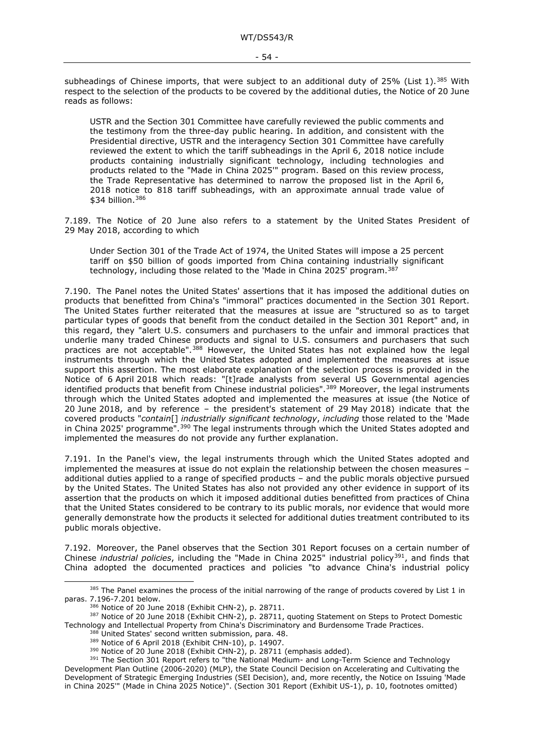subheadings of Chinese imports, that were subject to an additional duty of 25% (List 1).<sup>[385](#page-53-1)</sup> With respect to the selection of the products to be covered by the additional duties, the Notice of 20 June reads as follows:

USTR and the Section 301 Committee have carefully reviewed the public comments and the testimony from the three-day public hearing. In addition, and consistent with the Presidential directive, USTR and the interagency Section 301 Committee have carefully reviewed the extent to which the tariff subheadings in the April 6, 2018 notice include products containing industrially significant technology, including technologies and products related to the "Made in China 2025'" program. Based on this review process, the Trade Representative has determined to narrow the proposed list in the April 6, 2018 notice to 818 tariff subheadings, with an approximate annual trade value of \$34 billion.[386](#page-53-2)

7.189. The Notice of 20 June also refers to a statement by the United States President of 29 May 2018, according to which

Under Section 301 of the Trade Act of 1974, the United States will impose a 25 percent tariff on \$50 billion of goods imported from China containing industrially significant technology, including those related to the 'Made in China 2025' program.[387](#page-53-3)

7.190. The Panel notes the United States' assertions that it has imposed the additional duties on products that benefitted from China's "immoral" practices documented in the Section 301 Report. The United States further reiterated that the measures at issue are "structured so as to target particular types of goods that benefit from the conduct detailed in the Section 301 Report" and, in this regard, they "alert U.S. consumers and purchasers to the unfair and immoral practices that underlie many traded Chinese products and signal to U.S. consumers and purchasers that such practices are not acceptable".<sup>[388](#page-53-4)</sup> However, the United States has not explained how the legal instruments through which the United States adopted and implemented the measures at issue support this assertion. The most elaborate explanation of the selection process is provided in the Notice of 6 April 2018 which reads: "[t]rade analysts from several US Governmental agencies identified products that benefit from Chinese industrial policies".<sup>[389](#page-53-5)</sup> Moreover, the legal instruments through which the United States adopted and implemented the measures at issue (the Notice of 20 June 2018, and by reference – the president's statement of 29 May 2018) indicate that the covered products "*contain*[] *industrially significant technology*, *including* those related to the 'Made in China 2025' programme".<sup>[390](#page-53-6)</sup> The legal instruments through which the United States adopted and implemented the measures do not provide any further explanation.

<span id="page-53-0"></span>7.191. In the Panel's view, the legal instruments through which the United States adopted and implemented the measures at issue do not explain the relationship between the chosen measures – additional duties applied to a range of specified products – and the public morals objective pursued by the United States. The United States has also not provided any other evidence in support of its assertion that the products on which it imposed additional duties benefitted from practices of China that the United States considered to be contrary to its public morals, nor evidence that would more generally demonstrate how the products it selected for additional duties treatment contributed to its public morals objective.

7.192. Moreover, the Panel observes that the Section 301 Report focuses on a certain number of Chinese *industrial policies*, including the "Made in China 2025" industrial policy<sup>[391](#page-53-7)</sup>, and finds that China adopted the documented practices and policies "to advance China's industrial policy

<span id="page-53-1"></span><sup>&</sup>lt;sup>385</sup> The Panel examines the process of the initial narrowing of the range of products covered by List 1 in paras. [7.196](#page-54-2)[-7.201](#page-56-1) below.<br>
386 Notice of 20 June 2018 (Exhibit CHN-2), p. 28711.

<span id="page-53-3"></span><span id="page-53-2"></span><sup>&</sup>lt;sup>387</sup> Notice of 20 June 2018 (Exhibit CHN-2), p. 28711, quoting Statement on Steps to Protect Domestic Technology and Intellectual Property from China's Discriminatory and Burdensome Trade Practices.

<span id="page-53-7"></span><span id="page-53-6"></span><span id="page-53-5"></span><span id="page-53-4"></span><sup>&</sup>lt;sup>388</sup> United States' second written submission, para. 48.<br><sup>389</sup> Notice of 6 April 2018 (Exhibit CHN-10), p. 14907.<br><sup>390</sup> Notice of 20 June 2018 (Exhibit CHN-2), p. 28711 (emphasis added).<br><sup>391</sup> The Section 301 Report refe Development Plan Outline (2006-2020) (MLP), the State Council Decision on Accelerating and Cultivating the Development of Strategic Emerging Industries (SEI Decision), and, more recently, the Notice on Issuing 'Made in China 2025'" (Made in China 2025 Notice)". (Section 301 Report (Exhibit US-1), p. 10, footnotes omitted)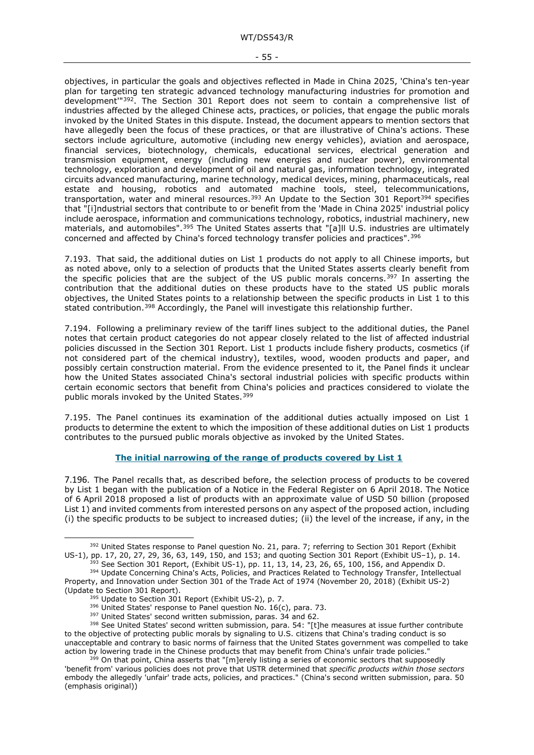objectives, in particular the goals and objectives reflected in Made in China 2025, 'China's ten-year plan for targeting ten strategic advanced technology manufacturing industries for promotion and development'"[392](#page-54-3). The Section 301 Report does not seem to contain a comprehensive list of industries affected by the alleged Chinese acts, practices, or policies, that engage the public morals invoked by the United States in this dispute. Instead, the document appears to mention sectors that have allegedly been the focus of these practices, or that are illustrative of China's actions. These sectors include agriculture, automotive (including new energy vehicles), aviation and aerospace, financial services, biotechnology, chemicals, educational services, electrical generation and transmission equipment, energy (including new energies and nuclear power), environmental technology, exploration and development of oil and natural gas, information technology, integrated circuits advanced manufacturing, marine technology, medical devices, mining, pharmaceuticals, real estate and housing, robotics and automated machine tools, steel, telecommunications, transportation, water and mineral resources.<sup>[393](#page-54-4)</sup> An Update to the Section 301 Report<sup>[394](#page-54-5)</sup> specifies that "[i]ndustrial sectors that contribute to or benefit from the 'Made in China 2025' industrial policy include aerospace, information and communications technology, robotics, industrial machinery, new materials, and automobiles".<sup>[395](#page-54-6)</sup> The United States asserts that "[a]ll U.S. industries are ultimately concerned and affected by China's forced technology transfer policies and practices".[396](#page-54-7)

<span id="page-54-1"></span>7.193. That said, the additional duties on List 1 products do not apply to all Chinese imports, but as noted above, only to a selection of products that the United States asserts clearly benefit from the specific policies that are the subject of the US public morals concerns.<sup>[397](#page-54-8)</sup> In asserting the contribution that the additional duties on these products have to the stated US public morals objectives, the United States points to a relationship between the specific products in List 1 to this stated contribution.<sup>[398](#page-54-9)</sup> Accordingly, the Panel will investigate this relationship further.

7.194. Following a preliminary review of the tariff lines subject to the additional duties, the Panel notes that certain product categories do not appear closely related to the list of affected industrial policies discussed in the Section 301 Report. List 1 products include fishery products, cosmetics (if not considered part of the chemical industry), textiles, wood, wooden products and paper, and possibly certain construction material. From the evidence presented to it, the Panel finds it unclear how the United States associated China's sectoral industrial policies with specific products within certain economic sectors that benefit from China's policies and practices considered to violate the public morals invoked by the United States.<sup>[399](#page-54-10)</sup>

7.195. The Panel continues its examination of the additional duties actually imposed on List 1 products to determine the extent to which the imposition of these additional duties on List 1 products contributes to the pursued public morals objective as invoked by the United States.

#### **The initial narrowing of the range of products covered by List 1**

<span id="page-54-2"></span><span id="page-54-0"></span>7.196. The Panel recalls that, as described before, the selection process of products to be covered by List 1 began with the publication of a Notice in the Federal Register on 6 April 2018. The Notice of 6 April 2018 proposed a list of products with an approximate value of USD 50 billion (proposed List 1) and invited comments from interested persons on any aspect of the proposed action, including (i) the specific products to be subject to increased duties; (ii) the level of the increase, if any, in the

<span id="page-54-3"></span><sup>&</sup>lt;sup>392</sup> United States response to Panel question No. 21, para. 7; referring to Section 301 Report (Exhibit US-1), p. 14.<br>US-1), pp. 17, 20, 27, 29, 36, 63, 149, 150, and 153; and quoting Section 301 Report (Exhibit US-1), p. See Section 301 Report, (Exhibit US-1), pp. 11, 13, 14, 23, 26, 65, 100, 156, and Appendix D.

<span id="page-54-5"></span><span id="page-54-4"></span><sup>394</sup> Update Concerning China's Acts, Policies, and Practices Related to Technology Transfer, Intellectual Property, and Innovation under Section 301 of the Trade Act of 1974 (November 20, 2018) (Exhibit US-2)

 $395$  Update to Section 301 Report (Exhibit US-2), p. 7.

 $396$  United States' response to Panel question No. 16(c), para. 73.  $397$  United States' second written submission, paras. 34 and 62.

<span id="page-54-9"></span><span id="page-54-8"></span><span id="page-54-7"></span><span id="page-54-6"></span><sup>398</sup> See United States' second written submission, para. 54: "[t]he measures at issue further contribute to the objective of protecting public morals by signaling to U.S. citizens that China's trading conduct is so unacceptable and contrary to basic norms of fairness that the United States government was compelled to take action by lowering trade in the Chinese products that may benefit from China's unfair trade policies."

<span id="page-54-10"></span><sup>&</sup>lt;sup>399</sup> On that point, China asserts that "[m]erely listing a series of economic sectors that supposedly 'benefit from' various policies does not prove that USTR determined that *specific products within those sectors* embody the allegedly 'unfair' trade acts, policies, and practices." (China's second written submission, para. 50 (emphasis original))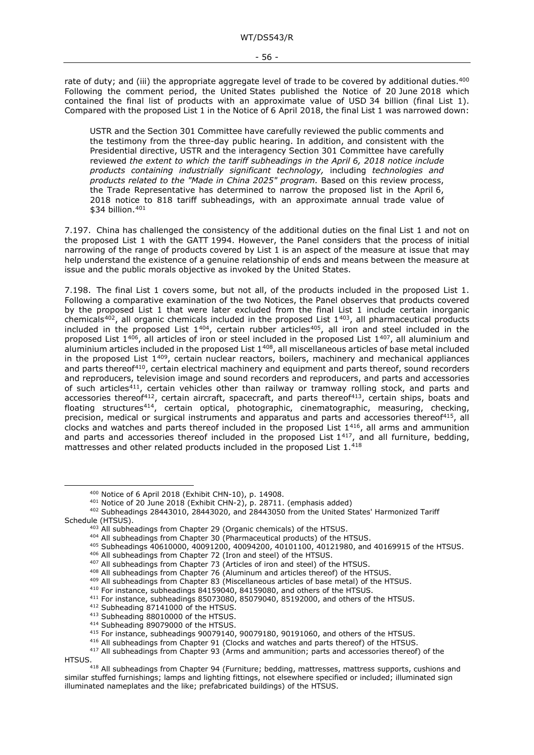rate of duty; and (iii) the appropriate aggregate level of trade to be covered by additional duties.<sup>[400](#page-55-0)</sup> Following the comment period, the United States published the Notice of 20 June 2018 which contained the final list of products with an approximate value of USD 34 billion (final List 1). Compared with the proposed List 1 in the Notice of 6 April 2018, the final List 1 was narrowed down:

USTR and the Section 301 Committee have carefully reviewed the public comments and the testimony from the three-day public hearing. In addition, and consistent with the Presidential directive, USTR and the interagency Section 301 Committee have carefully reviewed *the extent to which the tariff subheadings in the April 6, 2018 notice include products containing industrially significant technology,* including *technologies and products related to the "Made in China 2025" program.* Based on this review process, the Trade Representative has determined to narrow the proposed list in the April 6, 2018 notice to 818 tariff subheadings, with an approximate annual trade value of  $$34$  billion.  $401$ 

7.197. China has challenged the consistency of the additional duties on the final List 1 and not on the proposed List 1 with the GATT 1994. However, the Panel considers that the process of initial narrowing of the range of products covered by List 1 is an aspect of the measure at issue that may help understand the existence of a genuine relationship of ends and means between the measure at issue and the public morals objective as invoked by the United States.

7.198. The final List 1 covers some, but not all, of the products included in the proposed List 1. Following a comparative examination of the two Notices, the Panel observes that products covered by the proposed List 1 that were later excluded from the final List 1 include certain inorganic chemicals<sup>[402](#page-55-2)</sup>, all organic chemicals included in the proposed List  $1^{403}$  $1^{403}$  $1^{403}$ , all pharmaceutical products included in the proposed List  $1^{404}$  $1^{404}$  $1^{404}$ , certain rubber articles<sup>405</sup>, all iron and steel included in the proposed List 1[406](#page-55-6), all articles of iron or steel included in the proposed List 1[407](#page-55-7), all aluminium and aluminium articles included in the proposed List  $1^{408}$  $1^{408}$  $1^{408}$ , all miscellaneous articles of base metal included in the proposed List 1[409,](#page-55-9) certain nuclear reactors, boilers, machinery and mechanical appliances and parts thereof<sup>[410](#page-55-10)</sup>, certain electrical machinery and equipment and parts thereof, sound recorders and reproducers, television image and sound recorders and reproducers, and parts and accessories of such articles<sup>411</sup>, certain vehicles other than railway or tramway rolling stock, and parts and accessories thereof<sup>[412](#page-55-12)</sup>, certain aircraft, spacecraft, and parts thereof<sup>[413](#page-55-13)</sup>, certain ships, boats and floating structures<sup>414</sup>, certain optical, photographic, cinematographic, measuring, checking, precision, medical or surgical instruments and apparatus and parts and accessories thereof<sup>415</sup>, all clocks and watches and parts thereof included in the proposed List 1[416,](#page-55-16) all arms and ammunition and parts and accessories thereof included in the proposed List 1[417,](#page-55-17) and all furniture, bedding, mattresses and other related products included in the proposed List 1.[418](#page-55-18)

<span id="page-55-18"></span><span id="page-55-17"></span><span id="page-55-16"></span><span id="page-55-15"></span><span id="page-55-14"></span><span id="page-55-13"></span><span id="page-55-12"></span>HTSUS.<br><sup>418</sup> All subheadings from Chapter 94 (Furniture; bedding, mattresses, mattress supports, cushions and similar stuffed furnishings; lamps and lighting fittings, not elsewhere specified or included; illuminated sign illuminated nameplates and the like; prefabricated buildings) of the HTSUS.

 $400$  Notice of 6 April 2018 (Exhibit CHN-10), p. 14908.<br> $401$  Notice of 20 June 2018 (Exhibit CHN-2), p. 28711. (emphasis added)

<span id="page-55-8"></span><span id="page-55-7"></span><span id="page-55-6"></span><span id="page-55-5"></span><span id="page-55-4"></span><span id="page-55-3"></span><span id="page-55-2"></span><span id="page-55-1"></span><span id="page-55-0"></span><sup>402</sup> Subheadings 28443010, 28443020, and 28443050 from the United States' Harmonized Tariff Schedule (HTSUS).

<sup>403</sup> All subheadings from Chapter 29 (Organic chemicals) of the HTSUS.

<sup>404</sup> All subheadings from Chapter 30 (Pharmaceutical products) of the HTSUS.

<sup>405</sup> Subheadings 40610000, 40091200, 40094200, 40101100, 40121980, and 40169915 of the HTSUS.

<sup>406</sup> All subheadings from Chapter 72 (Iron and steel) of the HTSUS.

<sup>&</sup>lt;sup>407</sup> All subheadings from Chapter 73 (Articles of iron and steel) of the HTSUS.

<sup>408</sup> All subheadings from Chapter 76 (Aluminum and articles thereof) of the HTSUS.

<span id="page-55-9"></span><sup>409</sup> All subheadings from Chapter 83 (Miscellaneous articles of base metal) of the HTSUS.

<sup>410</sup> For instance, subheadings 84159040, 84159080, and others of the HTSUS.

<span id="page-55-11"></span><span id="page-55-10"></span><sup>&</sup>lt;sup>411</sup> For instance, subheadings 85073080, 85079040, 85192000, and others of the HTSUS.<br><sup>412</sup> Subheading 87141000 of the HTSUS.<br><sup>413</sup> Subheading 88010000 of the HTSUS.

<sup>414</sup> Subheading 89079000 of the HTSUS.

<sup>&</sup>lt;sup>415</sup> For instance, subheadings 90079140, 90079180, 90191060, and others of the HTSUS.<br><sup>416</sup> All subheadings from Chapter 91 (Clocks and watches and parts thereof) of the HTSUS.

 $417$  All subheadings from Chapter 93 (Arms and ammunition; parts and accessories thereof) of the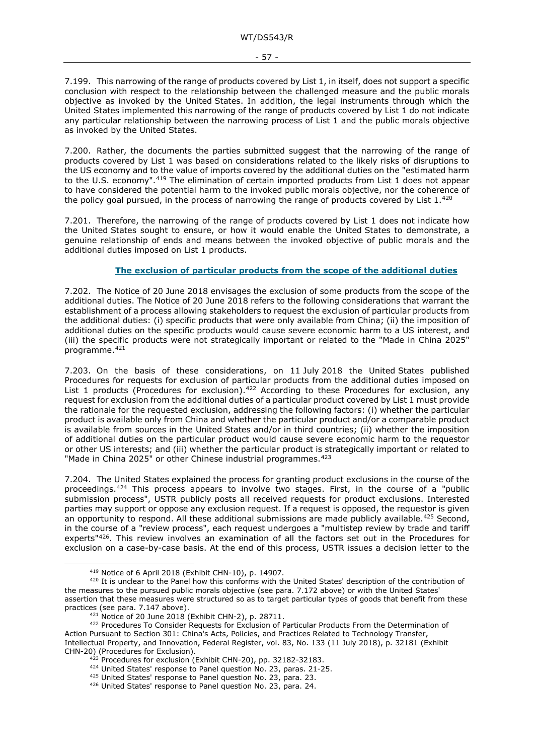7.199. This narrowing of the range of products covered by List 1, in itself, does not support a specific conclusion with respect to the relationship between the challenged measure and the public morals objective as invoked by the United States. In addition, the legal instruments through which the United States implemented this narrowing of the range of products covered by List 1 do not indicate any particular relationship between the narrowing process of List 1 and the public morals objective as invoked by the United States.

7.200. Rather, the documents the parties submitted suggest that the narrowing of the range of products covered by List 1 was based on considerations related to the likely risks of disruptions to the US economy and to the value of imports covered by the additional duties on the "estimated harm to the U.S. economy".<sup>[419](#page-56-2)</sup> The elimination of certain imported products from List 1 does not appear to have considered the potential harm to the invoked public morals objective, nor the coherence of the policy goal pursued, in the process of narrowing the range of products covered by List 1.[420](#page-56-3)

<span id="page-56-1"></span>7.201. Therefore, the narrowing of the range of products covered by List 1 does not indicate how the United States sought to ensure, or how it would enable the United States to demonstrate, a genuine relationship of ends and means between the invoked objective of public morals and the additional duties imposed on List 1 products.

#### **The exclusion of particular products from the scope of the additional duties**

<span id="page-56-0"></span>7.202. The Notice of 20 June 2018 envisages the exclusion of some products from the scope of the additional duties. The Notice of 20 June 2018 refers to the following considerations that warrant the establishment of a process allowing stakeholders to request the exclusion of particular products from the additional duties: (i) specific products that were only available from China; (ii) the imposition of additional duties on the specific products would cause severe economic harm to a US interest, and (iii) the specific products were not strategically important or related to the "Made in China 2025" programme[.421](#page-56-4)

7.203. On the basis of these considerations, on 11 July 2018 the United States published Procedures for requests for exclusion of particular products from the additional duties imposed on List 1 products (Procedures for exclusion).<sup>[422](#page-56-5)</sup> According to these Procedures for exclusion, any request for exclusion from the additional duties of a particular product covered by List 1 must provide the rationale for the requested exclusion, addressing the following factors: (i) whether the particular product is available only from China and whether the particular product and/or a comparable product is available from sources in the United States and/or in third countries; (ii) whether the imposition of additional duties on the particular product would cause severe economic harm to the requestor or other US interests; and (iii) whether the particular product is strategically important or related to "Made in China 2025" or other Chinese industrial programmes.<sup>[423](#page-56-6)</sup>

7.204. The United States explained the process for granting product exclusions in the course of the proceedings.[424](#page-56-7) This process appears to involve two stages. First, in the course of a "public submission process", USTR publicly posts all received requests for product exclusions. Interested parties may support or oppose any exclusion request. If a request is opposed, the requestor is given an opportunity to respond. All these additional submissions are made publicly available.<sup>[425](#page-56-8)</sup> Second, in the course of a "review process", each request undergoes a "multistep review by trade and tariff experts"[426.](#page-56-9) This review involves an examination of all the factors set out in the Procedures for exclusion on a case-by-case basis. At the end of this process, USTR issues a decision letter to the

<span id="page-56-3"></span><span id="page-56-2"></span><sup>&</sup>lt;sup>419</sup> Notice of 6 April 2018 (Exhibit CHN-10), p. 14907.<br><sup>420</sup> It is unclear to the Panel how this conforms with the United States' description of the contribution of the measures to the pursued public morals objective (see para. [7.172](#page-48-16) above) or with the United States' assertion that these measures were structured so as to target particular types of goods that benefit from these practices (see para. [7.147](#page-42-15) above).<br><sup>421</sup> Notice of 20 June 2018 (Exhibit CHN-2), p. 28711.

<span id="page-56-9"></span><span id="page-56-8"></span><span id="page-56-7"></span><span id="page-56-6"></span><span id="page-56-5"></span><span id="page-56-4"></span><sup>422</sup> Procedures To Consider Requests for Exclusion of Particular Products From the Determination of Action Pursuant to Section 301: China's Acts, Policies, and Practices Related to Technology Transfer, Intellectual Property, and Innovation, Federal Register, vol. 83, No. 133 (11 July 2018), p. 32181 (Exhibit CHN-20) (Procedures for Exclusion).

 $\frac{423}{2}$  Procedures for exclusion (Exhibit CHN-20), pp. 32182-32183.  $\frac{424}{2}$  United States' response to Panel question No. 23, paras. 21-25.

<sup>&</sup>lt;sup>425</sup> United States' response to Panel question No. 23, para. 23.

<sup>426</sup> United States' response to Panel question No. 23, para. 24.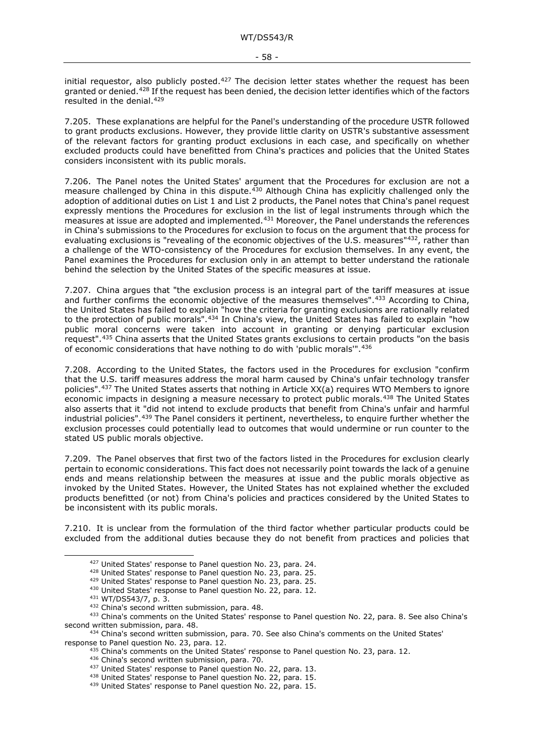initial requestor, also publicly posted.<sup>427</sup> The decision letter states whether the request has been granted or denied.[428](#page-57-2) If the request has been denied, the decision letter identifies which of the factors resulted in the denial.[429](#page-57-3)

7.205. These explanations are helpful for the Panel's understanding of the procedure USTR followed to grant products exclusions. However, they provide little clarity on USTR's substantive assessment of the relevant factors for granting product exclusions in each case, and specifically on whether excluded products could have benefitted from China's practices and policies that the United States considers inconsistent with its public morals.

<span id="page-57-0"></span>7.206. The Panel notes the United States' argument that the Procedures for exclusion are not a measure challenged by China in this dispute.<sup>[430](#page-57-4)</sup> Although China has explicitly challenged only the adoption of additional duties on List 1 and List 2 products, the Panel notes that China's panel request expressly mentions the Procedures for exclusion in the list of legal instruments through which the measures at issue are adopted and implemented.<sup>[431](#page-57-5)</sup> Moreover, the Panel understands the references in China's submissions to the Procedures for exclusion to focus on the argument that the process for evaluating exclusions is "revealing of the economic objectives of the U.S. measures["432,](#page-57-6) rather than a challenge of the WTO-consistency of the Procedures for exclusion themselves. In any event, the Panel examines the Procedures for exclusion only in an attempt to better understand the rationale behind the selection by the United States of the specific measures at issue.

7.207. China argues that "the exclusion process is an integral part of the tariff measures at issue and further confirms the economic objective of the measures themselves".[433](#page-57-7) According to China, the United States has failed to explain "how the criteria for granting exclusions are rationally related to the protection of public morals".[434](#page-57-8) In China's view, the United States has failed to explain "how public moral concerns were taken into account in granting or denying particular exclusion request".[435](#page-57-9) China asserts that the United States grants exclusions to certain products "on the basis of economic considerations that have nothing to do with 'public morals'".[436](#page-57-10)

7.208. According to the United States, the factors used in the Procedures for exclusion "confirm that the U.S. tariff measures address the moral harm caused by China's unfair technology transfer policies".[437](#page-57-11) The United States asserts that nothing in Article XX(a) requires WTO Members to ignore economic impacts in designing a measure necessary to protect public morals.[438](#page-57-12) The United States also asserts that it "did not intend to exclude products that benefit from China's unfair and harmful industrial policies".[439](#page-57-13) The Panel considers it pertinent, nevertheless, to enquire further whether the exclusion processes could potentially lead to outcomes that would undermine or run counter to the stated US public morals objective.

7.209. The Panel observes that first two of the factors listed in the Procedures for exclusion clearly pertain to economic considerations. This fact does not necessarily point towards the lack of a genuine ends and means relationship between the measures at issue and the public morals objective as invoked by the United States. However, the United States has not explained whether the excluded products benefitted (or not) from China's policies and practices considered by the United States to be inconsistent with its public morals.

<span id="page-57-1"></span>7.210. It is unclear from the formulation of the third factor whether particular products could be excluded from the additional duties because they do not benefit from practices and policies that

<sup>427</sup> United States' response to Panel question No. 23, para. 24.

<sup>428</sup> United States' response to Panel question No. 23, para. 25.

<sup>429</sup> United States' response to Panel question No. 23, para. 25.

<sup>430</sup> United States' response to Panel question No. 22, para. 12.

<sup>431</sup> WT/DS543/7, p. 3.

<sup>432</sup> China's second written submission, para. 48.

<span id="page-57-7"></span><span id="page-57-6"></span><span id="page-57-5"></span><span id="page-57-4"></span><span id="page-57-3"></span><span id="page-57-2"></span><sup>433</sup> China's comments on the United States' response to Panel question No. 22, para. 8. See also China's second written submission, para. 48.

<span id="page-57-13"></span><span id="page-57-12"></span><span id="page-57-11"></span><span id="page-57-10"></span><span id="page-57-9"></span><span id="page-57-8"></span> $434$  China's second written submission, para. 70. See also China's comments on the United States' response to Panel question No. 23, para. 12.

 $435$  China's comments on the United States' response to Panel question No. 23, para. 12.

<sup>436</sup> China's second written submission, para. 70.

<sup>437</sup> United States' response to Panel question No. 22, para. 13.<br><sup>438</sup> United States' response to Panel question No. 22, para. 15.

<sup>439</sup> United States' response to Panel question No. 22, para. 15.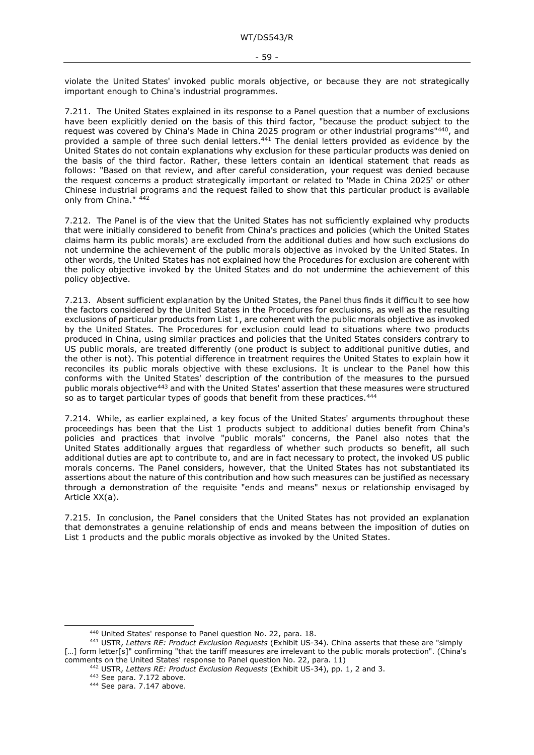violate the United States' invoked public morals objective, or because they are not strategically important enough to China's industrial programmes.

7.211. The United States explained in its response to a Panel question that a number of exclusions have been explicitly denied on the basis of this third factor, "because the product subject to the request was covered by China's Made in China 2025 program or other industrial programs["440,](#page-58-1) and provided a sample of three such denial letters.<sup>[441](#page-58-2)</sup> The denial letters provided as evidence by the United States do not contain explanations why exclusion for these particular products was denied on the basis of the third factor. Rather, these letters contain an identical statement that reads as follows: "Based on that review, and after careful consideration, your request was denied because the request concerns a product strategically important or related to 'Made in China 2025' or other Chinese industrial programs and the request failed to show that this particular product is available only from China." [442](#page-58-3)

7.212. The Panel is of the view that the United States has not sufficiently explained why products that were initially considered to benefit from China's practices and policies (which the United States claims harm its public morals) are excluded from the additional duties and how such exclusions do not undermine the achievement of the public morals objective as invoked by the United States. In other words, the United States has not explained how the Procedures for exclusion are coherent with the policy objective invoked by the United States and do not undermine the achievement of this policy objective.

7.213. Absent sufficient explanation by the United States, the Panel thus finds it difficult to see how the factors considered by the United States in the Procedures for exclusions, as well as the resulting exclusions of particular products from List 1, are coherent with the public morals objective as invoked by the United States. The Procedures for exclusion could lead to situations where two products produced in China, using similar practices and policies that the United States considers contrary to US public morals, are treated differently (one product is subject to additional punitive duties, and the other is not). This potential difference in treatment requires the United States to explain how it reconciles its public morals objective with these exclusions. It is unclear to the Panel how this conforms with the United States' description of the contribution of the measures to the pursued public morals objective[443](#page-58-4) and with the United States' assertion that these measures were structured so as to target particular types of goods that benefit from these practices.<sup>[444](#page-58-5)</sup>

<span id="page-58-0"></span>7.214. While, as earlier explained, a key focus of the United States' arguments throughout these proceedings has been that the List 1 products subject to additional duties benefit from China's policies and practices that involve "public morals" concerns, the Panel also notes that the United States additionally argues that regardless of whether such products so benefit, all such additional duties are apt to contribute to, and are in fact necessary to protect, the invoked US public morals concerns. The Panel considers, however, that the United States has not substantiated its assertions about the nature of this contribution and how such measures can be justified as necessary through a demonstration of the requisite "ends and means" nexus or relationship envisaged by Article XX(a).

7.215. In conclusion, the Panel considers that the United States has not provided an explanation that demonstrates a genuine relationship of ends and means between the imposition of duties on List 1 products and the public morals objective as invoked by the United States.

<sup>440</sup> United States' response to Panel question No. 22, para. 18.

<span id="page-58-5"></span><span id="page-58-4"></span><span id="page-58-3"></span><span id="page-58-2"></span><span id="page-58-1"></span><sup>441</sup> USTR, *Letters RE: Product Exclusion Requests* (Exhibit US-34). China asserts that these are "simply [...] form letter[s]" confirming "that the tariff measures are irrelevant to the public morals protection". (China's comments on the United States' response to Panel question No. 22, para. 11)

<sup>442</sup> USTR, *Letters RE: Product Exclusion Requests* (Exhibit US-34), pp. 1, 2 and 3. 443 See para. [7.172](#page-48-16) above.

<sup>444</sup> See para. [7.147](#page-42-15) above.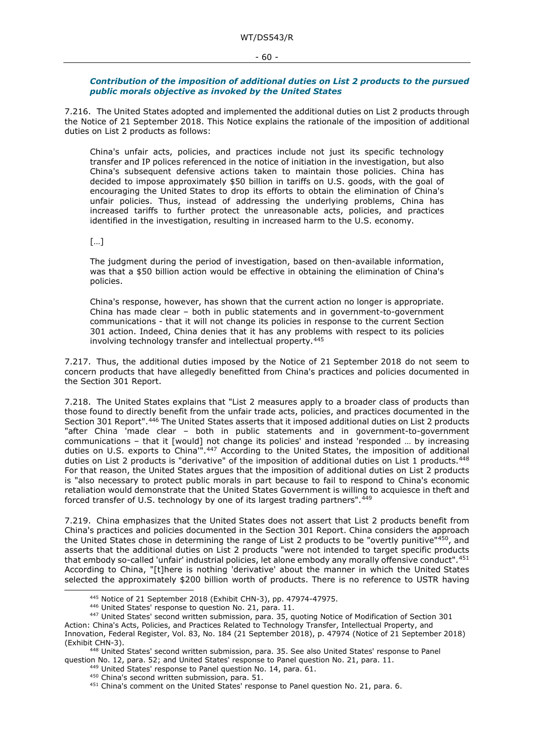#### - 60 -

#### <span id="page-59-0"></span>*Contribution of the imposition of additional duties on List 2 products to the pursued public morals objective as invoked by the United States*

7.216. The United States adopted and implemented the additional duties on List 2 products through the Notice of 21 September 2018. This Notice explains the rationale of the imposition of additional duties on List 2 products as follows:

China's unfair acts, policies, and practices include not just its specific technology transfer and IP polices referenced in the notice of initiation in the investigation, but also China's subsequent defensive actions taken to maintain those policies. China has decided to impose approximately \$50 billion in tariffs on U.S. goods, with the goal of encouraging the United States to drop its efforts to obtain the elimination of China's unfair policies. Thus, instead of addressing the underlying problems, China has increased tariffs to further protect the unreasonable acts, policies, and practices identified in the investigation, resulting in increased harm to the U.S. economy.

[…]

The judgment during the period of investigation, based on then-available information, was that a \$50 billion action would be effective in obtaining the elimination of China's policies.

China's response, however, has shown that the current action no longer is appropriate. China has made clear – both in public statements and in government-to-government communications - that it will not change its policies in response to the current Section 301 action. Indeed, China denies that it has any problems with respect to its policies involving technology transfer and intellectual property.[445](#page-59-1)

7.217. Thus, the additional duties imposed by the Notice of 21 September 2018 do not seem to concern products that have allegedly benefitted from China's practices and policies documented in the Section 301 Report.

7.218. The United States explains that "List 2 measures apply to a broader class of products than those found to directly benefit from the unfair trade acts, policies, and practices documented in the Section 301 Report".<sup>[446](#page-59-2)</sup> The United States asserts that it imposed additional duties on List 2 products "after China 'made clear – both in public statements and in government-to-government communications – that it [would] not change its policies' and instead 'responded … by increasing duties on U.S. exports to China<sup>'"</sup>.<sup>[447](#page-59-3)</sup> According to the United States, the imposition of additional duties on List 2 products is "derivative" of the imposition of additional duties on List 1 products.<sup>[448](#page-59-4)</sup> For that reason, the United States argues that the imposition of additional duties on List 2 products is "also necessary to protect public morals in part because to fail to respond to China's economic retaliation would demonstrate that the United States Government is willing to acquiesce in theft and forced transfer of U.S. technology by one of its largest trading partners". 449

7.219. China emphasizes that the United States does not assert that List 2 products benefit from China's practices and policies documented in the Section 301 Report. China considers the approach the United States chose in determining the range of List 2 products to be "overtly punitive"<sup>[450](#page-59-6)</sup>, and asserts that the additional duties on List 2 products "were not intended to target specific products that embody so-called 'unfair' industrial policies, let alone embody any morally offensive conduct".[451](#page-59-7) According to China, "[t]here is nothing 'derivative' about the manner in which the United States selected the approximately \$200 billion worth of products. There is no reference to USTR having

<sup>445</sup> Notice of 21 September 2018 (Exhibit CHN-3), pp. 47974-47975.<br><sup>446</sup> United States' response to question No. 21, para. 11.

<span id="page-59-3"></span><span id="page-59-2"></span><span id="page-59-1"></span><sup>447</sup> United States' second written submission, para. 35, quoting Notice of Modification of Section 301 Action: China's Acts, Policies, and Practices Related to Technology Transfer, Intellectual Property, and Innovation, Federal Register, Vol. 83, No. 184 (21 September 2018), p. 47974 (Notice of 21 September 2018) (Exhibit CHN-3).

<span id="page-59-7"></span><span id="page-59-6"></span><span id="page-59-5"></span><span id="page-59-4"></span><sup>448</sup> United States' second written submission, para. 35. See also United States' response to Panel question No. 12, para. 52; and United States' response to Panel question No. 21, para. 11.

<sup>&</sup>lt;sup>449</sup> United States' response to Panel question No. 14, para. 61.<br><sup>450</sup> China's second written submission, para. 51.<br><sup>451</sup> China's comment on the United States' response to Panel question No. 21, para. 6.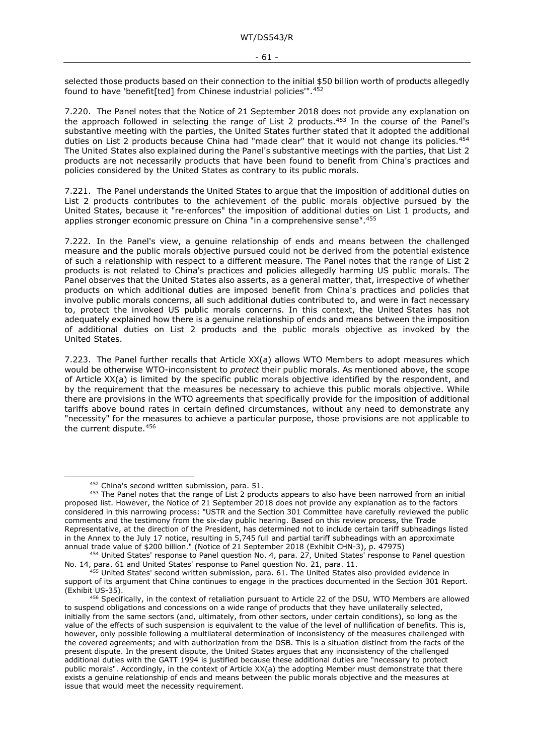selected those products based on their connection to the initial \$50 billion worth of products allegedly found to have 'benefit[ted] from Chinese industrial policies'".[452](#page-60-1)

7.220. The Panel notes that the Notice of 21 September 2018 does not provide any explanation on the approach followed in selecting the range of List 2 products.<sup>[453](#page-60-2)</sup> In the course of the Panel's substantive meeting with the parties, the United States further stated that it adopted the additional duties on List 2 products because China had "made clear" that it would not change its policies.<sup>[454](#page-60-3)</sup> The United States also explained during the Panel's substantive meetings with the parties, that List 2 products are not necessarily products that have been found to benefit from China's practices and policies considered by the United States as contrary to its public morals.

7.221. The Panel understands the United States to argue that the imposition of additional duties on List 2 products contributes to the achievement of the public morals objective pursued by the United States, because it "re-enforces" the imposition of additional duties on List 1 products, and applies stronger economic pressure on China "in a comprehensive sense". [455](#page-60-4)

<span id="page-60-0"></span>7.222. In the Panel's view, a genuine relationship of ends and means between the challenged measure and the public morals objective pursued could not be derived from the potential existence of such a relationship with respect to a different measure. The Panel notes that the range of List 2 products is not related to China's practices and policies allegedly harming US public morals. The Panel observes that the United States also asserts, as a general matter, that, irrespective of whether products on which additional duties are imposed benefit from China's practices and policies that involve public morals concerns, all such additional duties contributed to, and were in fact necessary to, protect the invoked US public morals concerns. In this context, the United States has not adequately explained how there is a genuine relationship of ends and means between the imposition of additional duties on List 2 products and the public morals objective as invoked by the United States.

7.223. The Panel further recalls that Article XX(a) allows WTO Members to adopt measures which would be otherwise WTO-inconsistent to *protect* their public morals. As mentioned above, the scope of Article XX(a) is limited by the specific public morals objective identified by the respondent, and by the requirement that the measures be necessary to achieve this public morals objective. While there are provisions in the WTO agreements that specifically provide for the imposition of additional tariffs above bound rates in certain defined circumstances, without any need to demonstrate any "necessity" for the measures to achieve a particular purpose, those provisions are not applicable to the current dispute.<sup>456</sup>

<sup>452</sup> China's second written submission, para. 51.

<span id="page-60-2"></span><span id="page-60-1"></span><sup>453</sup> The Panel notes that the range of List 2 products appears to also have been narrowed from an initial proposed list. However, the Notice of 21 September 2018 does not provide any explanation as to the factors considered in this narrowing process: "USTR and the Section 301 Committee have carefully reviewed the public comments and the testimony from the six-day public hearing. Based on this review process, the Trade Representative, at the direction of the President, has determined not to include certain tariff subheadings listed in the Annex to the July 17 notice, resulting in 5,745 full and partial tariff subheadings with an approximate annual trade value of \$200 billion." (Notice of 21 September 2018 (Exhibit CHN-3), p. 47975)

<span id="page-60-3"></span><sup>454</sup> United States' response to Panel question No. 4, para. 27, United States' response to Panel question No. 14, para. 61 and United States' response to Panel question No. 21, para. 11.

<span id="page-60-4"></span><sup>&</sup>lt;sup>455</sup> United States' second written submission, para. 61. The United States also provided evidence in support of its argument that China continues to engage in the practices documented in the Section 301 Report. (Exhibit US-35).

<span id="page-60-5"></span><sup>456</sup> Specifically, in the context of retaliation pursuant to Article 22 of the DSU, WTO Members are allowed to suspend obligations and concessions on a wide range of products that they have unilaterally selected, initially from the same sectors (and, ultimately, from other sectors, under certain conditions), so long as the value of the effects of such suspension is equivalent to the value of the level of nullification of benefits. This is, however, only possible following a multilateral determination of inconsistency of the measures challenged with the covered agreements; and with authorization from the DSB. This is a situation distinct from the facts of the present dispute. In the present dispute, the United States argues that any inconsistency of the challenged additional duties with the GATT 1994 is justified because these additional duties are "necessary to protect public morals". Accordingly, in the context of Article XX(a) the adopting Member must demonstrate that there exists a genuine relationship of ends and means between the public morals objective and the measures at issue that would meet the necessity requirement.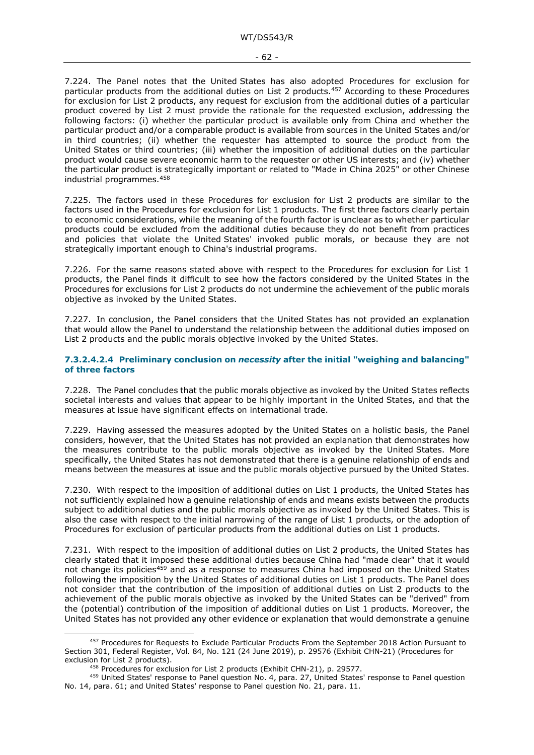7.224. The Panel notes that the United States has also adopted Procedures for exclusion for particular products from the additional duties on List 2 products.<sup>457</sup> According to these Procedures for exclusion for List 2 products, any request for exclusion from the additional duties of a particular product covered by List 2 must provide the rationale for the requested exclusion, addressing the following factors: (i) whether the particular product is available only from China and whether the particular product and/or a comparable product is available from sources in the United States and/or in third countries; (ii) whether the requester has attempted to source the product from the United States or third countries; (iii) whether the imposition of additional duties on the particular product would cause severe economic harm to the requester or other US interests; and (iv) whether the particular product is strategically important or related to "Made in China 2025" or other Chinese industrial programmes.[458](#page-61-2)

7.225. The factors used in these Procedures for exclusion for List 2 products are similar to the factors used in the Procedures for exclusion for List 1 products. The first three factors clearly pertain to economic considerations, while the meaning of the fourth factor is unclear as to whether particular products could be excluded from the additional duties because they do not benefit from practices and policies that violate the United States' invoked public morals, or because they are not strategically important enough to China's industrial programs.

7.226. For the same reasons stated above with respect to the Procedures for exclusion for List 1 products, the Panel finds it difficult to see how the factors considered by the United States in the Procedures for exclusions for List 2 products do not undermine the achievement of the public morals objective as invoked by the United States.

7.227. In conclusion, the Panel considers that the United States has not provided an explanation that would allow the Panel to understand the relationship between the additional duties imposed on List 2 products and the public morals objective invoked by the United States.

#### <span id="page-61-0"></span>**7.3.2.4.2.4 Preliminary conclusion on** *necessity* **after the initial "weighing and balancing" of three factors**

7.228. The Panel concludes that the public morals objective as invoked by the United States reflects societal interests and values that appear to be highly important in the United States, and that the measures at issue have significant effects on international trade.

7.229. Having assessed the measures adopted by the United States on a holistic basis, the Panel considers, however, that the United States has not provided an explanation that demonstrates how the measures contribute to the public morals objective as invoked by the United States. More specifically, the United States has not demonstrated that there is a genuine relationship of ends and means between the measures at issue and the public morals objective pursued by the United States.

7.230. With respect to the imposition of additional duties on List 1 products, the United States has not sufficiently explained how a genuine relationship of ends and means exists between the products subject to additional duties and the public morals objective as invoked by the United States. This is also the case with respect to the initial narrowing of the range of List 1 products, or the adoption of Procedures for exclusion of particular products from the additional duties on List 1 products.

7.231. With respect to the imposition of additional duties on List 2 products, the United States has clearly stated that it imposed these additional duties because China had "made clear" that it would not change its policies<sup>[459](#page-61-3)</sup> and as a response to measures China had imposed on the United States following the imposition by the United States of additional duties on List 1 products. The Panel does not consider that the contribution of the imposition of additional duties on List 2 products to the achievement of the public morals objective as invoked by the United States can be "derived" from the (potential) contribution of the imposition of additional duties on List 1 products. Moreover, the United States has not provided any other evidence or explanation that would demonstrate a genuine

<span id="page-61-1"></span><sup>457</sup> Procedures for Requests to Exclude Particular Products From the September 2018 Action Pursuant to Section 301, Federal Register, Vol. 84, No. 121 (24 June 2019), p. 29576 (Exhibit CHN-21) (Procedures for exclusion for List 2 products).

<sup>458</sup> Procedures for exclusion for List 2 products (Exhibit CHN-21), p. 29577.

<span id="page-61-3"></span><span id="page-61-2"></span><sup>459</sup> United States' response to Panel question No. 4, para. 27, United States' response to Panel question No. 14, para. 61; and United States' response to Panel question No. 21, para. 11.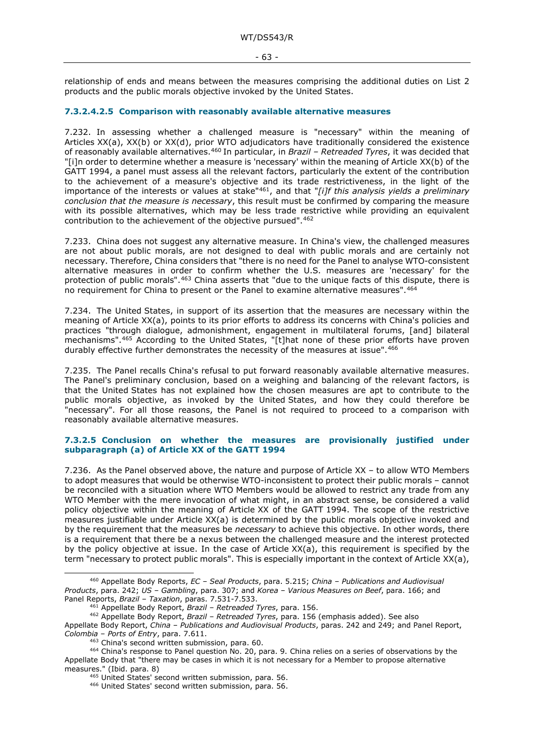relationship of ends and means between the measures comprising the additional duties on List 2 products and the public morals objective invoked by the United States.

#### <span id="page-62-0"></span>**7.3.2.4.2.5 Comparison with reasonably available alternative measures**

<span id="page-62-3"></span>7.232. In assessing whether a challenged measure is "necessary" within the meaning of Articles XX(a), XX(b) or XX(d), prior WTO adjudicators have traditionally considered the existence of reasonably available alternatives[.460](#page-62-7) In particular, in *Brazil – Retreaded Tyres*, it was decided that "[i]n order to determine whether a measure is 'necessary' within the meaning of Article XX(b) of the GATT 1994, a panel must assess all the relevant factors, particularly the extent of the contribution to the achievement of a measure's objective and its trade restrictiveness, in the light of the importance of the interests or values at stake"[461,](#page-62-8) and that "*[i]f this analysis yields a preliminary conclusion that the measure is necessary*, this result must be confirmed by comparing the measure with its possible alternatives, which may be less trade restrictive while providing an equivalent contribution to the achievement of the objective pursued".[462](#page-62-9)

<span id="page-62-6"></span><span id="page-62-5"></span>7.233. China does not suggest any alternative measure. In China's view, the challenged measures are not about public morals, are not designed to deal with public morals and are certainly not necessary. Therefore, China considers that "there is no need for the Panel to analyse WTO-consistent alternative measures in order to confirm whether the U.S. measures are 'necessary' for the protection of public morals".[463](#page-62-10) China asserts that "due to the unique facts of this dispute, there is no requirement for China to present or the Panel to examine alternative measures".  $464$ 

7.234. The United States, in support of its assertion that the measures are necessary within the meaning of Article XX(a), points to its prior efforts to address its concerns with China's policies and practices "through dialogue, admonishment, engagement in multilateral forums, [and] bilateral mechanisms".[465](#page-62-12) According to the United States, "[t]hat none of these prior efforts have proven durably effective further demonstrates the necessity of the measures at issue".<sup>466</sup>

<span id="page-62-4"></span>7.235. The Panel recalls China's refusal to put forward reasonably available alternative measures. The Panel's preliminary conclusion, based on a weighing and balancing of the relevant factors, is that the United States has not explained how the chosen measures are apt to contribute to the public morals objective, as invoked by the United States, and how they could therefore be "necessary". For all those reasons, the Panel is not required to proceed to a comparison with reasonably available alternative measures.

#### <span id="page-62-1"></span>**7.3.2.5 Conclusion on whether the measures are provisionally justified under subparagraph (a) of Article XX of the GATT 1994**

<span id="page-62-2"></span>7.236. As the Panel observed above, the nature and purpose of Article XX – to allow WTO Members to adopt measures that would be otherwise WTO-inconsistent to protect their public morals – cannot be reconciled with a situation where WTO Members would be allowed to restrict any trade from any WTO Member with the mere invocation of what might, in an abstract sense, be considered a valid policy objective within the meaning of Article XX of the GATT 1994. The scope of the restrictive measures justifiable under Article XX(a) is determined by the public morals objective invoked and by the requirement that the measures be *necessary* to achieve this objective. In other words, there is a requirement that there be a nexus between the challenged measure and the interest protected by the policy objective at issue. In the case of Article XX(a), this requirement is specified by the term "necessary to protect public morals". This is especially important in the context of Article XX(a),

<span id="page-62-7"></span><sup>460</sup> Appellate Body Reports, *EC – Seal Products*, para. 5.215; *China – Publications and Audiovisual Products*, para. 242; *US – Gambling*, para. 307; and *Korea – Various Measures on Beef*, para. 166; and Panel Reports, *Brazil – Taxation*, paras. 7.531-7.533.

<sup>461</sup> Appellate Body Report, *Brazil – Retreaded Tyres*, para. 156.

<span id="page-62-9"></span><span id="page-62-8"></span><sup>462</sup> Appellate Body Report, *Brazil – Retreaded Tyres*, para. 156 (emphasis added). See also Appellate Body Report, *China – Publications and Audiovisual Products*, paras. 242 and 249; and Panel Report, *Colombia – Ports of Entry*, para. 7.611.

<span id="page-62-13"></span><span id="page-62-12"></span><span id="page-62-11"></span><span id="page-62-10"></span><sup>464</sup> China's response to Panel question No. 20, para. 9. China relies on a series of observations by the Appellate Body that "there may be cases in which it is not necessary for a Member to propose alternative measures." (Ibid. para. 8)

<sup>&</sup>lt;sup>465</sup> United States' second written submission, para. 56.

<sup>466</sup> United States' second written submission, para. 56.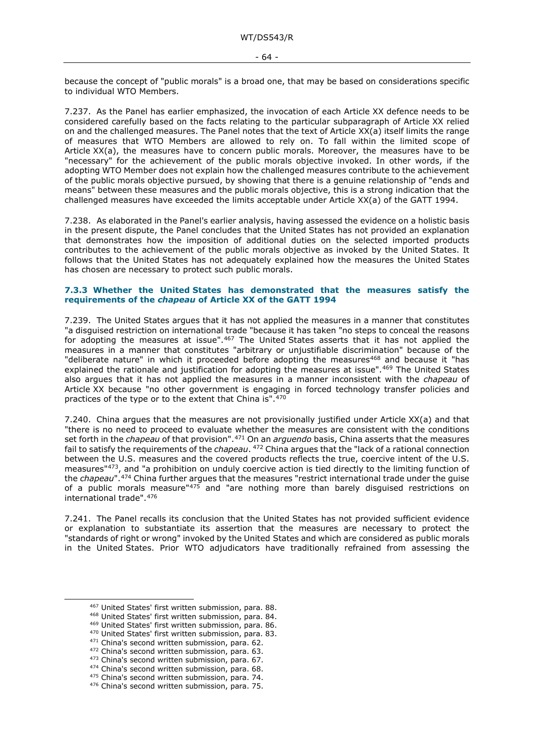because the concept of "public morals" is a broad one, that may be based on considerations specific to individual WTO Members.

7.237. As the Panel has earlier emphasized, the invocation of each Article XX defence needs to be considered carefully based on the facts relating to the particular subparagraph of Article XX relied on and the challenged measures. The Panel notes that the text of Article XX(a) itself limits the range of measures that WTO Members are allowed to rely on. To fall within the limited scope of Article XX(a), the measures have to concern public morals. Moreover, the measures have to be "necessary" for the achievement of the public morals objective invoked. In other words, if the adopting WTO Member does not explain how the challenged measures contribute to the achievement of the public morals objective pursued, by showing that there is a genuine relationship of "ends and means" between these measures and the public morals objective, this is a strong indication that the challenged measures have exceeded the limits acceptable under Article XX(a) of the GATT 1994.

7.238. As elaborated in the Panel's earlier analysis, having assessed the evidence on a holistic basis in the present dispute, the Panel concludes that the United States has not provided an explanation that demonstrates how the imposition of additional duties on the selected imported products contributes to the achievement of the public morals objective as invoked by the United States. It follows that the United States has not adequately explained how the measures the United States has chosen are necessary to protect such public morals.

#### <span id="page-63-0"></span>**7.3.3 Whether the United States has demonstrated that the measures satisfy the requirements of the** *chapeau* **of Article XX of the GATT 1994**

7.239. The United States argues that it has not applied the measures in a manner that constitutes "a disguised restriction on international trade "because it has taken "no steps to conceal the reasons for adopting the measures at issue".[467](#page-63-1) The United States asserts that it has not applied the measures in a manner that constitutes "arbitrary or unjustifiable discrimination" because of the "deliberate nature" in which it proceeded before adopting the measures<sup>[468](#page-63-2)</sup> and because it "has explained the rationale and justification for adopting the measures at issue"[.469](#page-63-3) The United States also argues that it has not applied the measures in a manner inconsistent with the *chapeau* of Article XX because "no other government is engaging in forced technology transfer policies and practices of the type or to the extent that China is".<sup>[470](#page-63-4)</sup>

7.240. China argues that the measures are not provisionally justified under Article XX(a) and that "there is no need to proceed to evaluate whether the measures are consistent with the conditions set forth in the *chapeau* of that provision".[471](#page-63-5) On an *arguendo* basis, China asserts that the measures fail to satisfy the requirements of the *chapeau*. [472](#page-63-6) China argues that the "lack of a rational connection between the U.S. measures and the covered products reflects the true, coercive intent of the U.S. measures"<sup>473</sup>, and "a prohibition on unduly coercive action is tied directly to the limiting function of the *chapeau*".[474](#page-63-8) China further argues that the measures "restrict international trade under the guise of a public morals measure" $475$  and "are nothing more than barely disguised restrictions on international trade".[476](#page-63-10)

7.241. The Panel recalls its conclusion that the United States has not provided sufficient evidence or explanation to substantiate its assertion that the measures are necessary to protect the "standards of right or wrong" invoked by the United States and which are considered as public morals in the United States. Prior WTO adjudicators have traditionally refrained from assessing the

<span id="page-63-1"></span><sup>467</sup> United States' first written submission, para. 88.

<span id="page-63-2"></span><sup>468</sup> United States' first written submission, para. 84.

<span id="page-63-3"></span><sup>469</sup> United States' first written submission, para. 86.<br><sup>470</sup> United States' first written submission, para. 83.

<span id="page-63-7"></span><span id="page-63-6"></span><span id="page-63-5"></span>

<span id="page-63-4"></span> $471$  China's second written submission, para. 62.<br> $472$  China's second written submission, para. 63.<br> $473$  China's second written submission, para. 67.<br> $474$  China's second written submission, para. 68.

<span id="page-63-9"></span><span id="page-63-8"></span><sup>&</sup>lt;sup>475</sup> China's second written submission, para. 74.

<span id="page-63-10"></span><sup>476</sup> China's second written submission, para. 75.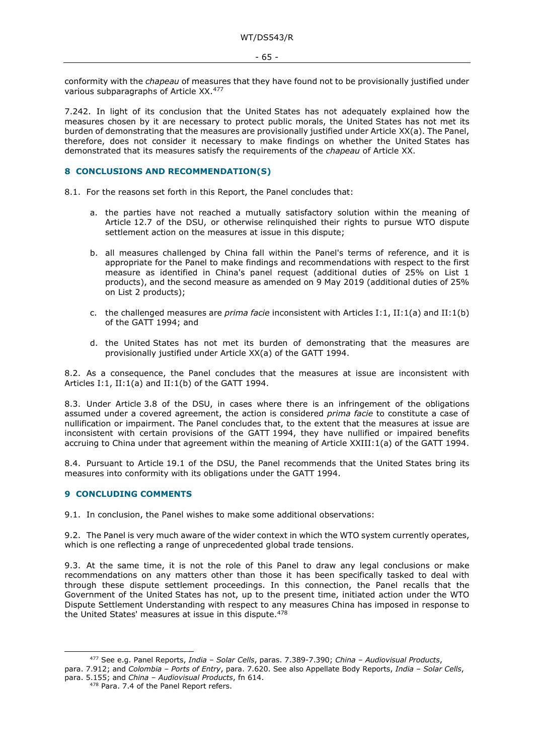conformity with the *chapeau* of measures that they have found not to be provisionally justified under various subparagraphs of Article XX.[477](#page-64-2)

7.242. In light of its conclusion that the United States has not adequately explained how the measures chosen by it are necessary to protect public morals, the United States has not met its burden of demonstrating that the measures are provisionally justified under Article XX(a). The Panel, therefore, does not consider it necessary to make findings on whether the United States has demonstrated that its measures satisfy the requirements of the *chapeau* of Article XX.

#### <span id="page-64-0"></span>**8 CONCLUSIONS AND RECOMMENDATION(S)**

8.1. For the reasons set forth in this Report, the Panel concludes that:

- a. the parties have not reached a mutually satisfactory solution within the meaning of Article 12.7 of the DSU, or otherwise relinquished their rights to pursue WTO dispute settlement action on the measures at issue in this dispute;
- b. all measures challenged by China fall within the Panel's terms of reference, and it is appropriate for the Panel to make findings and recommendations with respect to the first measure as identified in China's panel request (additional duties of 25% on List 1 products), and the second measure as amended on 9 May 2019 (additional duties of 25% on List 2 products);
- c. the challenged measures are *prima facie* inconsistent with Articles I:1, II:1(a) and II:1(b) of the GATT 1994; and
- d. the United States has not met its burden of demonstrating that the measures are provisionally justified under Article XX(a) of the GATT 1994.

8.2. As a consequence, the Panel concludes that the measures at issue are inconsistent with Articles I:1, II:1(a) and II:1(b) of the GATT 1994.

8.3. Under Article 3.8 of the DSU, in cases where there is an infringement of the obligations assumed under a covered agreement, the action is considered *prima facie* to constitute a case of nullification or impairment. The Panel concludes that, to the extent that the measures at issue are inconsistent with certain provisions of the GATT 1994, they have nullified or impaired benefits accruing to China under that agreement within the meaning of Article XXIII:1(a) of the GATT 1994.

8.4. Pursuant to Article 19.1 of the DSU, the Panel recommends that the United States bring its measures into conformity with its obligations under the GATT 1994.

#### <span id="page-64-1"></span>**9 CONCLUDING COMMENTS**

9.1. In conclusion, the Panel wishes to make some additional observations:

9.2. The Panel is very much aware of the wider context in which the WTO system currently operates, which is one reflecting a range of unprecedented global trade tensions.

9.3. At the same time, it is not the role of this Panel to draw any legal conclusions or make recommendations on any matters other than those it has been specifically tasked to deal with through these dispute settlement proceedings. In this connection, the Panel recalls that the Government of the United States has not, up to the present time, initiated action under the WTO Dispute Settlement Understanding with respect to any measures China has imposed in response to the United States' measures at issue in this dispute.<sup>478</sup>

<span id="page-64-3"></span><span id="page-64-2"></span><sup>477</sup> See e.g. Panel Reports, *India – Solar Cells*, paras. 7.389-7.390; *China – Audiovisual Products*, para. 7.912; and *Colombia – Ports of Entry*, para. 7.620. See also Appellate Body Reports, *India – Solar Cells*, para. 5.155; and *China – Audiovisual Products*, fn 614.

<sup>478</sup> Para. [7.4](#page-15-4) of the Panel Report refers.